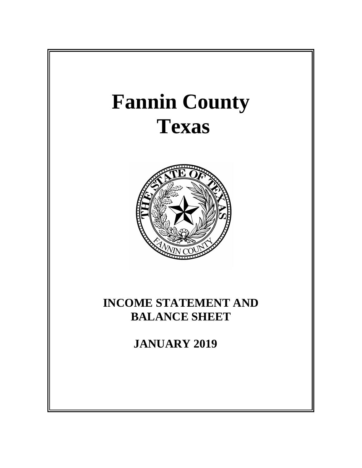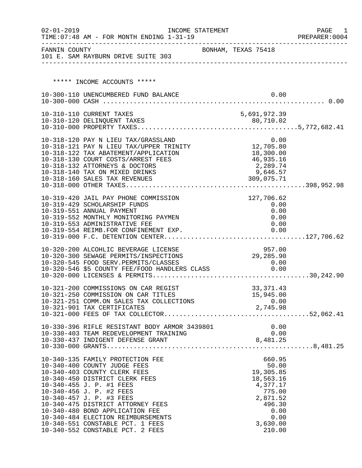| $02 - 01 - 2019$ | TIME: 07:48 AM - FOR MONTH ENDING 1-31-19                                                                                     | INCOME STATEMENT    |                  |                       |      | PAGE<br>1<br>PREPARER: 0004 |
|------------------|-------------------------------------------------------------------------------------------------------------------------------|---------------------|------------------|-----------------------|------|-----------------------------|
| FANNIN COUNTY    | 101 E. SAM RAYBURN DRIVE SUITE 303                                                                                            | BONHAM, TEXAS 75418 |                  |                       |      |                             |
|                  |                                                                                                                               |                     |                  |                       |      |                             |
|                  | ***** INCOME ACCOUNTS *****                                                                                                   |                     |                  |                       |      |                             |
|                  | 10-300-110 UNENCUMBERED FUND BALANCE                                                                                          |                     |                  |                       | 0.00 |                             |
|                  |                                                                                                                               |                     |                  |                       |      |                             |
|                  | 10-310-110 CURRENT TAXES                                                                                                      |                     | 5,691,972.39     |                       |      |                             |
|                  |                                                                                                                               |                     |                  |                       |      |                             |
|                  |                                                                                                                               |                     |                  |                       |      |                             |
|                  | 10-318-120 PAY N LIEU TAX/GRASSLAND 0.00<br>10-318-121 PAY N LIEU TAX/UPPER TRINITY 12,705.80                                 |                     |                  |                       |      |                             |
|                  |                                                                                                                               |                     |                  |                       |      |                             |
|                  | 10-318-122 TAX ABATEMENT/APPLICATION                                                                                          |                     |                  | 18,300.00             |      |                             |
|                  | 10-318-130 COURT COSTS/ARREST FEES                                                                                            |                     |                  | 46,935.16             |      |                             |
|                  | 10-318-132 ATTORNEYS & DOCTORS<br>10-318-140 TAX ON MIXED DRINKS                                                              |                     |                  | 2,289.74<br>9,646.57  |      |                             |
|                  | 10-318-160 SALES TAX REVENUES                                                                                                 |                     | 309,075.71       |                       |      |                             |
|                  |                                                                                                                               |                     |                  |                       |      |                             |
|                  | 10-319-420 JAIL PAY PHONE COMMISSION                                                                                          |                     |                  | 127,706.62            |      |                             |
|                  | 10-319-429 SCHOLARSHIP FUNDS                                                                                                  |                     |                  | 0.00                  |      |                             |
|                  | 10-319-551 ANNUAL PAYMENT                                                                                                     |                     |                  |                       | 0.00 |                             |
|                  | 10-319-552 MONTHLY MONITORING PAYMEN                                                                                          |                     |                  |                       | 0.00 |                             |
|                  | 10-319-553 ADMINISTRATIVE FEE                                                                                                 |                     |                  |                       | 0.00 |                             |
|                  |                                                                                                                               |                     |                  |                       |      |                             |
|                  |                                                                                                                               |                     |                  |                       |      |                             |
|                  | 10-320-200 ALCOHLIC BEVERAGE LICENSE                                                                                          |                     |                  | 957.00                |      |                             |
|                  | 10-320-300 SEWAGE PERMITS/INSPECTIONS                                                                                         |                     | 29,285.90        |                       |      |                             |
|                  | 10-320-545 FOOD SERV.PERMITS/CLASSES<br>10-320-545 FOOD SERV.PERMITS/CLASSES<br>10-320-546 \$5 COUNTY FEE/FOOD HANDLERS CLASS |                     |                  | 0.00                  |      |                             |
|                  |                                                                                                                               |                     |                  | 0.00                  |      |                             |
|                  |                                                                                                                               |                     |                  |                       |      |                             |
|                  | 10-321-200 COMMISSIONS ON CAR REGIST                                                                                          |                     |                  | 33, 371.43            |      |                             |
|                  | 10-321-250 COMMISSION ON CAR TITLES                                                                                           |                     |                  | 15,945.00             |      |                             |
|                  | 10-321-251 COMM.ON SALES TAX COLLECTIONS<br>10-321-901 TAX CERTIFICATES                                                       |                     | 0.00<br>2,745.98 |                       | 0.00 |                             |
|                  |                                                                                                                               |                     |                  |                       |      |                             |
|                  |                                                                                                                               |                     |                  |                       |      |                             |
|                  | 10-330-396 RIFLE RESISTANT BODY ARMOR 3439801                                                                                 |                     |                  | 0.00                  |      |                             |
|                  |                                                                                                                               |                     |                  |                       |      |                             |
|                  |                                                                                                                               |                     |                  |                       |      |                             |
|                  |                                                                                                                               |                     |                  |                       |      |                             |
|                  | 10-340-135 FAMILY PROTECTION FEE                                                                                              |                     |                  | 660.95                |      |                             |
|                  | 10-340-400 COUNTY JUDGE FEES                                                                                                  |                     |                  | 50.00                 |      |                             |
|                  | 10-340-403 COUNTY CLERK FEES                                                                                                  |                     |                  | 19,305.85             |      |                             |
|                  | 10-340-450 DISTRICT CLERK FEES<br>10-340-455 J. P. #1 FEES                                                                    |                     |                  | 18,563.16<br>4,377.17 |      |                             |
|                  | 10-340-456 J. P. #2 FEES                                                                                                      |                     |                  | 775.00                |      |                             |
|                  | 10-340-457 J. P. #3 FEES                                                                                                      |                     |                  | 2,871.52              |      |                             |
|                  | 10-340-475 DISTRICT ATTORNEY FEES                                                                                             |                     |                  | 496.30                |      |                             |
|                  | 10-340-480 BOND APPLICATION FEE                                                                                               |                     |                  |                       | 0.00 |                             |
|                  | 10-340-484 ELECTION REIMBURSEMENTS                                                                                            |                     |                  |                       | 0.00 |                             |
|                  | 10-340-551 CONSTABLE PCT. 1 FEES                                                                                              |                     |                  | 3,630.00              |      |                             |
|                  | 10-340-552 CONSTABLE PCT. 2 FEES                                                                                              |                     |                  | 210.00                |      |                             |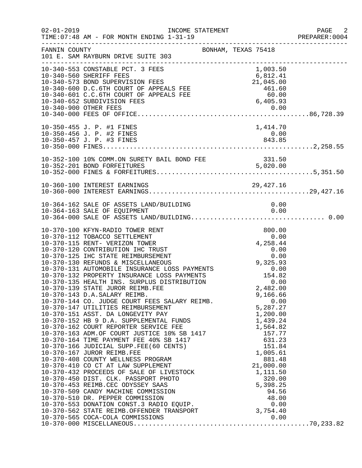| $02 - 01 - 2019$ | INCOME STATEMENT<br>TIME: 07:48 AM - FOR MONTH ENDING 1-31-19                                                                                                                                                                                                                    |                                        | PAGE 2<br>PREPARER: 0004 |
|------------------|----------------------------------------------------------------------------------------------------------------------------------------------------------------------------------------------------------------------------------------------------------------------------------|----------------------------------------|--------------------------|
| FANNIN COUNTY    | BONHAM, TEXAS 75418<br>101 E. SAM RAYBURN DRIVE SUITE 303                                                                                                                                                                                                                        |                                        |                          |
|                  | 10-340-553 CONSTABLE PCT. 3 FEES<br>10-340-573 BOND SUPERVISION FEES<br>10-340-600 D.C.6TH COURT OF APPEALS FEE<br>10-340-601 C.C.6TH COURT OF APPEALS FEE<br>10-340-652 SUBDIVISION FEES<br>10-340-900 OTHER FEES<br>10-340-900 OTHER FEES<br>10-340-900 OTHER FEES<br>10-340-0 | 1,003.50                               |                          |
|                  | 10-350-455 J. P. #1 FINES                                                                                                                                                                                                                                                        | 1,414.70                               |                          |
|                  |                                                                                                                                                                                                                                                                                  |                                        |                          |
|                  |                                                                                                                                                                                                                                                                                  |                                        |                          |
|                  | 10-364-162 SALE OF ASSETS LAND/BUILDING<br>10-364-163 SALE OF EQUIPMENT                                                                                                                                                                                                          | 0.00<br>0.00                           |                          |
|                  | 10-370-100 KFYN-RADIO TOWER RENT<br>10-370-143 D.A.SALARY REIMB.<br>10-370-144 CO. JUDGE COURT FEES SALARY REIMB.<br>10-370-144 CO. JUDGE COURT FEES SALARY REIMB.                                                                                                               | 800.00<br>9,166.66<br>0.00<br>5,287.27 |                          |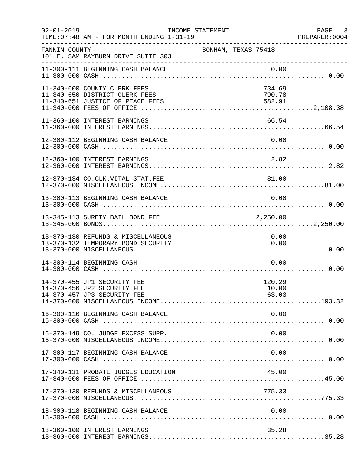| $02 - 01 - 2019$ | TIME: 07:48 AM - FOR MONTH ENDING 1-31-19                                                          | INCOME STATEMENT    |                            | PAGE 3<br>PREPARER:0004 |
|------------------|----------------------------------------------------------------------------------------------------|---------------------|----------------------------|-------------------------|
| FANNIN COUNTY    | 101 E. SAM RAYBURN DRIVE SUITE 303                                                                 | BONHAM, TEXAS 75418 |                            |                         |
|                  | 11-300-111 BEGINNING CASH BALANCE                                                                  |                     | 0.00                       |                         |
|                  | 11-340-600 COUNTY CLERK FEES<br>11-340-650 DISTRICT CLERK FEES<br>11-340-651 JUSTICE OF PEACE FEES |                     | 734.69<br>790.78<br>582.91 |                         |
|                  | 11-360-100 INTEREST EARNINGS                                                                       |                     | 66.54                      |                         |
|                  | 12-300-112 BEGINNING CASH BALANCE                                                                  |                     | 0.00                       |                         |
|                  | 12-360-100 INTEREST EARNINGS                                                                       |                     | 2.82                       |                         |
|                  | 12-370-134 CO.CLK.VITAL STAT.FEE                                                                   |                     | 81.00                      |                         |
|                  | 13-300-113 BEGINNING CASH BALANCE                                                                  |                     | 0.00                       |                         |
|                  | 13-345-113 SURETY BAIL BOND FEE                                                                    |                     | 2,250.00                   |                         |
|                  | 13-370-130 REFUNDS & MISCELLANEOUS<br>13-370-132 TEMPORARY BOND SECURITY                           |                     | 0.00<br>0.00               |                         |
|                  | 14-300-114 BEGINNING CASH                                                                          |                     | 0.00                       |                         |
|                  | 14-370-455 JP1 SECURITY FEE<br>14-370-456 JP2 SECURITY FEE<br>14-370-457 JP3 SECURITY FEE          |                     | 120.29<br>10.00<br>63.03   |                         |
|                  | 16-300-116 BEGINNING CASH BALANCE                                                                  |                     | 0.00                       |                         |
|                  | 16-370-149 CO. JUDGE EXCESS SUPP.                                                                  |                     | 0.00                       |                         |
|                  | 17-300-117 BEGINNING CASH BALANCE                                                                  |                     | 0.00                       |                         |
|                  | 17-340-131 PROBATE JUDGES EDUCATION                                                                |                     | 45.00                      |                         |
|                  | 17-370-130 REFUNDS & MISCELLANEOUS                                                                 |                     | 775.33                     |                         |
|                  | 18-300-118 BEGINNING CASH BALANCE                                                                  |                     | 0.00                       |                         |
|                  | 18-360-100 INTEREST EARNINGS                                                                       |                     | 35.28                      |                         |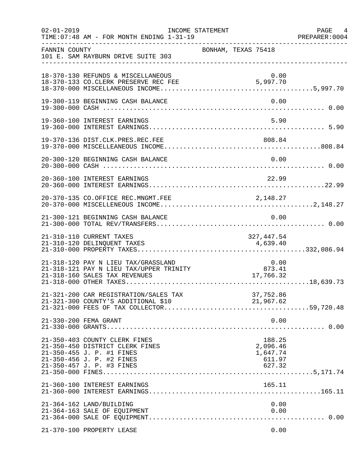| $02 - 01 - 2019$ | TIME: 07:48 AM - FOR MONTH ENDING 1-31-19                                                                                                                                                                                                           | INCOME STATEMENT    |                                                    | PAGE 4<br>PREPARER: 0004 |
|------------------|-----------------------------------------------------------------------------------------------------------------------------------------------------------------------------------------------------------------------------------------------------|---------------------|----------------------------------------------------|--------------------------|
| FANNIN COUNTY    | 101 E. SAM RAYBURN DRIVE SUITE 303                                                                                                                                                                                                                  | BONHAM, TEXAS 75418 |                                                    |                          |
|                  | 18-370-130 REFUNDS & MISCELLANEOUS<br>18-370-133 CO.CLERK PRESERVE REC FEE 5,997.70                                                                                                                                                                 |                     |                                                    | 0.00                     |
|                  | 19-300-119 BEGINNING CASH BALANCE                                                                                                                                                                                                                   |                     |                                                    | 0.00                     |
|                  | 19-360-100 INTEREST EARNINGS                                                                                                                                                                                                                        |                     |                                                    | 5.90                     |
|                  |                                                                                                                                                                                                                                                     |                     |                                                    |                          |
|                  | 20-300-120 BEGINNING CASH BALANCE                                                                                                                                                                                                                   |                     |                                                    | 0.00                     |
|                  | 20-360-100 INTEREST EARNINGS                                                                                                                                                                                                                        |                     | 22.99                                              |                          |
|                  |                                                                                                                                                                                                                                                     |                     |                                                    |                          |
|                  | 21-300-121 BEGINNING CASH BALANCE                                                                                                                                                                                                                   |                     |                                                    | 0.00                     |
|                  | 21-310-110 CURRENT TAXES                                                                                                                                                                                                                            |                     | 327,447.54                                         |                          |
|                  | $\begin{array}{llll} 21-318-120 & \text{PAY} & \text{N} & \text{LIEU TAX/GRASSLAND} & 0.00 \\ 21-318-121 & \text{PAY} & \text{N} & \text{LIEU TAX/UPPER TRINITY} & 873.41 \\ 21-318-160 & \text{SALES TAX REVENUES} & & & 17,766.32 \\ \end{array}$ |                     |                                                    |                          |
|                  | 21-321-200 CAR REGISTRATION/SALES TAX<br>21-321-300 COUNTY'S ADDITIONAL \$10                                                                                                                                                                        |                     | 37,752.86<br>21,967.62                             |                          |
|                  | 21-330-200 FEMA GRANT                                                                                                                                                                                                                               |                     |                                                    | 0.00                     |
|                  | 21-350-403 COUNTY CLERK FINES<br>21-350-450 DISTRICT CLERK FINES<br>21-350-455 J. P. #1 FINES<br>21-350-456 J. P. #2 FINES<br>21-350-457 J. P. #3 FINES                                                                                             |                     | 188.25<br>2,096.46<br>1,647.74<br>611.97<br>627.32 |                          |
|                  | 21-360-100 INTEREST EARNINGS                                                                                                                                                                                                                        |                     | 165.11                                             |                          |
|                  | 21-364-162 LAND/BUILDING<br>21-364-163 SALE OF EQUIPMENT                                                                                                                                                                                            |                     |                                                    | 0.00<br>0.00             |
|                  | 21-370-100 PROPERTY LEASE                                                                                                                                                                                                                           |                     |                                                    | 0.00                     |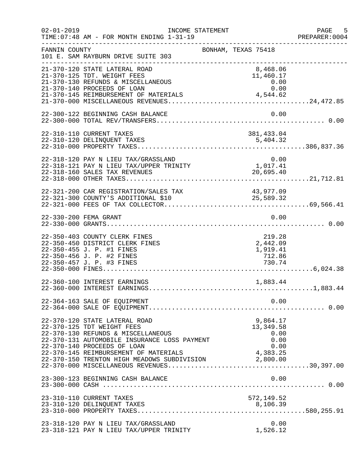| $02 - 01 - 2019$ | INCOME STATEMENT<br>TIME: 07:48 AM - FOR MONTH ENDING 1-31-19                                                                                                                    | ------------------------------------               | PAGE 5<br>PREPARER:0004 |
|------------------|----------------------------------------------------------------------------------------------------------------------------------------------------------------------------------|----------------------------------------------------|-------------------------|
| FANNIN COUNTY    | 101 E. SAM RAYBURN DRIVE SUITE 303                                                                                                                                               | BONHAM, TEXAS 75418                                |                         |
|                  | 21-370-120 STATE LATERAL ROAD<br>21-370-125 TDT. WEIGHT FEES<br>21-370-130 REFUNDS & MISCELLANEOUS<br>21-370-140 PROCEEDS OF LOAN                                                | 8,468.06<br>11,460.17<br>0.00<br>0.00              |                         |
|                  | 22-300-122 BEGINNING CASH BALANCE                                                                                                                                                | 0.00                                               |                         |
|                  | 22-310-110 CURRENT TAXES<br>22-310-120 DELINQUENT TAXES                                                                                                                          | 381,433.04<br>5,404.32                             |                         |
|                  | 22-318-120 PAY N LIEU TAX/GRASSLAND<br>22-318-121 PAY N LIEU TAX/UPPER TRINITY<br>22-318-160 SALES TAX REVENUES                                                                  | 0.00<br>0.00<br>1,017.41<br>20,695.40              |                         |
|                  | 22-321-200 CAR REGISTRATION/SALES TAX                                                                                                                                            | 43,977.09                                          |                         |
|                  | 22-330-200 FEMA GRANT                                                                                                                                                            | 0.00                                               |                         |
|                  | 22-350-403 COUNTY CLERK FINES<br>22-350-450 DISTRICT CLERK FINES<br>22-350-455 J. P. #1 FINES<br>22-350-456 J. P. #2 FINES<br>22-350-457 J. P. #3 FINES                          | 219.28<br>2,442.09<br>1,919.41<br>712.86<br>730.74 |                         |
|                  | 22-360-100 INTEREST EARNINGS                                                                                                                                                     | 1,883.44                                           |                         |
|                  | 22-364-163 SALE OF EQUIPMENT                                                                                                                                                     | 0.00                                               |                         |
|                  | 22-370-120 STATE LATERAL ROAD<br>22-370-125 TDT WEIGHT FEES<br>22-370-130 REFUNDS & MISCELLANEOUS<br>22-370-131 AUTOMOBILE INSURANCE LOSS PAYMENT<br>22-370-140 PROCEEDS OF LOAN | 9,864.17<br>13, 349.58<br>0.00<br>0.00<br>0.00     |                         |
|                  | 23-300-123 BEGINNING CASH BALANCE                                                                                                                                                | 0.00                                               |                         |
|                  | 23-310-110 CURRENT TAXES<br>23-310-120 DELINQUENT TAXES                                                                                                                          | 572,149.52<br>8,106.39                             |                         |
|                  | 23-318-120 PAY N LIEU TAX/GRASSLAND<br>23-318-121 PAY N LIEU TAX/UPPER TRINITY                                                                                                   | 0.00<br>1,526.12                                   |                         |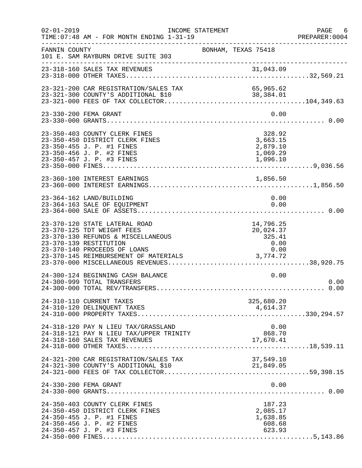| $02 - 01 - 2019$ | TIME: 07:48 AM - FOR MONTH ENDING 1-31-19                                                                                                                                                            | INCOME STATEMENT    |                                                              | PAGE 6<br>PREPARER: 0004 |
|------------------|------------------------------------------------------------------------------------------------------------------------------------------------------------------------------------------------------|---------------------|--------------------------------------------------------------|--------------------------|
| FANNIN COUNTY    | 101 E. SAM RAYBURN DRIVE SUITE 303                                                                                                                                                                   | BONHAM, TEXAS 75418 |                                                              |                          |
|                  | 23-318-160 SALES TAX REVENUES                                                                                                                                                                        |                     |                                                              |                          |
|                  | 23-321-200 CAR REGISTRATION/SALES TAX                                                                                                                                                                |                     | 65,965.62                                                    |                          |
|                  | 23-330-200 FEMA GRANT                                                                                                                                                                                |                     | 0.00                                                         |                          |
|                  | 23-350-403 COUNTY CLERK FINES<br>23-350-450 DISTRICT CLERK FINES<br>23-350-455 J. P. #1 FINES<br>23-350-456 J. P. #2 FINES<br>23-350-457 J. P. #3 FINES                                              |                     | 328.92<br>3,663.15<br>2,879.10<br>1,069.29<br>1,096.10       |                          |
|                  | 23-360-100 INTEREST EARNINGS                                                                                                                                                                         |                     | 1,856.50                                                     |                          |
|                  | 23-364-162 LAND/BUILDING<br>23-364-163 SALE OF EQUIPMENT                                                                                                                                             |                     | 0.00<br>0.00                                                 |                          |
|                  | 23-370-120 STATE LATERAL ROAD<br>23-370-125 TDT WEIGHT FEES<br>23-370-130 REFUNDS & MISCELLANEOUS<br>23-370-139 RESTITUTION<br>23-370-140 PROCEEDS OF LOANS<br>23-370-145 REIMBURSEMENT OF MATERIALS |                     | 14,796.25<br>20,024.37<br>325.41<br>0.00<br>0.00<br>3,774.72 |                          |
|                  | 24-300-124 BEGINNING CASH BALANCE<br>24-300-999 TOTAL TRANSFERS                                                                                                                                      |                     | 0.00                                                         | 0.00                     |
|                  | 24-310-110 CURRENT TAXES<br>24-310-120 DELINQUENT TAXES                                                                                                                                              |                     | 325,680.20<br>4,614.37                                       |                          |
|                  | 24-318-120 PAY N LIEU TAX/GRASSLAND<br>24-318-121 PAY N LIEU TAX/UPPER TRINITY<br>24-318-160 SALES TAX REVENUES                                                                                      |                     | 0.00<br>868.70<br>17,670.41                                  |                          |
|                  | 24-321-200 CAR REGISTRATION/SALES TAX<br>24-321-300 COUNTY'S ADDITIONAL \$10                                                                                                                         |                     | 37,549.10<br>21,849.05                                       |                          |
|                  | 24-330-200 FEMA GRANT                                                                                                                                                                                |                     | 0.00                                                         |                          |
|                  | 24-350-403 COUNTY CLERK FINES<br>24-350-450 DISTRICT CLERK FINES<br>24-350-455 J. P. #1 FINES<br>24-350-456 J. P. #2 FINES<br>24-350-457 J. P. #3 FINES                                              |                     | 187.23<br>2,085.17<br>1,638.85<br>608.68<br>623.93           |                          |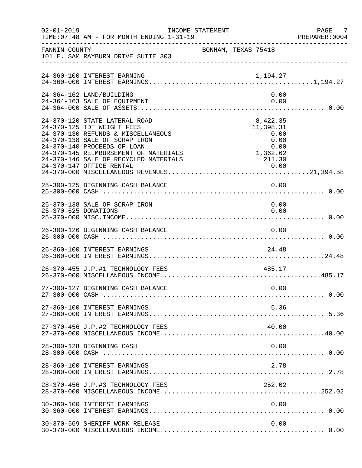| $02 - 01 - 2019$     | INCOME STATEMENT<br>TIME: 07:48 AM - FOR MONTH ENDING 1-31-19                                                                                                                                                                                       |                                                                               | PAGE 7<br>PREPARER:0004 |
|----------------------|-----------------------------------------------------------------------------------------------------------------------------------------------------------------------------------------------------------------------------------------------------|-------------------------------------------------------------------------------|-------------------------|
| FANNIN COUNTY        | 101 E. SAM RAYBURN DRIVE SUITE 303                                                                                                                                                                                                                  | BONHAM, TEXAS 75418                                                           |                         |
|                      | 24-360-100 INTEREST EARNING                                                                                                                                                                                                                         |                                                                               |                         |
|                      | 24-364-162 LAND/BUILDING<br>24-364-163 SALE OF EQUIPMENT                                                                                                                                                                                            | 0.00<br>0.00                                                                  |                         |
|                      | 24-370-120 STATE LATERAL ROAD<br>24-370-125 TDT WEIGHT FEES<br>24-370-130 REFUNDS & MISCELLANEOUS<br>24-370-138 SALE OF SCRAP IRON<br>24-370-140 PROCEEDS OF LOAN<br>24-370-145 REIMBURSEMENT OF MATERIALS<br>24-370-146 SALE OF RECYCLED MATERIALS | 8,422.35<br>11,398.31<br>0.00<br>0.00<br>0.00<br>$0.00$<br>1,362.62<br>211.30 |                         |
|                      | 25-300-125 BEGINNING CASH BALANCE                                                                                                                                                                                                                   | 0.00                                                                          |                         |
| 25-370-625 DONATIONS | 25-370-138 SALE OF SCRAP IRON                                                                                                                                                                                                                       | 0.00<br>0.00                                                                  |                         |
|                      | 26-300-126 BEGINNING CASH BALANCE                                                                                                                                                                                                                   | 0.00                                                                          |                         |
|                      | 26-360-100 INTEREST EARNINGS                                                                                                                                                                                                                        | 24.48                                                                         |                         |
|                      |                                                                                                                                                                                                                                                     |                                                                               |                         |
|                      | 27-300-127 BEGINNING CASH BALANCE                                                                                                                                                                                                                   | 0.00                                                                          |                         |
|                      | 27-360-100 INTEREST EARNINGS                                                                                                                                                                                                                        | 5.36                                                                          |                         |
|                      | 27-370-456 J.P.#2 TECHNOLOGY FEES                                                                                                                                                                                                                   | 40.00                                                                         |                         |
|                      | 28-300-128 BEGINNING CASH                                                                                                                                                                                                                           | 0.00                                                                          |                         |
|                      | 28-360-100 INTEREST EARNINGS                                                                                                                                                                                                                        | 2.78                                                                          |                         |
|                      | 28-370-456 J.P.#3 TECHNOLOGY FEES                                                                                                                                                                                                                   | 252.02                                                                        |                         |
|                      | 30-360-100 INTEREST EARNINGS                                                                                                                                                                                                                        | 0.00                                                                          |                         |
|                      | 30-370-569 SHERIFF WORK RELEASE                                                                                                                                                                                                                     | 0.00                                                                          |                         |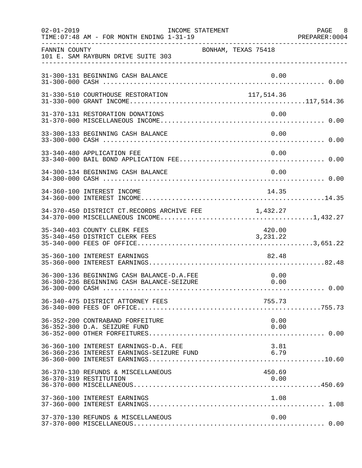| $02 - 01 - 2019$ | TIME: 07:48 AM - FOR MONTH ENDING 1-31-19                                              | INCOME STATEMENT    |  |                      | PAGE 8 |
|------------------|----------------------------------------------------------------------------------------|---------------------|--|----------------------|--------|
| FANNIN COUNTY    | 101 E. SAM RAYBURN DRIVE SUITE 303                                                     | BONHAM, TEXAS 75418 |  |                      |        |
|                  | 31-300-131 BEGINNING CASH BALANCE                                                      |                     |  | 0.00                 |        |
|                  | 31-330-510 COURTHOUSE RESTORATION                                                      |                     |  | 117,514.36           |        |
|                  | 31-370-131 RESTORATION DONATIONS                                                       |                     |  | 0.00                 |        |
|                  | 33-300-133 BEGINNING CASH BALANCE                                                      |                     |  | 0.00                 |        |
|                  | 33-340-480 APPLICATION FEE                                                             |                     |  | 0.00                 |        |
|                  | 34-300-134 BEGINNING CASH BALANCE                                                      |                     |  | 0.00                 |        |
|                  | 34-360-100 INTEREST INCOME                                                             |                     |  | 14.35                |        |
|                  | 34-370-450 DISTRICT CT.RECORDS ARCHIVE FEE $1,432.27$                                  |                     |  |                      |        |
|                  | 35-340-403 COUNTY CLERK FEES<br>35-340-450 DISTRICT CLERK FEES                         |                     |  | 420.00<br>3, 231. 22 |        |
|                  | 35-360-100 INTEREST EARNINGS                                                           |                     |  | 82.48                |        |
|                  | 36-300-136 BEGINNING CASH BALANCE-D.A.FEE<br>36-300-236 BEGINNING CASH BALANCE-SEIZURE |                     |  | 0.00<br>0.00         |        |
|                  | 36-340-475 DISTRICT ATTORNEY FEES                                                      |                     |  | 755.73               |        |
|                  | 36-352-200 CONTRABAND FORFEITURE<br>36-352-300 D.A. SEIZURE FUND                       |                     |  | 0.00<br>0.00         |        |
|                  | 36-360-100 INTEREST EARNINGS-D.A. FEE<br>36-360-236 INTEREST EARNINGS-SEIZURE FUND     |                     |  | 3.81<br>6.79         |        |
|                  | 36-370-130 REFUNDS & MISCELLANEOUS<br>36-370-319 RESTITUTION                           |                     |  | 450.69<br>0.00       |        |
|                  | 37-360-100 INTEREST EARNINGS                                                           |                     |  | 1.08                 |        |
|                  | 37-370-130 REFUNDS & MISCELLANEOUS                                                     |                     |  | 0.00                 |        |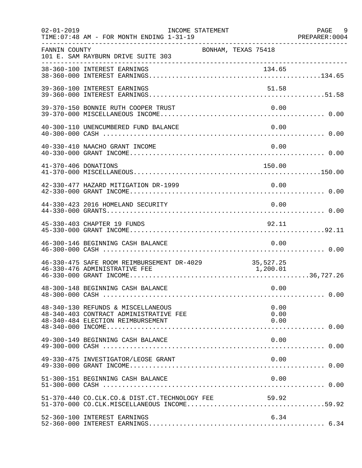| $02 - 01 - 2019$     | INCOME STATEMENT<br>TIME: 07:48 AM - FOR MONTH ENDING 1-31-19                                                          |                      | PAGE 9 |
|----------------------|------------------------------------------------------------------------------------------------------------------------|----------------------|--------|
| FANNIN COUNTY        | 101 E. SAM RAYBURN DRIVE SUITE 303                                                                                     | BONHAM, TEXAS 75418  |        |
|                      |                                                                                                                        |                      |        |
|                      | 39-360-100 INTEREST EARNINGS                                                                                           | 51.58                |        |
|                      | 39-370-150 BONNIE RUTH COOPER TRUST                                                                                    | 0.00                 |        |
|                      | 40-300-110 UNENCUMBERED FUND BALANCE                                                                                   | 0.00                 |        |
|                      | 40-330-410 NAACHO GRANT INCOME                                                                                         | 0.00                 |        |
| 41-370-406 DONATIONS |                                                                                                                        | 150.00               |        |
|                      | 42-330-477 HAZARD MITIGATION DR-1999                                                                                   | 0.00                 |        |
|                      | 44-330-423 2016 HOMELAND SECURITY                                                                                      | 0.00                 |        |
|                      | 45-330-403 CHAPTER 19 FUNDS                                                                                            | 92.11                |        |
|                      | 46-300-146 BEGINNING CASH BALANCE                                                                                      | 0.00                 |        |
|                      | 46-330-475 SAFE ROOM REIMBURSEMENT DR-4029 35,527.25<br>46-330-476 ADMINISTRATIVE FEE<br>46-330-476 ADMINISTRATIVE FEE | 1,200.01             |        |
|                      | 48-300-148 BEGINNING CASH BALANCE                                                                                      | 0.00                 |        |
|                      | 48-340-130 REFUNDS & MISCELLANEOUS<br>48-340-403 CONTRACT ADMINISTRATIVE FEE<br>48-340-484 ELECTION REIMBURSEMENT      | 0.00<br>0.00<br>0.00 |        |
|                      | 49-300-149 BEGINNING CASH BALANCE                                                                                      | 0.00                 |        |
|                      | 49-330-475 INVESTIGATOR/LEOSE GRANT                                                                                    | 0.00                 |        |
|                      | 51-300-151 BEGINNING CASH BALANCE                                                                                      | 0.00                 |        |
|                      |                                                                                                                        |                      |        |
|                      | 52-360-100 INTEREST EARNINGS                                                                                           | 6.34                 |        |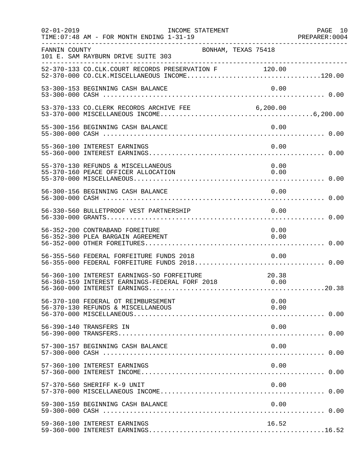| $02 - 01 - 2019$ | INCOME STATEMENT<br>TIME: 07:48 AM - FOR MONTH ENDING 1-31-19                                            |              | PAGE 10<br>PREPARER: 0004 |
|------------------|----------------------------------------------------------------------------------------------------------|--------------|---------------------------|
| FANNIN COUNTY    | BONHAM, TEXAS 75418<br>101 E. SAM RAYBURN DRIVE SUITE 303                                                |              |                           |
|                  | 52-370-133 CO.CLK.COURT RECORDS PRESERVATION F 120.00                                                    |              |                           |
|                  | 53-300-153 BEGINNING CASH BALANCE                                                                        | 0.00         |                           |
|                  | 53-370-133 CO.CLERK RECORDS ARCHIVE FEE 6,200.00                                                         |              |                           |
|                  | 55-300-156 BEGINNING CASH BALANCE                                                                        | 0.00         |                           |
|                  | 55-360-100 INTEREST EARNINGS                                                                             | 0.00         |                           |
|                  | 55-370-130 REFUNDS & MISCELLANEOUS<br>55-370-160 PEACE OFFICER ALLOCATION                                | 0.00<br>0.00 |                           |
|                  | 56-300-156 BEGINNING CASH BALANCE                                                                        | 0.00         |                           |
|                  | 56-330-560 BULLETPROOF VEST PARTNERSHIP                                                                  | 0.00         |                           |
|                  | 56-352-200 CONTRABAND FOREITURE<br>56-352-300 PLEA BARGAIN AGREEMENT                                     | 0.00<br>0.00 |                           |
|                  | 56-355-560 FEDERAL FORFEITURE FUNDS 2018<br>56-355-000 FEDERAL FORFEITURE FUNDS 2018 0.00                | 0.00         |                           |
|                  | 56-360-100 INTEREST EARNINGS-SO FORFEITURE 10.38<br>56-360-159 INTEREST EARNINGS-FEDERAL FORF 2018 10.00 |              |                           |
|                  | 56-370-108 FEDERAL OT REIMBURSEMENT<br>56-370-130 REFUNDS & MISCELLANEOUS                                | 0.00<br>0.00 |                           |
|                  | 56-390-140 TRANSFERS IN                                                                                  | 0.00         |                           |
|                  | 57-300-157 BEGINNING CASH BALANCE                                                                        | 0.00         |                           |
|                  | 57-360-100 INTEREST EARNINGS                                                                             | 0.00         |                           |
|                  | 57-370-560 SHERIFF K-9 UNIT                                                                              | 0.00         |                           |
|                  | 59-300-159 BEGINNING CASH BALANCE                                                                        | 0.00         |                           |
|                  | 59-360-100 INTEREST EARNINGS                                                                             | 16.52        |                           |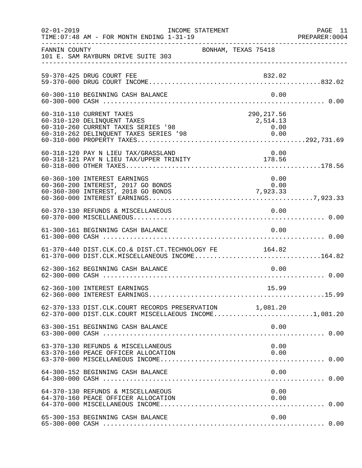| $02 - 01 - 2019$ | TIME: 07:48 AM - FOR MONTH ENDING 1-31-19                                                                         | INCOME STATEMENT    |                                                                                    | PAGE 11<br>PREPARER: 0004 |
|------------------|-------------------------------------------------------------------------------------------------------------------|---------------------|------------------------------------------------------------------------------------|---------------------------|
| FANNIN COUNTY    | 101 E. SAM RAYBURN DRIVE SUITE 303                                                                                | BONHAM, TEXAS 75418 |                                                                                    |                           |
|                  | 59-370-425 DRUG COURT FEE                                                                                         |                     | 832.02                                                                             |                           |
|                  | 60-300-110 BEGINNING CASH BALANCE                                                                                 |                     | 0.00                                                                               |                           |
|                  | 60-310-110 CURRENT TAXES<br>60-310-120 DELINQUENT TAXES<br>60-310-260 CURRENT TAXES SERIES '98                    |                     | 290, 217.56<br>2,514.13<br>$\begin{array}{c} 0\,.\,0\,0 \\ 0\,.\,0\,0 \end{array}$ |                           |
|                  | 60-318-120 PAY N LIEU TAX/GRASSLAND<br>00-318-120 FAI N LIEU TAX/URPER TRINITY 178.56                             |                     | 0.00                                                                               |                           |
|                  | 60-360-100 INTEREST EARNINGS<br>60-360-200 INTEREST, 2017 GO BONDS<br>60-360-200 INTEREST, 2017 80 DONDS 7,923.33 |                     | 0.00<br>0.00                                                                       |                           |
|                  | 60-370-130 REFUNDS & MISCELLANEOUS                                                                                |                     | 0.00                                                                               |                           |
|                  | 61-300-161 BEGINNING CASH BALANCE                                                                                 |                     | 0.00                                                                               |                           |
|                  | 61-370-440 DIST.CLK.CO.& DIST.CT.TECHNOLOGY FE<br>61-370-000 DIST.CLK.MISCELLANEOUS INCOME164.82                  |                     | 164.82                                                                             |                           |
|                  | 62-300-162 BEGINNING CASH BALANCE                                                                                 |                     | 0.00                                                                               |                           |
|                  | 62-360-100 INTEREST EARNINGS                                                                                      |                     | 15.99                                                                              |                           |
|                  | 62-370-133 DIST.CLK.COURT RECORDS PRESERVATION 1,081.20<br>62-370-000 DIST.CLK.COURT MISCELLAEOUS INCOME1,081.20  |                     |                                                                                    |                           |
|                  |                                                                                                                   |                     |                                                                                    |                           |
|                  | 63-370-130 REFUNDS & MISCELLANEOUS<br>63-370-160 PEACE OFFICER ALLOCATION                                         |                     | 0.00<br>0.00                                                                       |                           |
|                  | 64-300-152 BEGINNING CASH BALANCE                                                                                 |                     | 0.00                                                                               |                           |
|                  | 64-370-130 REFUNDS & MISCELLANEOUS<br>64-370-160 PEACE OFFICER ALLOCATION                                         |                     | 0.00<br>0.00                                                                       |                           |
|                  | 65-300-153 BEGINNING CASH BALANCE                                                                                 |                     | 0.00                                                                               |                           |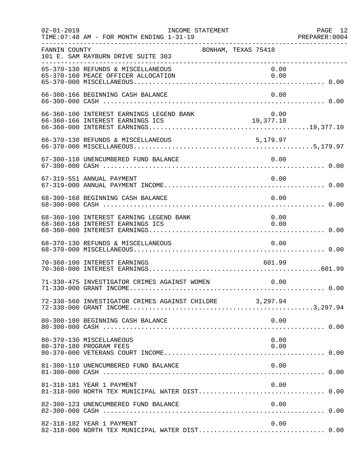| $02 - 01 - 2019$ | INCOME STATEMENT<br>TIME: 07:48 AM - FOR MONTH ENDING 1-31-19               |        | PAGE 12      |
|------------------|-----------------------------------------------------------------------------|--------|--------------|
| FANNIN COUNTY    | BONHAM, TEXAS 75418<br>101 E. SAM RAYBURN DRIVE SUITE 303                   |        |              |
|                  | 65-370-130 REFUNDS & MISCELLANEOUS<br>65-370-160 PEACE OFFICER ALLOCATION   |        | 0.00<br>0.00 |
|                  | 66-300-166 BEGINNING CASH BALANCE                                           |        | 0.00         |
|                  | 66-360-100 INTEREST EARNINGS LEGEND BANK                                    |        | 0.00         |
|                  |                                                                             |        |              |
|                  | 67-300-110 UNENCUMBERED FUND BALANCE                                        | 0.00   |              |
|                  | 67-319-551 ANNUAL PAYMENT                                                   |        | 0.00         |
|                  | 68-300-168 BEGINNING CASH BALANCE                                           |        | 0.00         |
|                  | 68-360-100 INTEREST EARNING LEGEND BANK<br>68-360-168 INTEREST EARNINGS ICS |        | 0.00<br>0.00 |
|                  | 68-370-130 REFUNDS & MISCELLANEOUS                                          | 0.00   |              |
|                  | 70-360-100 INTEREST EARNINGS                                                | 601.99 |              |
|                  | 71-330-475 INVESTIGATOR CRIMES AGAINST WOMEN                                |        | 0.00         |
|                  | 72-330-560 INVESTIGATOR CRIMES AGAINST CHILDRE 3,297.94                     |        |              |
|                  | 80-300-180 BEGINNING CASH BALANCE                                           |        | 0.00         |
|                  | 80-370-130 MISCELLANEOUS<br>80-370-180 PROGRAM FEES                         |        | 0.00<br>0.00 |
|                  | 81-300-110 UNENCUMBERED FUND BALANCE                                        |        | 0.00         |
|                  | 81-318-181 YEAR 1 PAYMENT                                                   |        | 0.00         |
|                  | 82-300-123 UNENCUMBERED FUND BALANCE                                        |        | 0.00         |
|                  | 82-318-182 YEAR 1 PAYMENT                                                   |        | 0.00         |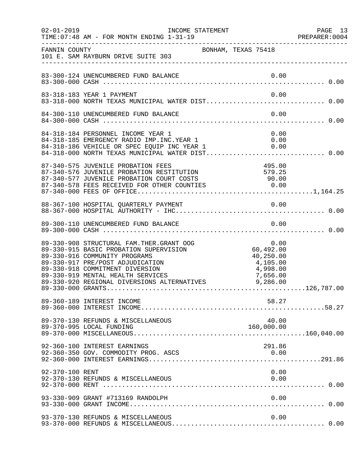| $02 - 01 - 2019$ | INCOME STATEMENT<br>TIME: 07:48 AM - FOR MONTH ENDING 1-31-19                                                                                                                                                                                                                                                                         |                                            | PAGE 13<br>PREPARER: 0004 |
|------------------|---------------------------------------------------------------------------------------------------------------------------------------------------------------------------------------------------------------------------------------------------------------------------------------------------------------------------------------|--------------------------------------------|---------------------------|
| FANNIN COUNTY    | BONHAM, TEXAS 75418<br>101 E. SAM RAYBURN DRIVE SUITE 303                                                                                                                                                                                                                                                                             |                                            |                           |
|                  |                                                                                                                                                                                                                                                                                                                                       |                                            |                           |
|                  | 83-318-183 YEAR 1 PAYMENT                                                                                                                                                                                                                                                                                                             | 0.00                                       |                           |
|                  | 84-300-110 UNENCUMBERED FUND BALANCE                                                                                                                                                                                                                                                                                                  | 0.00                                       |                           |
|                  | 84-318-184 PERSONNEL INCOME YEAR 1<br>84-318-185 EMERGENCY RADIO IMP.INC.YEAR 1<br>84-318-186 VEHICLE OR SPEC EQUIP INC YEAR 1                                                                                                                                                                                                        | 0.00<br>0.00                               |                           |
|                  | 87-340-575 JUVENILE PROBATION FEES<br>87-340-575 JUVENILE PROBATION FEES<br>87-340-576 JUVENILE PROBATION RESTITUTION 579.25<br>87-340-577 JUVENILE PROBATION COURT COSTS 90.00<br>87-340-578 FEES RECEIVED FOR OTHER COUNTIES 0.00<br>87-340-000 FEES OF OFFICE                                                                      | 495.00                                     |                           |
|                  |                                                                                                                                                                                                                                                                                                                                       |                                            |                           |
|                  |                                                                                                                                                                                                                                                                                                                                       |                                            |                           |
|                  | 89-330-915 BASIC PROBATION SUPERVISION<br>89-330-915 BASIC PROBATION SUPERVISION<br>89-330-916 COMMUNITY PROGRAMS<br>89-330-917 PRE/POST ADJUDICATION<br>89-330-018 COMMUNITY<br>89-330-918 COMMITMENT DIVERSION (4,998.00)<br>89-330-919 MENTAL HEALTH SERVICES (7,656.00)<br>89-330-920 REGIONAL DIVERSIONS ALTERNATIVES (9,286.00) | 0.00<br>60,492.00<br>40,250.00<br>4,105.00 |                           |
|                  | 89-360-189 INTEREST INCOME                                                                                                                                                                                                                                                                                                            | 58.27                                      |                           |
|                  | 89-370-130 REFUNDS & MISCELLANEOUS<br>89-370-995 LOCAL FUNDING                                                                                                                                                                                                                                                                        | 40.00<br>160,000.00                        |                           |
|                  | 92-360-100 INTEREST EARNINGS<br>92-360-350 GOV. COMMODITY PROG. ASCS                                                                                                                                                                                                                                                                  | 291.86<br>0.00                             |                           |
| 92-370-100 RENT  | 92-370-130 REFUNDS & MISCELLANEOUS                                                                                                                                                                                                                                                                                                    | 0.00<br>0.00                               |                           |
|                  | 93-330-909 GRANT #713169 RANDOLPH                                                                                                                                                                                                                                                                                                     | 0.00                                       |                           |
|                  | 93-370-130 REFUNDS & MISCELLANEOUS                                                                                                                                                                                                                                                                                                    | 0.00                                       |                           |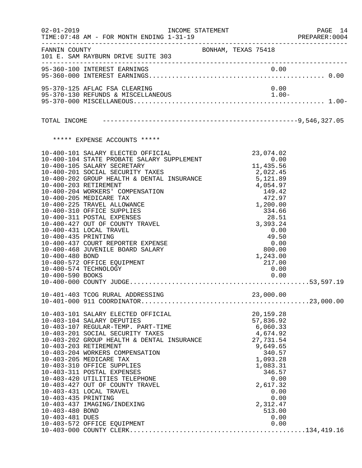|                                                            | 02-01-2019 INCOME STATEMENT                                                                                                                                                                                                                                                                                                                                                                                                                                                                                                                                                                                                                              |                     |                                                                                                                                                                                               | PAGE 14<br>PREPARER: 0004 |
|------------------------------------------------------------|----------------------------------------------------------------------------------------------------------------------------------------------------------------------------------------------------------------------------------------------------------------------------------------------------------------------------------------------------------------------------------------------------------------------------------------------------------------------------------------------------------------------------------------------------------------------------------------------------------------------------------------------------------|---------------------|-----------------------------------------------------------------------------------------------------------------------------------------------------------------------------------------------|---------------------------|
|                                                            | FANNIN COUNTY<br>101 E. SAM RAYBURN DRIVE SUITE 303                                                                                                                                                                                                                                                                                                                                                                                                                                                                                                                                                                                                      | BONHAM, TEXAS 75418 |                                                                                                                                                                                               |                           |
|                                                            | 95-360-100 INTEREST EARNINGS                                                                                                                                                                                                                                                                                                                                                                                                                                                                                                                                                                                                                             |                     | 0.00                                                                                                                                                                                          |                           |
|                                                            | 95-370-125 AFLAC FSA CLEARING                                                                                                                                                                                                                                                                                                                                                                                                                                                                                                                                                                                                                            |                     | 0.00                                                                                                                                                                                          |                           |
|                                                            |                                                                                                                                                                                                                                                                                                                                                                                                                                                                                                                                                                                                                                                          |                     |                                                                                                                                                                                               |                           |
|                                                            |                                                                                                                                                                                                                                                                                                                                                                                                                                                                                                                                                                                                                                                          |                     |                                                                                                                                                                                               |                           |
|                                                            | ***** EXPENSE ACCOUNTS *****                                                                                                                                                                                                                                                                                                                                                                                                                                                                                                                                                                                                                             |                     |                                                                                                                                                                                               |                           |
| 10-400-435 PRINTING<br>10-400-480 BOND<br>10-400-590 BOOKS | 10-400-101 SALARY ELECTED OFFICIAL<br>10-400-104 STATE PROBATE SALARY SUPPLEMENT<br>10-400-105 SALARY SECRETARY<br>10-400-201 SOCIAL SECURITY TAXES<br>10-400-202 GROUP HEALTH & DENTAL INSURANCE<br>10-400-202 BETIDEMENT & DENTAL INSURANCE<br>10-400-202 BETIDEMENT<br>10-400-203 RETIREMENT<br>10-400-204 WORKERS' COMPENSATION<br>10-400-205 MEDICARE TAX<br>10-400-225 TRAVEL ALLOWANCE<br>10-400-310 OFFICE SUPPLIES<br>10-400-311 POSTAL EXPENSES<br>10-400-427 OUT OF COUNTY TRAVEL<br>10-400-431 LOCAL TRAVEL<br>10-400-437 COURT REPORTER EXPENSE<br>10-400-468 JUVENILE BOARD SALARY<br>10-400-572 OFFICE EQUIPMENT<br>10-400-574 TECHNOLOGY |                     | 23,074.02<br>4,054.97<br>149.42<br>472.97<br>1,200.00<br>334.66<br>28.51<br>3,393.24<br>0.00<br>49.50<br>0.00<br>800.00<br>1,243.00<br>217.00<br>0.00<br>0.00                                 |                           |
|                                                            |                                                                                                                                                                                                                                                                                                                                                                                                                                                                                                                                                                                                                                                          |                     |                                                                                                                                                                                               |                           |
| 10-403-435 PRINTING<br>10-403-480 BOND<br>10-403-481 DUES  | 10-403-101 SALARY ELECTED OFFICIAL<br>10-403-104 SALARY DEPUTIES<br>10-403-107 REGULAR-TEMP. PART-TIME<br>10-403-201 SOCIAL SECURITY TAXES<br>10-403-202 GROUP HEALTH & DENTAL INSURANCE<br>10-403-203 RETIREMENT<br>10-403-204 WORKERS COMPENSATION<br>10-403-205 MEDICARE TAX<br>10-403-310 OFFICE SUPPLIES<br>10-403-311 POSTAL EXPENSES<br>10-403-420 UTILITIES TELEPHONE<br>10-403-427 OUT OF COUNTY TRAVEL<br>10-403-431 LOCAL TRAVEL<br>10-403-437 IMAGING/INDEXING<br>10-403-572 OFFICE EQUIPMENT                                                                                                                                                |                     | 20,159.28<br>57,836.92<br>6,060.33<br>4,674.92<br>27,731.54<br>9,649.65<br>340.57<br>1,093.28<br>1,083.31<br>346.57<br>0.00<br>2,617.32<br>0.00<br>0.00<br>2,312.47<br>513.00<br>0.00<br>0.00 |                           |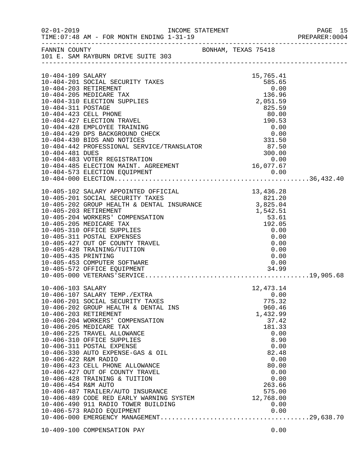| $02 - 01 - 2019$                                                     | TIME: 07:48 AM - FOR MONTH ENDING 1-31-19                                                                                                                                                                                                                                                                                                                                                                                                                                                                                                     |                                                                                                                                                       |  |
|----------------------------------------------------------------------|-----------------------------------------------------------------------------------------------------------------------------------------------------------------------------------------------------------------------------------------------------------------------------------------------------------------------------------------------------------------------------------------------------------------------------------------------------------------------------------------------------------------------------------------------|-------------------------------------------------------------------------------------------------------------------------------------------------------|--|
| FANNIN COUNTY                                                        | 101 E. SAM RAYBURN DRIVE SUITE 303                                                                                                                                                                                                                                                                                                                                                                                                                                                                                                            | BONHAM, TEXAS 75418                                                                                                                                   |  |
| 10-404-109 SALARY                                                    | 10-404-201 SOCIAL SECURITY TAXES<br>10-404-203 RETIREMENT                                                                                                                                                                                                                                                                                                                                                                                                                                                                                     | 15,765.41<br>585.65<br>0.00                                                                                                                           |  |
| 10-404-311 POSTAGE<br>10-404-423 CELL PHONE                          | 10-404-205 MEDICARE TAX<br>10-404-310 ELECTION SUPPLIES                                                                                                                                                                                                                                                                                                                                                                                                                                                                                       | 136.96<br>2,051.59<br>825.59<br>80.00                                                                                                                 |  |
|                                                                      | 10-404-427 ELECTION TRAVEL<br>10-404-428 EMPLOYEE TRAINING<br>10-404-429 DPS BACKGROUND CHECK<br>$10-404-429$ DPS BACKSKOOKE CHEEN<br>$10-404-430$ BIDS AND NOTICES<br>$10-404-442$ PROFESSIONAL SERVICE/TRANSLATOR 300.00<br>0.00                                                                                                                                                                                                                                                                                                            | 190.53<br>$0.00$<br>0.00<br>331.50                                                                                                                    |  |
|                                                                      | 10-404-481 DUES 300.00<br>10-404-483 VOTER REGISTRATION 6.00<br>10-404-485 ELECTION MAINT. AGREEMENT 16,077.67                                                                                                                                                                                                                                                                                                                                                                                                                                |                                                                                                                                                       |  |
|                                                                      | 10-405-102 SALARY APPOINTED OFFICIAL 13,436.28<br>10-405-201 SOCIAL SECURITY TAXES 821.20<br>10-405-202 GROUP HEALTH & DENTAL INSURANCE 3,825.04<br>10-405-203 RETIREMENT 1,542.51<br>10-405-204 WORKERS' COMPENSATION 53.61<br>10-405-2                                                                                                                                                                                                                                                                                                      |                                                                                                                                                       |  |
| 10-405-435 PRINTING                                                  | 10-405-310 OFFICE SUPPLIES<br>10-405-311 POSTAL EXPENSES<br>10-405-427 OUT OF COUNTY TRAVEL<br>10-405-428 TRAINING/TUITION<br>10-405-453 COMPUTER SOFTWARE<br>10-405-572 OFFICE EQUIPMENT                                                                                                                                                                                                                                                                                                                                                     | 0.00<br>0.00<br>0.00<br>0.00<br>0.00<br>0.00<br>34.99                                                                                                 |  |
| 10-406-103 SALARY                                                    | 10-406-107 SALARY TEMP./EXTRA                                                                                                                                                                                                                                                                                                                                                                                                                                                                                                                 | 12, 473.14<br>0.00                                                                                                                                    |  |
| 10-406-203 RETIREMENT<br>10-406-422 R&M RADIO<br>10-406-454 R&M AUTO | 10-406-201 SOCIAL SECURITY TAXES<br>10-406-202 GROUP HEALTH & DENTAL INS<br>10-406-204 WORKERS' COMPENSATION<br>10-406-205 MEDICARE TAX<br>10-406-225 TRAVEL ALLOWANCE<br>10-406-310 OFFICE SUPPLIES<br>10-406-311 POSTAL EXPENSE<br>10-406-330 AUTO EXPENSE-GAS & OIL<br>10-406-423 CELL PHONE ALLOWANCE<br>10-406-427 OUT OF COUNTY TRAVEL<br>10-406-428 TRAINING & TUITION<br>10-406-487 TRAILER/AUTO INSURANCE<br>10-406-489 CODE RED EARLY WARNING SYSTEM 12,768.00<br>10-406-490 911 RADIO TOWER BUILDING<br>10-406-573 RADIO EQUIPMENT | 775.32<br>960.46<br>1,432.99<br>37.42<br>181.33<br>0.00<br>8.90<br>0.00<br>82.48<br>0.00<br>80.00<br>0.00<br>0.00<br>263.66<br>575.00<br>0.00<br>0.00 |  |
|                                                                      | 10-409-100 COMPENSATION PAY                                                                                                                                                                                                                                                                                                                                                                                                                                                                                                                   | 0.00                                                                                                                                                  |  |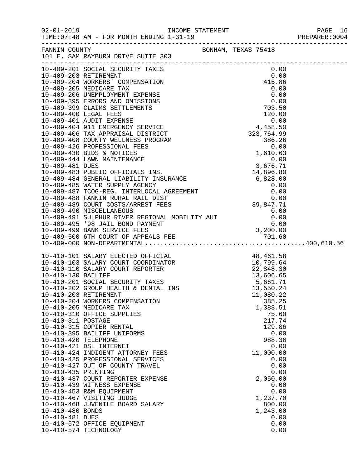|                      | 10-410-101 SALARY ELECTED OFFICIAL 48,461.58<br>10-410-103 SALARY COURT COORDINATOR 10,799.64<br>10-410-110 SALARY COURT REPORTER 22,848.30<br>10-410-201 SOCIAL SECURITY TAXES 5,661.71<br>10-410-202 GROUP HEALTH & DENTAL INS 13,55 |                   |  |
|----------------------|----------------------------------------------------------------------------------------------------------------------------------------------------------------------------------------------------------------------------------------|-------------------|--|
|                      |                                                                                                                                                                                                                                        |                   |  |
|                      |                                                                                                                                                                                                                                        |                   |  |
|                      |                                                                                                                                                                                                                                        |                   |  |
|                      |                                                                                                                                                                                                                                        |                   |  |
|                      | 10-410-203 RETIREMENT                                                                                                                                                                                                                  | 11,080.22         |  |
|                      | 10-410-204 WORKERS COMPENSATION                                                                                                                                                                                                        | 385.25            |  |
|                      | 10-410-205 MEDICARE TAX                                                                                                                                                                                                                | 1,388.51          |  |
|                      | 10-410-310 OFFICE SUPPLIES                                                                                                                                                                                                             | 75.60             |  |
| 10-410-311 POSTAGE   |                                                                                                                                                                                                                                        | 217.74            |  |
|                      | 10-410-315 COPIER RENTAL                                                                                                                                                                                                               | 129.86            |  |
|                      | 10-410-395 BAILIFF UNIFORMS                                                                                                                                                                                                            | 0.00              |  |
| 10-410-420 TELEPHONE |                                                                                                                                                                                                                                        | 988.36            |  |
|                      | 10-410-421 DSL INTERNET                                                                                                                                                                                                                | 0.00              |  |
|                      | 10-410-424 INDIGENT ATTORNEY FEES<br>10-410-425 PROFESSIONAL SERVICES                                                                                                                                                                  | 11,000.00<br>0.00 |  |
|                      | 10-410-427 OUT OF COUNTY TRAVEL                                                                                                                                                                                                        | 0.00              |  |
| 10-410-435 PRINTING  |                                                                                                                                                                                                                                        | 0.00              |  |
|                      | 10-410-437 COURT REPORTER EXPENSE                                                                                                                                                                                                      | 2,050.00          |  |
|                      | 10-410-439 WITNESS EXPENSE                                                                                                                                                                                                             | 0.00              |  |
|                      | 10-410-453 R&M EQUIPMENT                                                                                                                                                                                                               | 0.00              |  |
|                      | 10-410-467 VISITING JUDGE                                                                                                                                                                                                              | 1,237.70          |  |
|                      | 10-410-468 JUVENILE BOARD SALARY                                                                                                                                                                                                       | 800.00            |  |
| 10-410-480 BONDS     |                                                                                                                                                                                                                                        | 1,243.00          |  |
| 10-410-481 DUES      | 10-410-572 OFFICE EQUIPMENT                                                                                                                                                                                                            | 0.00<br>0.00      |  |
|                      | 10-410-574 TECHNOLOGY                                                                                                                                                                                                                  | 0.00              |  |
|                      |                                                                                                                                                                                                                                        |                   |  |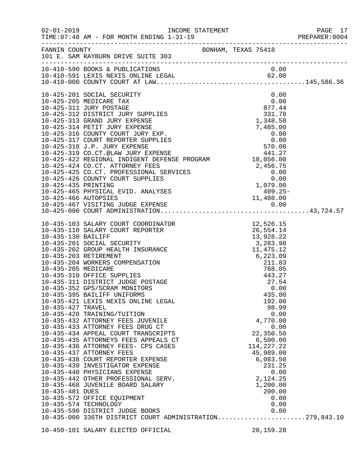| $02 - 01 - 2019$    | TIME: 07:48 AM - FOR MONTH ENDING 1-31-19                                                                                                                                                                                                                                                                                                                                |                                                              |  |
|---------------------|--------------------------------------------------------------------------------------------------------------------------------------------------------------------------------------------------------------------------------------------------------------------------------------------------------------------------------------------------------------------------|--------------------------------------------------------------|--|
| FANNIN COUNTY       | BONHAM, TEXAS 75418<br>101 E. SAM RAYBURN DRIVE SUITE 303                                                                                                                                                                                                                                                                                                                |                                                              |  |
|                     |                                                                                                                                                                                                                                                                                                                                                                          |                                                              |  |
|                     |                                                                                                                                                                                                                                                                                                                                                                          |                                                              |  |
|                     | 10-425-201 SOCIAL SECURITY                                                                                                                                                                                                                                                                                                                                               | 0.00                                                         |  |
|                     | 10-425-205 MEDICARE TAX                                                                                                                                                                                                                                                                                                                                                  | 0.00                                                         |  |
|                     | 10-425-311 JURY POSTAGE                                                                                                                                                                                                                                                                                                                                                  | 877.44                                                       |  |
|                     | 10-425-312 DISTRICT JURY SUPPLIES<br>10-425-313 GRAND JURY EXPENSE                                                                                                                                                                                                                                                                                                       | 331.78<br>1,348.58                                           |  |
|                     | 10-425-314 PETIT JURY EXPENSE                                                                                                                                                                                                                                                                                                                                            | 7,485.00                                                     |  |
|                     | 10-425-316 COUNTY COURT JURY EXP.                                                                                                                                                                                                                                                                                                                                        |                                                              |  |
|                     | 10-425-317 COURT REPORTER SUPPLIES                                                                                                                                                                                                                                                                                                                                       | $\begin{array}{r} 0.00 \ 0.00 \ 570.00 \ 441.27 \end{array}$ |  |
|                     | 10-425-318 J.P. JURY EXPENSE                                                                                                                                                                                                                                                                                                                                             |                                                              |  |
|                     | 10-425-319 CO.CT.@LAW JURY EXPENSE<br>10-425-422 REGIONAL INDIGENT DEFENSE PROGRAM 18,056.00                                                                                                                                                                                                                                                                             |                                                              |  |
|                     |                                                                                                                                                                                                                                                                                                                                                                          |                                                              |  |
|                     | 10-425-424 CO.CT. ATTORNEY FEES                                                                                                                                                                                                                                                                                                                                          |                                                              |  |
|                     | 10-425-425 CO.CT. PROFESSIONAL SERVICES                                                                                                                                                                                                                                                                                                                                  | $-0.000$<br>2,456.75<br>0.00                                 |  |
| 10-425-435 PRINTING | 10-425-426 COUNTY COURT SUPPLIES                                                                                                                                                                                                                                                                                                                                         |                                                              |  |
|                     | 10-425-465 PHYSICAL EVID. ANALYSES                                                                                                                                                                                                                                                                                                                                       | 1,079.00<br>-409.25                                          |  |
|                     |                                                                                                                                                                                                                                                                                                                                                                          |                                                              |  |
|                     |                                                                                                                                                                                                                                                                                                                                                                          |                                                              |  |
|                     |                                                                                                                                                                                                                                                                                                                                                                          |                                                              |  |
|                     | $\begin{tabular}{lllllllllllllllllllllllllllllllllllll} \rule{0pt}{0pt} 10-435-103 & \text{SALARY COURT COORDINATOR} & & & & & & 12,526.15 \\ 10-435-110 & \text{SALARY COURT REPORTER} & & & & & 26,554.14 \\ 10-435-130 & \text{BAILIFF} & & & 26,554.14 \\ 10-435-201 & \text{SOCIAL SECURITY} & & 3,283.22 \\ 10-435-202 & \text{GROUP HEALTH INSURANCE} & & 11,475$ |                                                              |  |
|                     |                                                                                                                                                                                                                                                                                                                                                                          |                                                              |  |
|                     |                                                                                                                                                                                                                                                                                                                                                                          |                                                              |  |
|                     |                                                                                                                                                                                                                                                                                                                                                                          |                                                              |  |
|                     |                                                                                                                                                                                                                                                                                                                                                                          |                                                              |  |
|                     |                                                                                                                                                                                                                                                                                                                                                                          |                                                              |  |
|                     |                                                                                                                                                                                                                                                                                                                                                                          |                                                              |  |
|                     | 10-435-310 OFFICE SUPPLIES                                                                                                                                                                                                                                                                                                                                               | 443.27                                                       |  |
|                     | 10-435-311 DISTRICT JUDGE POSTAGE                                                                                                                                                                                                                                                                                                                                        | 27.54                                                        |  |
|                     | 10-435-352 GPS/SCRAM MONITORS                                                                                                                                                                                                                                                                                                                                            | 0.00                                                         |  |
|                     | 10-435-395 BAILIFF UNIFORMS                                                                                                                                                                                                                                                                                                                                              | 435.00                                                       |  |
|                     | 10-435-421 LEXIS NEXIS ONLINE LEGAL                                                                                                                                                                                                                                                                                                                                      | 192.00                                                       |  |
| 10-435-427 TRAVEL   |                                                                                                                                                                                                                                                                                                                                                                          | 98.99                                                        |  |
|                     | 10-435-428 TRAINING/TUITION                                                                                                                                                                                                                                                                                                                                              | 0.00                                                         |  |
|                     | 10-435-432 ATTORNEY FEES JUVENILE                                                                                                                                                                                                                                                                                                                                        | 4,770.00                                                     |  |
|                     | 10-435-433 ATTORNEY FEES DRUG CT<br>10-435-434 APPEAL COURT TRANSCRIPTS                                                                                                                                                                                                                                                                                                  | 0.00<br>22,350.50                                            |  |
|                     | 10-435-435 ATTORNEYS FEES APPEALS CT                                                                                                                                                                                                                                                                                                                                     | 6,500.00                                                     |  |
|                     | 10-435-436 ATTORNEY FEES- CPS CASES                                                                                                                                                                                                                                                                                                                                      | 114, 227. 22                                                 |  |
|                     | 10-435-437 ATTORNEY FEES                                                                                                                                                                                                                                                                                                                                                 | 45,989.00                                                    |  |
|                     | 10-435-438 COURT REPORTER EXPENSE                                                                                                                                                                                                                                                                                                                                        | 6,083.50                                                     |  |
|                     | 10-435-439 INVESTIGATOR EXPENSE                                                                                                                                                                                                                                                                                                                                          | 231.25                                                       |  |
|                     | 10-435-440 PHYSICIANS EXPENSE                                                                                                                                                                                                                                                                                                                                            | 0.00                                                         |  |
|                     | 10-435-442 OTHER PROFESSIONAL SERV.                                                                                                                                                                                                                                                                                                                                      | 2,124.25                                                     |  |
| 10-435-481 DUES     | 10-435-468 JUVENILE BOARD SALARY                                                                                                                                                                                                                                                                                                                                         | 1,200.00<br>200.00                                           |  |
|                     | 10-435-572 OFFICE EQUIPMENT                                                                                                                                                                                                                                                                                                                                              | 0.00                                                         |  |
|                     | 10-435-574 TECHNOLOGY                                                                                                                                                                                                                                                                                                                                                    | 0.00                                                         |  |
|                     | 10-435-590 DISTRICT JUDGE BOOKS                                                                                                                                                                                                                                                                                                                                          | 0.00                                                         |  |
|                     | 10-435-000 336TH DISTRICT COURT ADMINISTRATION279,843.10                                                                                                                                                                                                                                                                                                                 |                                                              |  |
|                     | 10-450-101 SALARY ELECTED OFFICIAL                                                                                                                                                                                                                                                                                                                                       | 20,159.28                                                    |  |
|                     |                                                                                                                                                                                                                                                                                                                                                                          |                                                              |  |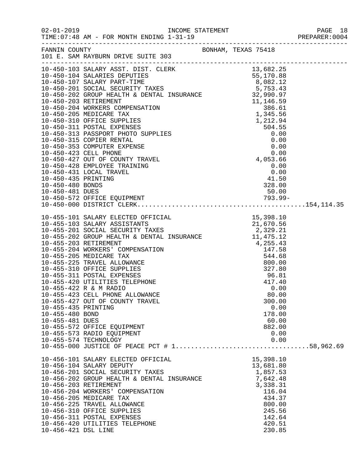| $02 - 01$ | $-2019$ |
|-----------|---------|

TIME:  $07:48$  AM - FOR MONTH ENDING  $1-31-19$ 

INCOME STATEMENT<br>2020 I - 21-19<br>2001-201-2019 PREPARER

|  | rich richt. Voor |  |  |
|--|------------------|--|--|
|  |                  |  |  |
|  |                  |  |  |

|                       | FANNIN COUNTY BONHAM, TEXAS 75418<br>101 E. SAM RAYBURN DRIVE SUITE 303 |           |  |
|-----------------------|-------------------------------------------------------------------------|-----------|--|
|                       |                                                                         |           |  |
|                       |                                                                         |           |  |
|                       |                                                                         |           |  |
|                       |                                                                         |           |  |
|                       |                                                                         |           |  |
|                       |                                                                         |           |  |
|                       |                                                                         |           |  |
|                       |                                                                         |           |  |
|                       |                                                                         |           |  |
|                       |                                                                         |           |  |
|                       |                                                                         |           |  |
|                       |                                                                         |           |  |
|                       |                                                                         |           |  |
|                       |                                                                         |           |  |
|                       |                                                                         |           |  |
|                       |                                                                         |           |  |
|                       |                                                                         |           |  |
|                       |                                                                         |           |  |
|                       |                                                                         |           |  |
|                       |                                                                         |           |  |
|                       |                                                                         |           |  |
|                       |                                                                         |           |  |
|                       |                                                                         |           |  |
|                       |                                                                         |           |  |
|                       |                                                                         |           |  |
|                       |                                                                         |           |  |
|                       |                                                                         |           |  |
|                       |                                                                         |           |  |
|                       |                                                                         |           |  |
|                       |                                                                         |           |  |
|                       |                                                                         |           |  |
|                       |                                                                         |           |  |
|                       |                                                                         |           |  |
|                       |                                                                         |           |  |
|                       |                                                                         |           |  |
|                       | 10-455-423 CELL PHONE ALLOWANCE                                         | 80.00     |  |
|                       | 10-455-427 OUT OF COUNTY TRAVEL                                         | 300.00    |  |
| 10-455-435 PRINTING   |                                                                         | 0.00      |  |
| 10-455-480 BOND       |                                                                         | 178.00    |  |
| 10-455-481 DUES       |                                                                         | 60.00     |  |
|                       | 10-455-572 OFFICE EQUIPMENT                                             | 882.00    |  |
|                       | 10-455-573 RADIO EQUIPMENT                                              | 0.00      |  |
| 10-455-574 TECHNOLOGY |                                                                         | 0.00      |  |
|                       |                                                                         |           |  |
|                       |                                                                         |           |  |
|                       | 10-456-101 SALARY ELECTED OFFICIAL                                      | 15,398.10 |  |
|                       | 10-456-104 SALARY DEPUTY                                                | 13,681.80 |  |
|                       | 10-456-201 SOCIAL SECURITY TAXES                                        | 1,857.53  |  |
|                       | 10-456-202 GROUP HEALTH & DENTAL INSURANCE                              | 7,642.48  |  |
| 10-456-203 RETIREMENT |                                                                         | 3,338.31  |  |
|                       | 10-456-204 WORKERS' COMPENSATION                                        | 116.04    |  |
|                       | 10-456-205 MEDICARE TAX                                                 | 434.37    |  |
|                       | 10-456-225 TRAVEL ALLOWANCE                                             | 800.00    |  |
|                       | 10-456-310 OFFICE SUPPLIES                                              | 245.56    |  |
|                       | 10-456-311 POSTAL EXPENSES                                              | 142.64    |  |
|                       | 10-456-420 UTILITIES TELEPHONE                                          | 420.51    |  |
| 10-456-421 DSL LINE   |                                                                         | 230.85    |  |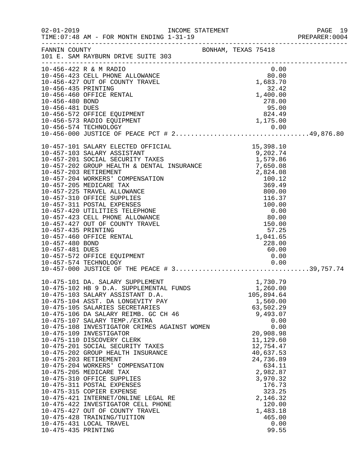|                                                           |                                                                                                                                                                                                                                                                                                                                                                                                                                                                                                                                                                                                                                                                                                                                                                                                                                                       |                     |                                                                                                                                                                                                                                                     | PREPARER: 0004 |
|-----------------------------------------------------------|-------------------------------------------------------------------------------------------------------------------------------------------------------------------------------------------------------------------------------------------------------------------------------------------------------------------------------------------------------------------------------------------------------------------------------------------------------------------------------------------------------------------------------------------------------------------------------------------------------------------------------------------------------------------------------------------------------------------------------------------------------------------------------------------------------------------------------------------------------|---------------------|-----------------------------------------------------------------------------------------------------------------------------------------------------------------------------------------------------------------------------------------------------|----------------|
|                                                           | FANNIN COUNTY<br>101 E. SAM RAYBURN DRIVE SUITE 303                                                                                                                                                                                                                                                                                                                                                                                                                                                                                                                                                                                                                                                                                                                                                                                                   | BONHAM, TEXAS 75418 |                                                                                                                                                                                                                                                     |                |
| 10-456-435 PRINTING<br>10-456-480 BOND<br>10-456-481 DUES | 10-456-422 R & M RADIO<br>10-456-422 K & M KADIO<br>10-456-423 CELL PHONE ALLOWANCE 80.00<br>10-456-427 OUT OF COUNTY TRAVEL 1,683.70<br>10-456-460 OFFICE RENTAL<br>10-456-572 OFFICE EQUIPMENT<br>10-456-573 RADIO EQUIPMENT                                                                                                                                                                                                                                                                                                                                                                                                                                                                                                                                                                                                                        |                     | 0.00<br>32.42<br>1,400.00<br>278.00<br>$\begin{array}{r} 278.00 \\ 95.00 \\ 824.49 \end{array}$<br>1,175.00                                                                                                                                         |                |
| 10-457-435 PRINTING<br>10-457-480 BOND<br>10-457-481 DUES | 10-457-460 OFFICE RENTAL<br>10-457-572 OFFICE EQUIPMENT                                                                                                                                                                                                                                                                                                                                                                                                                                                                                                                                                                                                                                                                                                                                                                                               |                     | 57.25<br>1,041.65<br>228.00<br>60.00<br>0.00                                                                                                                                                                                                        |                |
| 10-475-435 PRINTING                                       | 10-475-101 DA. SALARY SUPPLEMENT<br>10-475-102 HB 9 D.A. SUPPLEMENTAL FUNDS 10-475-102 HB 9 D.A. SUPPLEMENTAL FUNDS<br>10-475-103 SALARY ASSISTANT D.A.<br>10-475-104 ASST. DA LONGEVITY PAY<br>10-475-105 SALARIES SECRETARIES<br>10-475-106 DA SALARY REIMB. GC CH 46<br>10-475-107 SALARY TEMP./EXTRA<br>10-475-108 INVESTIGATOR CRIMES AGAINST WOMEN<br>10-475-109 INVESTIGATOR<br>10-475-110 DISCOVERY CLERK<br>10-475-201 SOCIAL SECURITY TAXES<br>10-475-202 GROUP HEALTH INSURANCE<br>10-475-203 RETIREMENT<br>10-475-204 WORKERS' COMPENSATION<br>10-475-205 MEDICARE TAX<br>10-475-310 OFFICE SUPPLIES<br>10-475-311 POSTAL EXPENSES<br>10-475-315 COPIER EXPENSE<br>10-475-421 INTERNET/ONLINE LEGAL RE<br>10-475-422 INVESTIGATOR CELL PHONE<br>10-475-427 OUT OF COUNTY TRAVEL<br>10-475-428 TRAINING/TUITION<br>10-475-431 LOCAL TRAVEL |                     | 105,894.64<br>1,560.00<br>63,502.29<br>9,493.07<br>0.00<br>0.00<br>20,908.98<br>11,129.60<br>12,754.47<br>40,637.53<br>24,736.89<br>634.11<br>2,982.87<br>3,970.32<br>176.73<br>323.25<br>2,146.32<br>120.00<br>1,483.18<br>465.00<br>0.00<br>99.55 |                |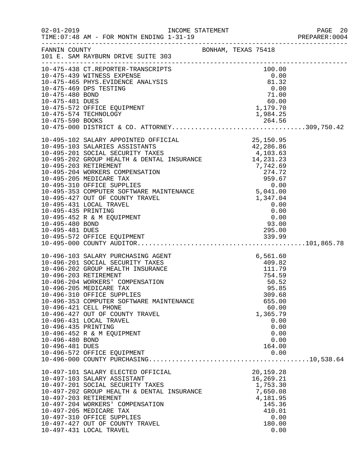|                                                           | TIME: 07:48 AM - FOR MONTH ENDING 1-31-19                                                                                                                                                                                                                                                                                                                                                                                                                                                              |                                                                                                                                                                                                   | PREPARER: 0004 |
|-----------------------------------------------------------|--------------------------------------------------------------------------------------------------------------------------------------------------------------------------------------------------------------------------------------------------------------------------------------------------------------------------------------------------------------------------------------------------------------------------------------------------------------------------------------------------------|---------------------------------------------------------------------------------------------------------------------------------------------------------------------------------------------------|----------------|
|                                                           | FANNIN COUNTY<br>101 E. SAM RAYBURN DRIVE SUITE 303                                                                                                                                                                                                                                                                                                                                                                                                                                                    | BONHAM, TEXAS 75418                                                                                                                                                                               |                |
|                                                           | $\begin{tabular}{lllllllllllllllllllllll} 10-475-438 & \text{CT}.REPORTER-TRANSCRIPTS & 100.00 \\ 10-475-439 & \text{WITNESS EXPENSE} & 0.00 \\ 10-475-465 & \text{PHYS.EVIDENCE ANALYSIS} & 81.32 \\ 10-475-469 & \text{DPS TESTING} & 0.00 \\ 10-475-480 & \text{BOND} & 71.00 \\ 10-475-481 & \text{DUES} & 60.00 \\ 10-475-572 & \text{OFFICE EQUIPMENT} & 1,17$<br>10-475-574 TECHNOLOGY                                                                                                          | 1,984.25                                                                                                                                                                                          |                |
| 10-495-435 PRINTING<br>10-495-480 BOND<br>10-495-481 DUES | 10-495-102 SALARY APPOINTED OFFICIAL 25,150.95<br>10-495-103 SALARIES ASSISTANTS 42,286.86<br>10-495-201 SOCIAL SECURITY TAXES 4,103.63<br>10-495-202 GROUP HEALTH & DENTAL INSURANCE 14,231.23<br>10-495-202 GROOP HEALTH & DENTRL INSURANCE<br>10-495-203 RETIREMENT<br>10-495-204 WORKERS COMPENSATION<br>10-495-205 MEDICARE TAX<br>10-495-310 OFFICE SUPPLIES<br>10-495-353 COMPUTER SOFTWARE MAINTENANCE<br>10-495-427 OUT OF COUNTY TR<br>10-495-431 LOCAL TRAVEL<br>10-495-452 R & M EQUIPMENT | $0.00$<br>0.00<br>0.00<br>93.00<br>295.00                                                                                                                                                         |                |
| 10-496-435 PRINTING<br>10-496-480 BOND<br>10-496-481 DUES | 10-496-103 SALARY PURCHASING AGENT<br>10-496-201 SOCIAL SECURITY TAXES<br>10-496-202 GROUP HEALTH INSURANCE<br>10-496-203 RETIREMENT<br>10-496-204 WORKERS' COMPENSATION<br>10-496-205 MEDICARE TAX<br>10-496-310 OFFICE SUPPLIES<br>10-496-353 COMPUTER SOFTWARE MAINTENANCE<br>10-496-421 CELL PHONE<br>10-496-427 OUT OF COUNTY TRAVEL<br>10-496-431 LOCAL TRAVEL<br>10-496-452 R & M EQUIPMENT<br>10-496-572 OFFICE EQUIPMENT                                                                      | T<br>$\begin{array}{r} 6,561.60 \\ 409.82 \\ 111.79 \\ 754.59 \end{array}$<br>754.59<br>50.52<br>95.85<br>309.68<br>655.00<br>60.00<br>1,365.79<br>0.00<br>0.00<br>0.00<br>0.00<br>164.00<br>0.00 |                |
|                                                           | 10-497-101 SALARY ELECTED OFFICIAL<br>10-497-103 SALARY ASSISTANT<br>10-497-201 SOCIAL SECURITY TAXES<br>10-497-202 GROUP HEALTH & DENTAL INSURANCE<br>10-497-203 RETIREMENT<br>10-497-204 WORKERS' COMPENSATION<br>10-497-205 MEDICARE TAX<br>10-497-310 OFFICE SUPPLIES<br>10-497-427 OUT OF COUNTY TRAVEL<br>10-497-431 LOCAL TRAVEL                                                                                                                                                                | 20,159.28<br>16,269.21<br>1,753.30<br>7,650.08<br>4,181.95<br>145.36<br>410.01<br>0.00<br>180.00<br>0.00                                                                                          |                |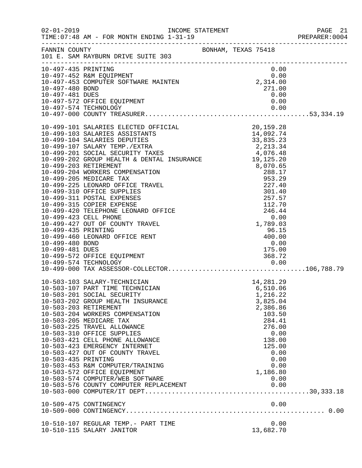| $02 - 01 - 2019$                                          | INCOME STATEMENT<br>TIME: 07:48 AM - FOR MONTH ENDING 1-31-19                                                                                                                                                                                                                                                                                                                                                                                                                                                                                                                                                                                                                                                                                                |                                                                                                                                                                                   | PAGE 21<br>PREPARER: 0004 |
|-----------------------------------------------------------|--------------------------------------------------------------------------------------------------------------------------------------------------------------------------------------------------------------------------------------------------------------------------------------------------------------------------------------------------------------------------------------------------------------------------------------------------------------------------------------------------------------------------------------------------------------------------------------------------------------------------------------------------------------------------------------------------------------------------------------------------------------|-----------------------------------------------------------------------------------------------------------------------------------------------------------------------------------|---------------------------|
|                                                           | FANNIN COUNTY SONHAM, TEXAS 75418<br>101 E. SAM RAYBURN DRIVE SUITE 303                                                                                                                                                                                                                                                                                                                                                                                                                                                                                                                                                                                                                                                                                      |                                                                                                                                                                                   |                           |
| 10-497-435 PRINTING<br>10-497-480 BOND<br>10-497-481 DUES | 10-497-452 R&M EQUIPMENT<br>10-497-453 COMPUTER SOFTWARE MAINTEN<br>10-497-572 OFFICE EQUIPMENT<br>10-497-574 TECHNOLOGY                                                                                                                                                                                                                                                                                                                                                                                                                                                                                                                                                                                                                                     | 0.00<br>$0.00$<br>2,314.00<br>271.00<br>0.00<br>0.00<br>0.00                                                                                                                      |                           |
| 10-499-435 PRINTING<br>10-499-480 BOND<br>10-499-481 DUES | 10-499-101 SALARIES ELECTED OFFICIAL 20,159.28<br>10-499-103 SALARIES ASSISTANTS 14,092.74<br>10-499-107 SALARIES DEPUTIES 33,835.23<br>10-499-201 SOCIAL SECURITY TAXES 4,076.48<br>10-499-202 GROUP HEALTH & DENTAL INSURANCE 19,125<br>10-499-203 RETIREMENT<br>10-499-204 WORKERS COMPENSATION<br>10-499-205 MEDICARE TAX<br>10-499-225 LEONARD OFFICE TRAVEL<br>10-499-310 OFFICE SUPPLIES<br>10-499-311 POSTAL EXPENSES<br>10-499-315 COPIER EXPENSE<br>10-499-420 TELEPHONE LEONARD OFFICE<br>10-499-423 CELL PHONE<br>10-499-427 OUT OF COUNTY TRAVEL<br>10-499-460 LEONARD OFFICE RENT<br>10-499-572 OFFICE EQUIPMENT<br>10-499-574 TECHNOLOGY<br>10-499-574 TECHNOLOGY                         0.00<br>10-499-000 TAX ASSESSOR-COLLECTOR106,788.79 | 19,125.20<br>8,070.65<br>288.17<br>953.29<br>227.40<br>301.40<br>257.57<br>112.70<br>246.44<br>0.00<br>1799.03<br>1,789.03<br>96.15<br>400.00<br>0.00<br>175.00<br>368.72<br>0.00 |                           |
| 10-503-435 PRINTING                                       | 10-503-103 SALARY-TECHNICIAN<br>10-503-107 PART TIME TECHNICIAN<br>10-503-201 SOCIAL SECURITY<br>10-503-202 GROUP HEALTH INSURANCE<br>10-503-203 RETIREMENT<br>10-503-204 WORKERS COMPENSATION<br>10-503-205 MEDICARE TAX<br>10-503-225 TRAVEL ALLOWANCE<br>10-503-310 OFFICE SUPPLIES<br>10-503-421 CELL PHONE ALLOWANCE<br>10-503-423 EMERGENCY INTERNET<br>10-503-427 OUT OF COUNTY TRAVEL<br>10-503-453 R&M COMPUTER/TRAINING<br>10-503-572 OFFICE EQUIPMENT<br>10-503-574 COMPUTER/WEB SOFTWARE<br>10-509-475 CONTINGENCY                                                                                                                                                                                                                               | 14,281.29<br>6,510.06<br>1,216.22<br>3,825.04<br>2,386.86<br>103.50<br>284.41<br>276.00<br>0.00<br>138.00<br>125.00<br>0.00<br>0.00<br>0.00<br>1,186.80<br>0.00<br>0.00           |                           |
|                                                           | 10-510-107 REGULAR TEMP.- PART TIME<br>10-510-115 SALARY JANITOR                                                                                                                                                                                                                                                                                                                                                                                                                                                                                                                                                                                                                                                                                             | 0.00<br>13,682.70                                                                                                                                                                 |                           |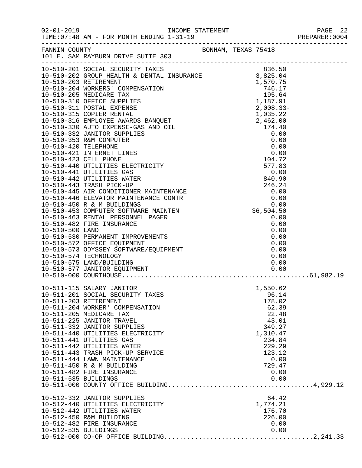|                                               | FANNIN COUNTY BONHAM, TEXAS 75418<br>101 E. SAM RAYBURN DRIVE SUITE 303                                                                                                                                                                                                                                                                                                                                            |  |                                                                                                                                              |  |
|-----------------------------------------------|--------------------------------------------------------------------------------------------------------------------------------------------------------------------------------------------------------------------------------------------------------------------------------------------------------------------------------------------------------------------------------------------------------------------|--|----------------------------------------------------------------------------------------------------------------------------------------------|--|
|                                               |                                                                                                                                                                                                                                                                                                                                                                                                                    |  |                                                                                                                                              |  |
|                                               |                                                                                                                                                                                                                                                                                                                                                                                                                    |  |                                                                                                                                              |  |
|                                               |                                                                                                                                                                                                                                                                                                                                                                                                                    |  |                                                                                                                                              |  |
|                                               |                                                                                                                                                                                                                                                                                                                                                                                                                    |  |                                                                                                                                              |  |
|                                               |                                                                                                                                                                                                                                                                                                                                                                                                                    |  |                                                                                                                                              |  |
|                                               |                                                                                                                                                                                                                                                                                                                                                                                                                    |  |                                                                                                                                              |  |
|                                               |                                                                                                                                                                                                                                                                                                                                                                                                                    |  |                                                                                                                                              |  |
|                                               |                                                                                                                                                                                                                                                                                                                                                                                                                    |  |                                                                                                                                              |  |
| 10-511-203 RETIREMENT<br>10-511-535 BUILDINGS | 10-511-115 SALARY JANITOR<br>10-511-201 SOCIAL SECURITY TAXES<br>10-511-204 WORKER' COMPENSATION<br>10-511-205 MEDICARE TAX<br>10-511-225 JANITOR TRAVEL<br>10-511-332 JANITOR SUPPLIES<br>10-511-440 UTILITIES ELECTRICITY<br>10-511-441 UTILITIES GAS<br>10-511-442 UTILITIES WATER<br>10-511-443 TRASH PICK-UP SERVICE<br>10-511-444 LAWN MAINTENANCE<br>10-511-450 R & M BUILDING<br>10-511-482 FIRE INSURANCE |  | 1,550.62<br>96.14<br>178.02<br>62.39<br>22.48<br>43.01<br>349.27<br>1,310.47<br>234.84<br>229.29<br>123.12<br>0.00<br>729.47<br>0.00<br>0.00 |  |
| 10-512-535 BUILDINGS                          | 10-512-332 JANITOR SUPPLIES<br>10-512-440 UTILITIES ELECTRICITY<br>10-512-442 UTILITIES WATER<br>10-512-450 R&M BUILDING<br>10-512-482 FIRE INSURANCE                                                                                                                                                                                                                                                              |  | 64.42<br>1,774.21<br>176.70<br>226.00<br>0.00<br>0.00                                                                                        |  |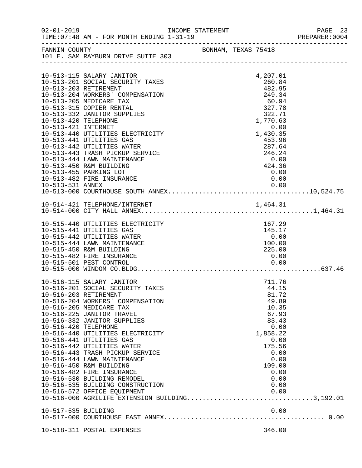| $02 - 01 - 2019$                            | INCOME STATEMENT<br>TIME: 07:48 AM - FOR MONTH ENDING 1-31-19                                                                                                                                                                                                                                                                                                                                                                                                                                                                                                                                 |  |                                                                                                                                                              | PAGE 23<br>PREPARER:0004 |
|---------------------------------------------|-----------------------------------------------------------------------------------------------------------------------------------------------------------------------------------------------------------------------------------------------------------------------------------------------------------------------------------------------------------------------------------------------------------------------------------------------------------------------------------------------------------------------------------------------------------------------------------------------|--|--------------------------------------------------------------------------------------------------------------------------------------------------------------|--------------------------|
| FANNIN COUNTY                               | BONHAM, TEXAS 75418<br>101 E. SAM RAYBURN DRIVE SUITE 303                                                                                                                                                                                                                                                                                                                                                                                                                                                                                                                                     |  |                                                                                                                                                              |                          |
|                                             | 10-513-115 SALARY JANITOR<br>10-513-201 SOCIAL SECURITY TAXES<br>10-513-203 RETIREMENT<br>10-513-204 WORKERS' COMPENSATION<br>10-513-205 MEDICARE TAX                                                                                                                                                                                                                                                                                                                                                                                                                                         |  | 4,207.01<br>260.84<br>482.95<br>249.34<br>60.94                                                                                                              |                          |
| 10-513-420 TELEPHONE<br>10-513-421 INTERNET | 10-513-315 COPIER RENTAL<br>10-513-332 JANITOR SUPPLIES                                                                                                                                                                                                                                                                                                                                                                                                                                                                                                                                       |  | 327.78<br>322.71<br>1,770.63<br>0.00                                                                                                                         |                          |
|                                             | 10-513-440 UTILITIES ELECTRICITY<br>10-513-441 UTILITIES GAS<br>10-513-442 UTILITIES WATER<br>10-513-443 TRASH PICKUP SERVICE<br>10-513-444 LAWN MAINTENANCE<br>10-513-450 R&M BUILDING<br>10-513-455 PARKING LOT<br>10-513-482 FIRE INSURANCE                                                                                                                                                                                                                                                                                                                                                |  | 1,430.35<br>453.96<br>287.64<br>246.24<br>0.00<br>424.36<br>0.00<br>0.00                                                                                     |                          |
|                                             |                                                                                                                                                                                                                                                                                                                                                                                                                                                                                                                                                                                               |  |                                                                                                                                                              |                          |
|                                             |                                                                                                                                                                                                                                                                                                                                                                                                                                                                                                                                                                                               |  |                                                                                                                                                              |                          |
|                                             | 10-515-440 UTILITIES ELECTRICITY<br>10-515-441 UTILITIES GAS<br>10-515-442 UTILITIES WATER<br>10-515-444 LAWN MAINTENANCE<br>10-515-450 R&M BUILDING<br>10-515-482 FIRE INSURANCE<br>10-515-501 PEST CONTROL                                                                                                                                                                                                                                                                                                                                                                                  |  | 167.29<br>145.17<br>0.00<br>100.00<br>225.00<br>0.00<br>0.00                                                                                                 |                          |
| 10-516-420 TELEPHONE                        | 10-516-115 SALARY JANITOR<br>10-516-201 SOCIAL SECURITY TAXES<br>10-516-203 RETIREMENT<br>10-516-204 WORKERS' COMPENSATION<br>10-516-205 MEDICARE TAX<br>10-516-225 JANITOR TRAVEL<br>10-516-332 JANITOR SUPPLIES<br>10-516-440 UTILITIES ELECTRICITY<br>10-516-441 UTILITIES GAS<br>10-516-442 UTILITIES WATER<br>10-516-443 TRASH PICKUP SERVICE<br>10-516-444 LAWN MAINTENANCE<br>10-516-450 R&M BUILDING<br>10-516-482 FIRE INSURANCE<br>10-516-530 BUILDING REMODEL<br>10-516-535 BUILDING CONSTRUCTION<br>10-516-572 OFFICE EQUIPMENT<br>10-516-000 AGRILIFE EXTENSION BUILDING3,192.01 |  | 711.76<br>44.15<br>81.72<br>49.89<br>10.35<br>67.93<br>83.43<br>0.00<br>1,858.22<br>0.00<br>175.56<br>0.00<br>0.00<br>109.00<br>0.00<br>0.00<br>0.00<br>0.00 |                          |
| 10-517-535 BUILDING                         |                                                                                                                                                                                                                                                                                                                                                                                                                                                                                                                                                                                               |  |                                                                                                                                                              |                          |
|                                             | 10-518-311 POSTAL EXPENSES                                                                                                                                                                                                                                                                                                                                                                                                                                                                                                                                                                    |  | 346.00                                                                                                                                                       |                          |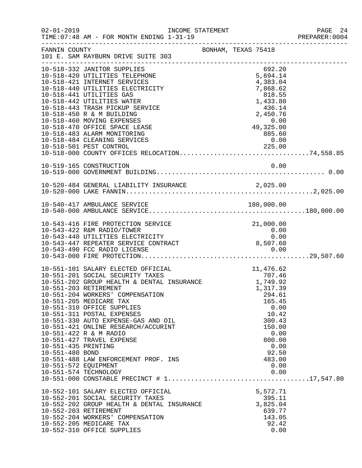| $02 - 01 - 2019$                       | TIME: 07:48 AM - FOR MONTH ENDING 1-31-19                                                                                                  | INCOME STATEMENT                | PAGE 24<br>PREPARER: 0004 |
|----------------------------------------|--------------------------------------------------------------------------------------------------------------------------------------------|---------------------------------|---------------------------|
| FANNIN COUNTY                          | 101 E. SAM RAYBURN DRIVE SUITE 303                                                                                                         | BONHAM, TEXAS 75418             |                           |
|                                        | 10-518-332 JANITOR SUPPLIES<br>10-518-420 UTILITIES TELEPHONE                                                                              | 692.20<br>5,694.14              |                           |
|                                        | 10-518-421 INTERNET SERVICES<br>10-518-440 UTILITIES ELECTRICITY<br>10-518-441 UTILITIES GAS                                               | 4,383.04<br>7,868.62<br>818.55  |                           |
|                                        | 10-518-442 UTILITIES WATER<br>10-518-443 TRASH PICKUP SERVICE                                                                              | 1,433.80<br>436.14              |                           |
|                                        | 10-518-450 R & M BUILDING<br>10-518-460 MOVING EXPENSES<br>10-518-470 OFFICE SPACE LEASE                                                   | 2,450.76<br>$0.00$<br>49,325.00 |                           |
|                                        | 10-518-483 ALARM MONITORING<br>10-518-484 CLEANING SERVICES                                                                                | 885.60<br>0.00                  |                           |
|                                        |                                                                                                                                            |                                 |                           |
|                                        | 10-519-165 CONSTRUCTION                                                                                                                    | 0.00                            |                           |
|                                        | 10-520-484 GENERAL LIABILITY INSURANCE                                                                                                     | 2,025.00                        |                           |
|                                        |                                                                                                                                            |                                 |                           |
|                                        | 10-543-416 FIRE PROTECTION SERVICE                                                                                                         | 21,000.00                       |                           |
|                                        | 10-543-422 R&M RADIO/TOWER<br>10-543-440 UTILITIES ELECTRICITY<br>10-543-440 OILLIILES ELECIRICIII<br>10-543-447 REPEATER SERVICE CONTRACT | 0.00<br>0.00<br>8,507.60        |                           |
|                                        | 10-543-490 FCC RADIO LICENSE                                                                                                               | 0.00                            |                           |
|                                        | 10-551-101 SALARY ELECTED OFFICIAL<br>$\mathcal{L}$<br>10-551-201 SOCIAL SECURITY TAXES                                                    | 11,476.62<br>707.46<br>1,749.92 |                           |
|                                        | 10-551-202 GROUP HEALTH & DENTAL INSURANCE<br>10-551-203 RETIREMENT                                                                        | 1,317.39                        |                           |
|                                        | 10-551-204 WORKERS' COMPENSATION<br>10-551-205 MEDICARE TAX<br>10-551-310 OFFICE SUPPLIES                                                  | 294.61<br>165.45<br>0.00        |                           |
|                                        | 10-551-311 POSTAL EXPENSES<br>10-551-330 AUTO EXPENSE-GAS AND OIL                                                                          | 10.42<br>300.43                 |                           |
|                                        | 10-551-421 ONLINE RESEARCH/ACCURINT<br>10-551-422 R & M RADIO                                                                              | 150.00<br>0.00                  |                           |
| 10-551-435 PRINTING<br>10-551-480 BOND | 10-551-427 TRAVEL EXPENSE                                                                                                                  | 800.00<br>0.00<br>92.50         |                           |
| 10-551-572 EOUIPMENT                   | 10-551-488 LAW ENFORCEMENT PROF. INS                                                                                                       | 483.00<br>0.00                  |                           |
|                                        | 10-551-574 TECHNOLOGY                                                                                                                      | 0.00                            |                           |
|                                        | 10-552-101 SALARY ELECTED OFFICIAL<br>10-552-201 SOCIAL SECURITY TAXES                                                                     | 5,572.71<br>395.11              |                           |
|                                        | 10-552-202 GROUP HEALTH & DENTAL INSURANCE<br>10-552-203 RETIREMENT                                                                        | 3,825.04<br>639.77              |                           |
|                                        | 10-552-204 WORKERS' COMPENSATION<br>10-552-205 MEDICARE TAX<br>10-552-310 OFFICE SUPPLIES                                                  | 143.05<br>92.42<br>0.00         |                           |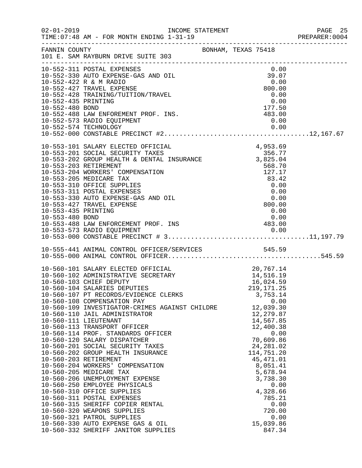| $02 - 01 - 2019$                       | INCOME STATEMENT<br>TIME: 07:48 AM - FOR MONTH ENDING 1-31-19                                                                                                                                                                                                                                                                                                                                                                                                                                                                                                                                                                                                                                                                                                                                                                                                                                                                                         |                     |                                                              |                                                                                                                                                                                                                |                                      | PAGE 25<br>PREPARER: 0004 |
|----------------------------------------|-------------------------------------------------------------------------------------------------------------------------------------------------------------------------------------------------------------------------------------------------------------------------------------------------------------------------------------------------------------------------------------------------------------------------------------------------------------------------------------------------------------------------------------------------------------------------------------------------------------------------------------------------------------------------------------------------------------------------------------------------------------------------------------------------------------------------------------------------------------------------------------------------------------------------------------------------------|---------------------|--------------------------------------------------------------|----------------------------------------------------------------------------------------------------------------------------------------------------------------------------------------------------------------|--------------------------------------|---------------------------|
|                                        | FANNIN COUNTY<br>101 E. SAM RAYBURN DRIVE SUITE 303                                                                                                                                                                                                                                                                                                                                                                                                                                                                                                                                                                                                                                                                                                                                                                                                                                                                                                   | BONHAM, TEXAS 75418 |                                                              |                                                                                                                                                                                                                |                                      |                           |
| 10-552-435 PRINTING<br>10-552-480 BOND | 10-552-311 POSTAL EXPENSES<br>10-552-330 AUTO EXPENSE-GAS AND OIL<br>10-552-422 R & M RADIO<br>10-552-427 TRAVEL EXPENSE<br>10-552-428 TRAINING/TUITION/TRAVEL<br>10-552-488 LAW ENFOREMENT PROF. INS.<br>10-552-573 RADIO EQUIPMENT                                                                                                                                                                                                                                                                                                                                                                                                                                                                                                                                                                                                                                                                                                                  | 483.00              | 39.07                                                        | 0.00<br>0.00<br>800.00<br>0.00<br>0.00<br>177.50<br>0.00                                                                                                                                                       |                                      |                           |
| 10-553-435 PRINTING<br>10-553-480 BOND | 10-553-101 SALARY ELECTED OFFICIAL<br>10-553-201 SOCIAL SECURITY TAXES<br>10-553-201 SOCIAL SECURITY TAXES<br>10-553-202 GROUP HEALTH & DENTAL INSURANCE 3,825.04<br>10-553-202 BETIDEMENT<br>10-553-203 RETIREMENT<br>10-553-204 WORKERS' COMPENSATION<br>10-553-205 MEDICARE TAX<br>10-553-310 OFFICE SUPPLIES<br>10-553-311 POSTAL EXPENSES<br>10-553-330 AUTO EXPENSE-GAS AND OIL<br>10-553-427 TRAVEL EXPENSE<br>10-553-488 LAW ENFORCEMENT PROF. INS<br>10-553-572 PADIO POULDIERT                                                                                                                                                                                                                                                                                                                                                                                                                                                              |                     | 4,953.69<br>$0.00$<br>$0.00$<br>$800.00$<br>$0.00$<br>483.00 | 568.70<br>127.17<br>83.42<br>0.00<br>0.00<br>0.00                                                                                                                                                              |                                      |                           |
|                                        | 10-555-441 ANIMAL CONTROL OFFICER/SERVICES 545.59                                                                                                                                                                                                                                                                                                                                                                                                                                                                                                                                                                                                                                                                                                                                                                                                                                                                                                     |                     |                                                              |                                                                                                                                                                                                                |                                      |                           |
|                                        | 10-560-101 SALARY ELECTED OFFICIAL 20,767.14<br>10-560-102 ADMINISTRATIVE SECRETARY 14,516.19<br>10-560-103 CHIEF DEPUTY 16,024.59<br>10-560-104 SALARIES DEPUTIES 219,171.25<br>10-560-107 PT RECORDS/EVIDENCE CLERKS<br>10-560-108 COMPENSATION PAY<br>10-560-109 INVESTIGATOR-CRIMES AGAINST CHILDRE<br>10-560-110 JAIL ADMINISTRATOR<br>10-560-111 LIEUTENANT<br>10-560-113 TRANSPORT OFFICER<br>10-560-114 PROF. STANDARDS OFFICER<br>10-560-120 SALARY DISPATCHER<br>10-560-201 SOCIAL SECURITY TAXES<br>10-560-202 GROUP HEALTH INSURANCE<br>10-560-203 RETIREMENT<br>10-560-204 WORKERS' COMPENSATION<br>10-560-205 MEDICARE TAX<br>10-560-206 UNEMPLOYMENT EXPENSE<br>10-560-250 EMPLOYEE PHYSICALS<br>10-560-310 OFFICE SUPPLIES<br>10-560-311 POSTAL EXPENSES<br>10-560-315 SHERIFF COPIER RENTAL<br>10-560-320 WEAPONS SUPPLIES<br>10-560-321 PATROL SUPPLIES<br>10-560-330 AUTO EXPENSE GAS & OIL<br>10-560-332 SHERIFF JANITOR SUPPLIES |                     |                                                              | 3,753.14<br>12,039.30<br>12,279.87<br>14,567.85<br>12,400.38<br>70,609.86<br>24, 281.02<br>114,751.20<br>45, 471.01<br>8,051.41<br>5,678.94<br>3,738.30<br>4,328.66<br>785.21<br>720.00<br>15,039.86<br>847.34 | 0.00<br>0.00<br>0.00<br>0.00<br>0.00 |                           |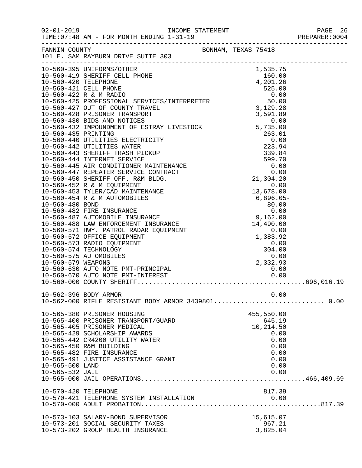02-01-2019 INCOME STATEMENT PAGE 26  $TIME:07:48$  AM - FOR MONTH ENDING  $1-31-19$ 

| — . |  |  |  |  |  | ------------------ |  |  |  |  |  |
|-----|--|--|--|--|--|--------------------|--|--|--|--|--|
| 8   |  |  |  |  |  |                    |  |  |  |  |  |
|     |  |  |  |  |  |                    |  |  |  |  |  |

| FANNIN COUNTY        | BONHAM, TEXAS 75418                                                                                                                                                                                                                        |            |  |
|----------------------|--------------------------------------------------------------------------------------------------------------------------------------------------------------------------------------------------------------------------------------------|------------|--|
|                      | 101 E. SAM RAYBURN DRIVE SUITE 303                                                                                                                                                                                                         |            |  |
|                      |                                                                                                                                                                                                                                            |            |  |
|                      | 10-560-395 UNIFORMS/OTHER<br>0NE<br>1,535.75<br>160.00<br>4,201.26                                                                                                                                                                         |            |  |
|                      | 10-560-419 SHERIFF CELL PHONE                                                                                                                                                                                                              |            |  |
|                      |                                                                                                                                                                                                                                            |            |  |
| 10-560-420 TELEPHONE |                                                                                                                                                                                                                                            |            |  |
|                      | 10-560-421 CELL PHONE                                                                                                                                                                                                                      |            |  |
|                      | 10-560-421 CELL PHONE<br>10-560-422 R & M RADIO<br>10-560-425 PROFESSIONAL SERVICES/INTERPRETER<br>10-560-427 OUT OF COUNTY TRAVEL<br>10-560-428 PRISONER TRANSPORT<br>10-560-430 BIDS AND NOTICES<br>10-560-432 IMPOUNDMENT OF ESTRAY LIV |            |  |
|                      |                                                                                                                                                                                                                                            |            |  |
|                      |                                                                                                                                                                                                                                            |            |  |
|                      |                                                                                                                                                                                                                                            |            |  |
|                      |                                                                                                                                                                                                                                            |            |  |
|                      |                                                                                                                                                                                                                                            |            |  |
|                      |                                                                                                                                                                                                                                            |            |  |
|                      |                                                                                                                                                                                                                                            |            |  |
|                      |                                                                                                                                                                                                                                            |            |  |
|                      |                                                                                                                                                                                                                                            |            |  |
|                      |                                                                                                                                                                                                                                            |            |  |
|                      |                                                                                                                                                                                                                                            |            |  |
|                      |                                                                                                                                                                                                                                            |            |  |
|                      |                                                                                                                                                                                                                                            |            |  |
|                      |                                                                                                                                                                                                                                            |            |  |
|                      |                                                                                                                                                                                                                                            |            |  |
|                      |                                                                                                                                                                                                                                            |            |  |
|                      |                                                                                                                                                                                                                                            |            |  |
|                      |                                                                                                                                                                                                                                            |            |  |
|                      |                                                                                                                                                                                                                                            |            |  |
|                      |                                                                                                                                                                                                                                            |            |  |
|                      |                                                                                                                                                                                                                                            |            |  |
|                      |                                                                                                                                                                                                                                            |            |  |
|                      |                                                                                                                                                                                                                                            |            |  |
|                      |                                                                                                                                                                                                                                            |            |  |
|                      |                                                                                                                                                                                                                                            |            |  |
|                      |                                                                                                                                                                                                                                            |            |  |
|                      |                                                                                                                                                                                                                                            |            |  |
|                      |                                                                                                                                                                                                                                            |            |  |
|                      |                                                                                                                                                                                                                                            |            |  |
|                      |                                                                                                                                                                                                                                            |            |  |
|                      |                                                                                                                                                                                                                                            |            |  |
|                      |                                                                                                                                                                                                                                            |            |  |
|                      | 10-562-396 BODY ARMOR                                                                                                                                                                                                                      |            |  |
|                      |                                                                                                                                                                                                                                            | 0.00       |  |
|                      |                                                                                                                                                                                                                                            |            |  |
|                      |                                                                                                                                                                                                                                            |            |  |
|                      | 10-565-380 PRISONER HOUSING                                                                                                                                                                                                                | 455,550.00 |  |
|                      | 10-565-400 PRISONER TRANSPORT/GUARD                                                                                                                                                                                                        | 645.19     |  |
|                      | 10-565-405 PRISONER MEDICAL                                                                                                                                                                                                                | 10,214.50  |  |
|                      | 10-565-429 SCHOLARSHIP AWARDS                                                                                                                                                                                                              | 0.00       |  |
|                      | 10-565-442 CR4200 UTILITY WATER                                                                                                                                                                                                            | 0.00       |  |
|                      | 10-565-450 R&M BUILDING                                                                                                                                                                                                                    | 0.00       |  |
|                      | 10-565-482 FIRE INSURANCE                                                                                                                                                                                                                  | 0.00       |  |
|                      | 10-565-491 JUSTICE ASSISTANCE GRANT                                                                                                                                                                                                        | 0.00       |  |
| 10-565-500 LAND      |                                                                                                                                                                                                                                            | 0.00       |  |
|                      |                                                                                                                                                                                                                                            |            |  |
| 10-565-532 JAIL      |                                                                                                                                                                                                                                            | 0.00       |  |
|                      |                                                                                                                                                                                                                                            |            |  |
|                      |                                                                                                                                                                                                                                            |            |  |
| 10-570-420 TELEPHONE |                                                                                                                                                                                                                                            | 817.39     |  |
|                      | 10-570-421 TELEPHONE SYSTEM INSTALLATION                                                                                                                                                                                                   | 0.00       |  |
|                      |                                                                                                                                                                                                                                            |            |  |
|                      |                                                                                                                                                                                                                                            |            |  |
|                      | 10-573-103 SALARY-BOND SUPERVISOR                                                                                                                                                                                                          | 15,615.07  |  |
|                      | 10-573-201 SOCIAL SECURITY TAXES                                                                                                                                                                                                           | 967.21     |  |
|                      | 10-573-202 GROUP HEALTH INSURANCE                                                                                                                                                                                                          | 3,825.04   |  |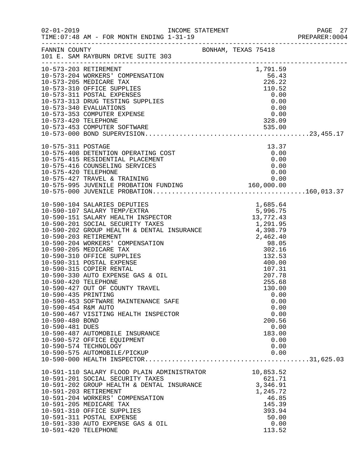|                                                                                  |                                                                                                                                                                                                                                                                                                                                                                                                                            |                                                                                                | PAGE 27<br>PREPARER:0004 |
|----------------------------------------------------------------------------------|----------------------------------------------------------------------------------------------------------------------------------------------------------------------------------------------------------------------------------------------------------------------------------------------------------------------------------------------------------------------------------------------------------------------------|------------------------------------------------------------------------------------------------|--------------------------|
|                                                                                  | FANNIN COUNTY BONHAM, TEXAS 75418<br>101 E. SAM RAYBURN DRIVE SUITE 303                                                                                                                                                                                                                                                                                                                                                    |                                                                                                |                          |
|                                                                                  | 10-573-203 RETIREMENT<br>$\begin{tabular}{lllllllllllllllllllllllllllllllllllllllllll} \multicolumn{3}{c}{10-573-203} & {\tt RETIREMENT} & & & & & 1,791.59 \\ \hline 10-573-204 & {\tt WORKERS'} & {\tt COMPENSATION} & & & & 56.43 \\ \hline 10-573-205 & {\tt MEDICARE TAX} & & & 226.22 \\ \hline 10-573-310 & {\tt OFFICE SUPPLIES} & & & 110.52 \\ \hline 10-573-311 & {\tt DOSTAL BZENSES} & & & 0.00 \\ \hline 10$ | 1,791.59                                                                                       |                          |
|                                                                                  |                                                                                                                                                                                                                                                                                                                                                                                                                            |                                                                                                |                          |
|                                                                                  |                                                                                                                                                                                                                                                                                                                                                                                                                            |                                                                                                |                          |
|                                                                                  | $\begin{array}{lllllllllllllllllllllll} 10-575-311 & \text{POSTAGE} & & & & 13.37\\ 10-575-408 & \text{DEFENTION OPERATING COST} & & & & 0.00\\ 10-575-415 & \text{RESIDENTIAL PLACEMENT} & & & & 0.00\\ 10-575-416 & \text{COUNTIS ERRVICES} & & & & 0.00\\ 10-575-420 & \text{TELEPHONE} & & & & 0.00\\ 10-575-420 & \text{TELEPHONE} & & & & 0.00\\ 10-575-427 & \text{TRAVE$                                           |                                                                                                |                          |
|                                                                                  |                                                                                                                                                                                                                                                                                                                                                                                                                            |                                                                                                |                          |
|                                                                                  |                                                                                                                                                                                                                                                                                                                                                                                                                            |                                                                                                |                          |
| 10-590-435 PRINTING<br>10-590-454 R&M AUTO<br>10-590-480 BOND<br>10-590-481 DUES | 10-590-453 SOFTWARE MAINTENANCE SAFE<br>10-590-467 VISITING HEALTH INSPECTOR<br>10-590-487 AUTOMOBILE INSURANCE<br>10-590-572 OFFICE EQUIPMENT<br>10-590-574 TECHNOLOGY                                                                                                                                                                                                                                                    | 0.00<br>0.00<br>0.00<br>0.00<br>200.56<br>0.00<br>183.00<br>0.00<br>0.00                       |                          |
| 10-591-420 TELEPHONE                                                             | 10-590-575 AUTOMOBILE/PICKUP<br>10-591-110 SALARY FLOOD PLAIN ADMINISTRATOR 10,853.52<br>10-591-201 SOCIAL SECURITY TAXES<br>10-591-202 GROUP HEALTH & DENTAL INSURANCE<br>10-591-203 RETIREMENT<br>10-591-204 WORKERS' COMPENSATION<br>10-591-205 MEDICARE TAX<br>10-591-310 OFFICE SUPPLIES<br>10-591-311 POSTAL EXPENSE<br>10-591-330 AUTO EXPENSE GAS & OIL                                                            | 0.00<br>621.71<br>3,346.91<br>1,245.72<br>46.85<br>145.39<br>393.94<br>50.00<br>0.00<br>113.52 |                          |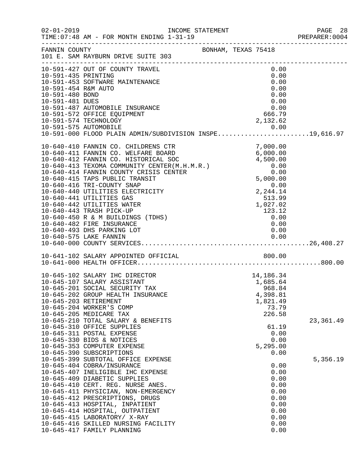|                                            |                                                                                                          |                     |  |                                      | PREPARER: 0004 |
|--------------------------------------------|----------------------------------------------------------------------------------------------------------|---------------------|--|--------------------------------------|----------------|
|                                            | FANNIN COUNTY<br>101 E. SAM RAYBURN DRIVE SUITE 303                                                      | BONHAM, TEXAS 75418 |  |                                      |                |
| 10-591-435 PRINTING<br>10-591-454 R&M AUTO | 10-591-427 OUT OF COUNTY TRAVEL<br>10-591-453 SOFTWARE MAINTENANCE                                       |                     |  | 0.00<br>0.00<br>0.00<br>0.00         |                |
| 10-591-480 BOND<br>10-591-481 DUES         |                                                                                                          |                     |  | 0.00<br>0.00                         |                |
|                                            | 10-591-487 AUTOMOBILE INSURANCE<br>10-591-572 OFFICE EQUIPMENT<br>10-591-574 TECHNOLOGY                  |                     |  | $0.00$<br>0.00<br>666.79<br>2,132.62 |                |
|                                            | 10-591-575 AUTOMOBILE<br>10-591-000 FLOOD PLAIN ADMIN/SUBDIVISION INSPE19,616.97                         |                     |  |                                      |                |
|                                            |                                                                                                          |                     |  |                                      |                |
|                                            |                                                                                                          |                     |  |                                      |                |
|                                            |                                                                                                          |                     |  |                                      |                |
|                                            |                                                                                                          |                     |  |                                      |                |
|                                            | 10-640-450 R & M BUILDINGS (TDHS)<br>10-640-482 FIRE INSURANCE                                           |                     |  | 0.00<br>0.00                         |                |
|                                            | 10-640-493 DHS PARKING LOT                                                                               |                     |  | 0.00                                 |                |
|                                            | 10-641-102 SALARY APPOINTED OFFICIAL 600.00                                                              |                     |  |                                      |                |
|                                            |                                                                                                          |                     |  |                                      |                |
|                                            | 10-645-102 SALARY IHC DIRECTOR<br>10-645-107 SALARY ASSISTANT<br>10-645-201 SOCIAL SECURITY TAX          |                     |  | 14,186.34<br>1,685.64<br>968.84      |                |
|                                            | 10-645-202 GROUP HEALTH INSURANCE<br>10-645-203 RETIREMENT                                               |                     |  | 4,398.81<br>1,821.49                 |                |
|                                            | 10-645-204 WORKER'S COMP<br>10-645-205 MEDICARE TAX<br>10-645-210 TOTAL SALARY & BENEFITS                |                     |  | 73.79<br>226.58                      | 23, 361.49     |
|                                            | 10-645-310 OFFICE SUPPLIES<br>10-645-311 POSTAL EXPENSE<br>10-645-330 BIDS & NOTICES                     |                     |  | 61.19<br>0.00<br>0.00                |                |
|                                            | 10-645-353 COMPUTER EXPENSE<br>10-645-390 SUBSCRIPTIONS                                                  |                     |  | 5,295.00<br>0.00                     |                |
|                                            | 10-645-399 SUBTOTAL OFFICE EXPENSE<br>10-645-404 COBRA/INSURANCE<br>10-645-407 INELIGIBLE IHC EXPENSE    |                     |  | 0.00<br>0.00                         | 5,356.19       |
|                                            | 10-645-409 DIABETIC SUPPLIES<br>10-645-410 CERT. REG. NURSE ANES.<br>10-645-411 PHYSICIAN, NON-EMERGENCY |                     |  | 0.00<br>0.00<br>0.00                 |                |
|                                            | 10-645-412 PRESCRIPTIONS, DRUGS<br>10-645-413 HOSPITAL, INPATIENT                                        |                     |  | 0.00<br>0.00                         |                |
|                                            | 10-645-414 HOSPITAL, OUTPATIENT<br>10-645-415 LABORATORY/ X-RAY<br>10-645-416 SKILLED NURSING FACILITY   |                     |  | 0.00<br>0.00<br>0.00                 |                |
|                                            | 10-645-417 FAMILY PLANNING                                                                               |                     |  | 0.00                                 |                |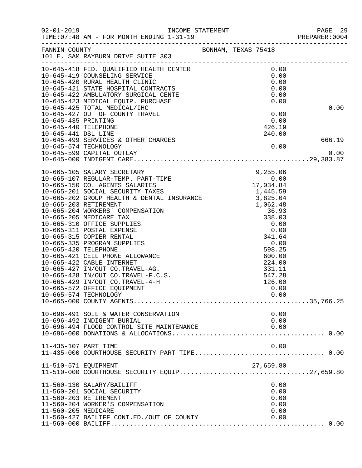| $02 - 01 - 2019$     | TIME: 07:48 AM - FOR MONTH ENDING 1-31-19                                                                                                                                                                                                  |  |                     |      | PAGE 29<br>PREPARER:0004 |
|----------------------|--------------------------------------------------------------------------------------------------------------------------------------------------------------------------------------------------------------------------------------------|--|---------------------|------|--------------------------|
| FANNIN COUNTY        | 101 E. SAM RAYBURN DRIVE SUITE 303                                                                                                                                                                                                         |  | BONHAM, TEXAS 75418 |      |                          |
|                      | 10-645-418 FED. QUALIFIED HEALTH CENTER<br>10-645-419 COUNSELING SERVICE<br>10-645-420 RURAL HEALTH CLINIC<br>10-645-421 STATE HOSPITAL CONTRACTS<br>10-645-421 STATE HOSPITAL CONTRACTS<br>10-645-422 AMBULATORY SURGICAL CENTE<br>10-645 |  |                     |      |                          |
|                      |                                                                                                                                                                                                                                            |  |                     |      |                          |
|                      |                                                                                                                                                                                                                                            |  |                     |      |                          |
|                      |                                                                                                                                                                                                                                            |  |                     |      |                          |
|                      |                                                                                                                                                                                                                                            |  |                     |      |                          |
|                      |                                                                                                                                                                                                                                            |  |                     |      | 0.00                     |
|                      |                                                                                                                                                                                                                                            |  |                     |      |                          |
|                      |                                                                                                                                                                                                                                            |  |                     |      |                          |
| 10-645-440 TELEPHONE |                                                                                                                                                                                                                                            |  | 426.19              |      |                          |
| 10-645-441 DSL LINE  |                                                                                                                                                                                                                                            |  | 240.00              |      |                          |
|                      | 10-645-499 SERVICES & OTHER CHARGES                                                                                                                                                                                                        |  |                     |      | 666.19                   |
|                      | 10-645-574 TECHNOLOGY                                                                                                                                                                                                                      |  |                     | 0.00 |                          |
|                      | 10-645-599 CAPITAL OUTLAY                                                                                                                                                                                                                  |  |                     |      | 0.00                     |
|                      |                                                                                                                                                                                                                                            |  |                     |      |                          |
|                      |                                                                                                                                                                                                                                            |  |                     |      |                          |
|                      |                                                                                                                                                                                                                                            |  |                     |      |                          |
|                      |                                                                                                                                                                                                                                            |  |                     |      |                          |
|                      |                                                                                                                                                                                                                                            |  |                     |      |                          |
|                      |                                                                                                                                                                                                                                            |  |                     |      |                          |
|                      |                                                                                                                                                                                                                                            |  |                     |      |                          |
|                      |                                                                                                                                                                                                                                            |  |                     |      |                          |
|                      |                                                                                                                                                                                                                                            |  |                     |      |                          |
|                      |                                                                                                                                                                                                                                            |  |                     |      |                          |
|                      |                                                                                                                                                                                                                                            |  |                     |      |                          |
|                      |                                                                                                                                                                                                                                            |  |                     |      |                          |
|                      |                                                                                                                                                                                                                                            |  |                     |      |                          |
|                      |                                                                                                                                                                                                                                            |  |                     |      |                          |
|                      |                                                                                                                                                                                                                                            |  |                     |      |                          |
|                      |                                                                                                                                                                                                                                            |  |                     |      |                          |
|                      |                                                                                                                                                                                                                                            |  |                     |      |                          |
|                      |                                                                                                                                                                                                                                            |  |                     |      |                          |
|                      | 10-665-572 OFFICE EQUIPMENT                                                                                                                                                                                                                |  |                     | 0.00 |                          |
|                      | 10-665-574 TECHNOLOGY                                                                                                                                                                                                                      |  |                     | 0.00 |                          |
|                      | ر باب سال ۱۵۰۰۰ - ۱۵۰۰۰ - ۱۵۰۰۰ - ۱۵۰۰۰ - ۱۵۰۰۰ - ۱۵۰۰۰ - ۱۵۰۰۰ - ۱۵۰۰۰ - ۱۵۰۰۰ - ۱۵۰۰۰ - ۱۵۰۰۰ - ۱۵۰۰۰ - ۱۵۰<br>۱۵–۱۵۶۵ - ۱۵۵۵ - ۱۵۵۵۲۲ - ۱۵۰۲۲ - ۱۵۰۲۲ - ۱۵۰۲۲ - ۱۵۰۲۲ - ۱۵۰۲۲ - ۱۵۰۲۲ - ۱۵۰۲۲ - ۱۵۰۲۲ - ۱۵۰۲۲ - ۱۵۰۲۲ - ۱۵۰             |  |                     |      |                          |
|                      | 10-696-491 SOIL & WATER CONSERVATION                                                                                                                                                                                                       |  |                     | 0.00 |                          |
|                      | 10-696-492 INDIGENT BURIAL                                                                                                                                                                                                                 |  |                     | 0.00 |                          |
|                      | 10-696-494 FLOOD CONTROL SITE MAINTENANCE                                                                                                                                                                                                  |  |                     | 0.00 |                          |
|                      |                                                                                                                                                                                                                                            |  |                     |      |                          |
|                      |                                                                                                                                                                                                                                            |  |                     |      |                          |
| 11-435-107 PART TIME |                                                                                                                                                                                                                                            |  |                     | 0.00 |                          |
|                      |                                                                                                                                                                                                                                            |  |                     |      |                          |
| 11-510-571 EQUIPMENT |                                                                                                                                                                                                                                            |  | 27,659.80           |      |                          |
|                      | 11-510-000 COURTHOUSE SECURITY EQUIP27,659.80                                                                                                                                                                                              |  |                     |      |                          |
|                      | 11-560-130 SALARY/BAILIFF                                                                                                                                                                                                                  |  |                     | 0.00 |                          |
|                      | 11-560-201 SOCIAL SECURITY                                                                                                                                                                                                                 |  |                     | 0.00 |                          |
|                      | 11-560-203 RETIREMENT                                                                                                                                                                                                                      |  |                     | 0.00 |                          |
|                      | 11-560-204 WORKER'S COMPENSATION                                                                                                                                                                                                           |  |                     | 0.00 |                          |
| 11-560-205 MEDICARE  |                                                                                                                                                                                                                                            |  |                     | 0.00 |                          |
|                      | 11-560-427 BAILIFF CONT.ED./OUT OF COUNTY                                                                                                                                                                                                  |  |                     | 0.00 |                          |
|                      |                                                                                                                                                                                                                                            |  |                     |      |                          |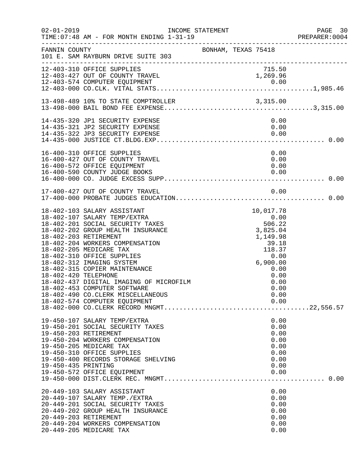| $02 - 01 - 2019$                              | TIME: 07:48 AM - FOR MONTH ENDING 1-31-19<br>-------------------------------------                                                                                                                                                                                                                                                                                                                                                              | INCOME STATEMENT    |                                                                                                                             |                                                                      | PAGE 30<br>PREPARER:0004 |
|-----------------------------------------------|-------------------------------------------------------------------------------------------------------------------------------------------------------------------------------------------------------------------------------------------------------------------------------------------------------------------------------------------------------------------------------------------------------------------------------------------------|---------------------|-----------------------------------------------------------------------------------------------------------------------------|----------------------------------------------------------------------|--------------------------|
| FANNIN COUNTY                                 | 101 E. SAM RAYBURN DRIVE SUITE 303                                                                                                                                                                                                                                                                                                                                                                                                              | BONHAM, TEXAS 75418 |                                                                                                                             |                                                                      |                          |
|                                               | 12-403-310 OFFICE SUPPLIES<br>12-403-427 OUT OF COUNTY TRAVEL                                                                                                                                                                                                                                                                                                                                                                                   |                     |                                                                                                                             | 715.50<br>1,269.96                                                   |                          |
|                                               |                                                                                                                                                                                                                                                                                                                                                                                                                                                 |                     |                                                                                                                             |                                                                      |                          |
|                                               | 14-435-320 JP1 SECURITY EXPENSE<br>14-435-321 JP2 SECURITY EXPENSE                                                                                                                                                                                                                                                                                                                                                                              |                     |                                                                                                                             | 0.00<br>0.00                                                         |                          |
|                                               | 16-400-310 OFFICE SUPPLIES<br>16-400-427 OUT OF COUNTY TRAVEL<br>16-400-572 OFFICE EQUIPMENT<br>16-400-590 COUNTY JUDGE BOOKS                                                                                                                                                                                                                                                                                                                   |                     |                                                                                                                             | 0.00<br>0.00<br>0.00<br>0.00                                         |                          |
|                                               | 17-400-427 OUT OF COUNTY TRAVEL                                                                                                                                                                                                                                                                                                                                                                                                                 |                     |                                                                                                                             | 0.00                                                                 |                          |
| 18-402-203 RETIREMENT<br>18-402-420 TELEPHONE | 18-402-103 SALARY ASSISTANT<br>18-402-107 SALARY TEMP/EXTRA<br>18-402-201 SOCIAL SECURITY TAXES<br>18-402-202 GROUP HEALTH INSURANCE<br>18-402-204 WORKERS COMPENSATION<br>18-402-205 MEDICARE TAX<br>18-402-310 OFFICE SUPPLIES<br>18-402-312 IMAGING SYSTEM<br>18-402-315 COPIER MAINTENANCE<br>18-402-437 DIGITAL IMAGING OF MICROFILM<br>18-402-453 COMPUTER SOFTWARE<br>18-402-490 CO.CLERK MISCELLANEOUS<br>18-402-574 COMPUTER EQUIPMENT |                     | $\begin{array}{r} 0.00 \\ 0.00 \\ 506.22 \end{array}$<br>$3,825$<br>$1,149.98$<br>$39.18$<br>$118.37$<br>$0.00$<br>6,900.00 | 10,017.78<br>0.00<br>0.00<br>0.00<br>0.00<br>0.00                    |                          |
| 19-450-203 RETIREMENT<br>19-450-435 PRINTING  | 19-450-107 SALARY TEMP/EXTRA<br>19-450-201 SOCIAL SECURITY TAXES<br>19-450-204 WORKERS COMPENSATION<br>19-450-205 MEDICARE TAX<br>19-450-310 OFFICE SUPPLIES<br>19-450-400 RECORDS STORAGE SHELVING<br>19-450-572 OFFICE EQUIPMENT                                                                                                                                                                                                              |                     |                                                                                                                             | 0.00<br>0.00<br>0.00<br>0.00<br>0.00<br>0.00<br>0.00<br>0.00<br>0.00 |                          |
| 20-449-203 RETIREMENT                         | 20-449-103 SALARY ASSISTANT<br>20-449-107 SALARY TEMP./EXTRA<br>20-449-201 SOCIAL SECURITY TAXES<br>20-449-202 GROUP HEALTH INSURANCE<br>20-449-204 WORKERS COMPENSATION<br>20-449-205 MEDICARE TAX                                                                                                                                                                                                                                             |                     |                                                                                                                             | 0.00<br>0.00<br>0.00<br>0.00<br>0.00<br>0.00<br>0.00                 |                          |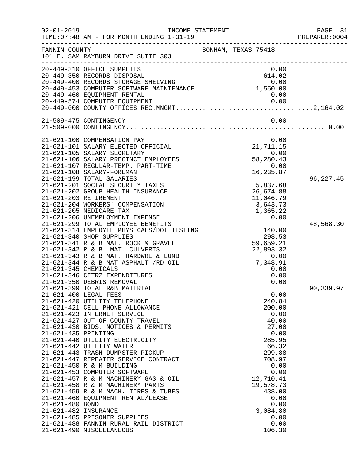| $02 - 01 - 2019$                                               | TIME: 07:48 AM - FOR MONTH ENDING 1-31-19<br>______________________________________                                                                                                                                                                                                                                                                                                                                                                                                                                                                                                                                                                                                                                                                   | INCOME STATEMENT                                                                                                                                                                                                    | PAGE 31<br>PREPARER:0004 |
|----------------------------------------------------------------|-------------------------------------------------------------------------------------------------------------------------------------------------------------------------------------------------------------------------------------------------------------------------------------------------------------------------------------------------------------------------------------------------------------------------------------------------------------------------------------------------------------------------------------------------------------------------------------------------------------------------------------------------------------------------------------------------------------------------------------------------------|---------------------------------------------------------------------------------------------------------------------------------------------------------------------------------------------------------------------|--------------------------|
| FANNIN COUNTY                                                  | 101 E. SAM RAYBURN DRIVE SUITE 303                                                                                                                                                                                                                                                                                                                                                                                                                                                                                                                                                                                                                                                                                                                    | BONHAM, TEXAS 75418                                                                                                                                                                                                 |                          |
|                                                                | 20-449-310 OFFICE SUPPLIES<br>20-449-350 RECORDS DISPOSAL<br>20-449-460 EQUIPMENT RENTAL                                                                                                                                                                                                                                                                                                                                                                                                                                                                                                                                                                                                                                                              | 0.00<br>614.02<br>0.00                                                                                                                                                                                              |                          |
|                                                                | 21-509-475 CONTINGENCY                                                                                                                                                                                                                                                                                                                                                                                                                                                                                                                                                                                                                                                                                                                                | 0.00                                                                                                                                                                                                                |                          |
| 21-621-345 CHEMICALS                                           | 21-621-100 COMPENSATION PAY<br>21-621-101 SALARY ELECTED OFFICIAL<br>21-621-105 SALARY SECRETARY<br>21-621-106 SALARY PRECINCT EMPLOYEES<br>21-621-107 REGULAR-TEMP. PART-TIME<br>21-621-108 SALARY-FOREMAN<br>21-621-199 TOTAL SALARIES<br>21-621-201 SOCIAL SECURITY TAXES<br>21-621-202 GROUP HEALTH INSURANCE<br>21-621-203 RETIREMENT<br>21-621-204 WORKERS' COMPENSATION<br>21-621-205 MEDICARE TAX<br>21-621-206 UNEMPLOYMENT EXPENSE<br>21-621-299 TOTAL EMPLOYEE BENEFITS<br>21-621-314 EMPLOYEE PHYSICALS/DOT TESTING<br>21-621-340 SHOP SUPPLIES<br>21-621-341 R & B MAT. ROCK & GRAVEL<br>21-621-342 R & B MAT. CULVERTS<br>21-621-343 R & B MAT. HARDWRE & LUMB<br>21-621-344 R & B MAT ASPHALT /RD OIL<br>21-621-346 CETRZ EXPENDITURES | 0.00<br>21,711.15<br>0.00<br>58,280.43<br>0.00<br>16,235.87<br>5,837.68<br>26,674.88<br>11,046.79<br>3,643.73<br>1,365.22<br>0.00<br>140.00<br>298.53<br>59,659.21<br>22,893.32<br>0.00<br>7,348.91<br>0.00<br>0.00 | 96, 227.45<br>48,568.30  |
| 21-621-435 PRINTING<br>21-621-480 BOND<br>21-621-482 INSURANCE | 21-621-350 DEBRIS REMOVAL<br>21-621-399 TOTAL R&B MATERIAL<br>21-621-400 LEGAL FEES<br>21-621-420 UTILITY TELEPHONE<br>21-621-421 CELL PHONE ALLOWANCE<br>21-621-423 INTERNET SERVICE<br>21-621-427 OUT OF COUNTY TRAVEL<br>21-621-430 BIDS, NOTICES & PERMITS<br>21-621-440 UTILITY ELECTRICITY<br>21-621-442 UTILITY WATER<br>21-621-443 TRASH DUMPSTER PICKUP<br>21-621-447 REPEATER SERVICE CONTRACT<br>21-621-450 R & M BUILDING<br>21-621-453 COMPUTER SOFTWARE<br>21-621-457 R & M MACHINERY GAS & OIL<br>21-621-458 R & M MACHINERY PARTS<br>21-621-459 R & M MACH. TIRES & TUBES<br>21-621-460 EQUIPMENT RENTAL/LEASE<br>21-621-485 PRISONER SUPPLIES<br>21-621-488 FANNIN RURAL RAIL DISTRICT<br>21-621-490 MISCELLANEOUS                   | 0.00<br>0.00<br>240.84<br>200.00<br>0.00<br>40.00<br>27.00<br>0.00<br>285.95<br>66.32<br>299.88<br>708.97<br>0.00<br>0.00<br>12,710.41<br>19,578.73<br>438.00<br>0.00<br>0.00<br>3,084.80<br>0.00<br>0.00<br>106.30 | 90,339.97                |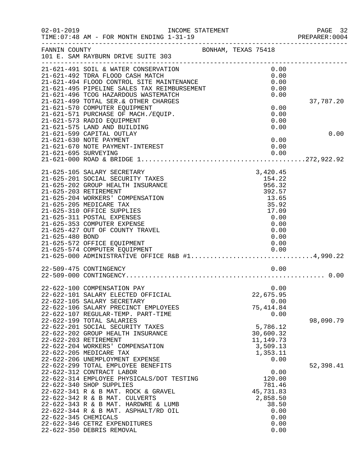| $02 - 01 - 2019$     | INCOME STATEMENT<br>TIME: 07:48 AM - FOR MONTH ENDING 1-31-19                                                                                         |  |                                      |                      | PAGE 32<br>PREPARER:0004 |
|----------------------|-------------------------------------------------------------------------------------------------------------------------------------------------------|--|--------------------------------------|----------------------|--------------------------|
| FANNIN COUNTY        | BONHAM, TEXAS 75418<br>101 E. SAM RAYBURN DRIVE SUITE 303                                                                                             |  |                                      |                      |                          |
|                      | 21-621-491 SOIL & WATER CONSERVATION<br>21-621-492 TDRA FLOOD CASH MATCH                                                                              |  |                                      | 0.00<br>0.00         |                          |
|                      | 21-621-494 FLOOD CONTROL SITE MAINTENANCE<br>21-621-495 PIPELINE SALES TAX REIMBURSEMENT                                                              |  |                                      | 0.00<br>0.00<br>0.00 |                          |
|                      | 21-621-496 TCOG HAZARDOUS WASTEMATCH<br>21-621-499 TOTAL SER. & OTHER CHARGES<br>21-621-570 COMPUTER EQUIPMENT                                        |  |                                      | 0.00                 | 37,787.20                |
|                      | 21-621-571 PURCHASE OF MACH./EQUIP.<br>21-621-573 RADIO EQUIPMENT                                                                                     |  |                                      | 0.00<br>0.00         |                          |
|                      | 21-621-575 LAND AND BUILDING<br>21-621-599 CAPITAL OUTLAY<br>21-621-630 NOTE PAYMENT                                                                  |  |                                      | 0.00<br>0.00         | 0.00                     |
|                      | 21-621-670 NOTE PAYMENT-INTEREST                                                                                                                      |  |                                      | 0.00                 |                          |
|                      | 21-625-105 SALARY SECRETARY                                                                                                                           |  | 3,420.45                             |                      |                          |
|                      | 21-625-201 SOCIAL SECURITY TAXES<br>21-625-202 GROUP HEALTH INSURANCE<br>21-625-203 RETIREMENT<br>21-625-204 WORKERS' COMPENSATION                    |  | 154.22<br>956.32<br>392.57<br>13.65  |                      |                          |
|                      | 21-625-205 MEDICARE TAX<br>21-625-310 OFFICE SUPPLIES<br>21-625-311 POSTAL EXPENSES                                                                   |  | 35.92<br>17.09<br>0.00               |                      |                          |
| 21-625-480 BOND      | 21-625-353 COMPUTER EXPENSE<br>21-625-427 OUT OF COUNTY TRAVEL<br>21-625-572 OFFICE EQUIPMENT                                                         |  | 0.00<br>0.00<br>0.00                 | 0.00                 |                          |
|                      | 21-625-574 COMPUTER EQUIPMENT<br>21-625-574 COMPUTER EQUIPMENT 0.00<br>21-625-000 ADMINISTRATIVE OFFICE R&B #14,990.22                                |  | 0.00                                 |                      |                          |
|                      | 22-509-475 CONTINGENCY                                                                                                                                |  |                                      | 0.00                 |                          |
|                      | 22-622-100 COMPENSATION PAY<br>22-622-101 SALARY ELECTED OFFICIAL                                                                                     |  | 22,675.95                            | 0.00                 |                          |
|                      | 22-622-105 SALARY SECRETARY<br>22-622-106 SALARY PRECINCT EMPLOYEES                                                                                   |  | 75, 414.84                           | 0.00                 |                          |
|                      | 22-622-107 REGULAR-TEMP. PART-TIME<br>22-622-199 TOTAL SALARIES<br>22-622-201 SOCIAL SECURITY TAXES                                                   |  | 5,786.12                             | 0.00                 | 98,090.79                |
|                      | 22-622-202 GROUP HEALTH INSURANCE<br>22-622-203 RETIREMENT<br>22-622-204 WORKERS' COMPENSATION                                                        |  | 30,600.32<br>11, 149. 73<br>3,509.13 |                      |                          |
|                      | 22-622-205 MEDICARE TAX<br>22-622-206 UNEMPLOYMENT EXPENSE                                                                                            |  | 1,353.11                             | 0.00                 |                          |
|                      | 22-622-299 TOTAL EMPLOYEE BENEFITS<br>22-622-312 CONTRACT LABOR<br>22-622-314 EMPLOYEE PHYSICALS/DOT TESTING<br>22-622-340 SHOP SUPPLIES              |  | 120.00<br>781.46                     | 0.00                 | 52,398.41                |
|                      | 22-622-341 R & B MAT. ROCK & GRAVEL<br>22-622-342 R & B MAT. CULVERTS<br>22-622-343 R & B MAT. HARDWRE & LUMB<br>22-622-344 R & B MAT. ASPHALT/RD OIL |  | 45,731.83<br>2,858.50<br>38.50       | 0.00                 |                          |
| 22-622-345 CHEMICALS | 22-622-346 CETRZ EXPENDITURES<br>22-622-350 DEBRIS REMOVAL                                                                                            |  |                                      | 0.00<br>0.00<br>0.00 |                          |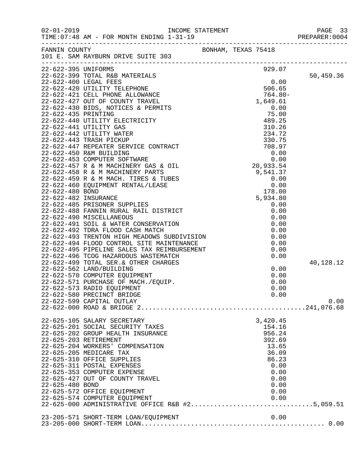|                     |                                                                                                                                                                                                                                               |                     |                | PAGE 33<br>PREPARER: 0004 |
|---------------------|-----------------------------------------------------------------------------------------------------------------------------------------------------------------------------------------------------------------------------------------------|---------------------|----------------|---------------------------|
|                     | FANNIN COUNTY<br>101 E. SAM RAYBURN DRIVE SUITE 303                                                                                                                                                                                           | BONHAM, TEXAS 75418 |                |                           |
| 22-622-395 UNIFORMS |                                                                                                                                                                                                                                               |                     | 929.07         |                           |
|                     |                                                                                                                                                                                                                                               |                     |                | 50,459.36                 |
|                     |                                                                                                                                                                                                                                               |                     |                |                           |
|                     |                                                                                                                                                                                                                                               |                     |                |                           |
|                     |                                                                                                                                                                                                                                               |                     | $764.80-$      |                           |
|                     |                                                                                                                                                                                                                                               |                     |                |                           |
|                     |                                                                                                                                                                                                                                               |                     |                |                           |
|                     |                                                                                                                                                                                                                                               |                     |                |                           |
|                     |                                                                                                                                                                                                                                               |                     |                |                           |
|                     |                                                                                                                                                                                                                                               |                     |                |                           |
|                     |                                                                                                                                                                                                                                               |                     |                |                           |
|                     |                                                                                                                                                                                                                                               |                     |                |                           |
|                     |                                                                                                                                                                                                                                               |                     |                |                           |
|                     |                                                                                                                                                                                                                                               |                     |                |                           |
|                     |                                                                                                                                                                                                                                               |                     |                |                           |
|                     |                                                                                                                                                                                                                                               |                     |                |                           |
|                     |                                                                                                                                                                                                                                               |                     |                |                           |
|                     |                                                                                                                                                                                                                                               |                     |                |                           |
|                     |                                                                                                                                                                                                                                               |                     |                |                           |
|                     |                                                                                                                                                                                                                                               |                     |                |                           |
|                     |                                                                                                                                                                                                                                               |                     |                |                           |
|                     |                                                                                                                                                                                                                                               |                     |                |                           |
|                     |                                                                                                                                                                                                                                               |                     |                |                           |
|                     | 22-622-491 SOIL & WATER CONSERVATION<br>22-622-492 TDRA FLOOD CASH MATCH<br>22-622-493 TRENTON HIGH MEADOWS SUBDIVISION<br>22-622-494 FLOOD CONTROL SITE MAINTENANCE<br>22-622-495 PIPELINE SALES TAX REIMBURSEMENT<br>22-622-495 PIPELINE SA |                     | 0.00           |                           |
|                     |                                                                                                                                                                                                                                               |                     | 0.00           |                           |
|                     |                                                                                                                                                                                                                                               |                     | 0.00           |                           |
|                     |                                                                                                                                                                                                                                               |                     | 0.00           |                           |
|                     | 22-622-499 TOTAL SER. & OTHER CHARGES                                                                                                                                                                                                         |                     |                | 40,128.12                 |
|                     | 22-622-562 LAND/BUILDING                                                                                                                                                                                                                      |                     | 0.00           |                           |
|                     | 22-622-570 COMPUTER EQUIPMENT                                                                                                                                                                                                                 |                     | 0.00           |                           |
|                     | 22-622-571 PURCHASE OF MACH./EQUIP.                                                                                                                                                                                                           |                     | 0.00           |                           |
|                     | 22-622-573 RADIO EQUIPMENT                                                                                                                                                                                                                    |                     | 0.00           |                           |
|                     | 22-622-580 PRECINCT BRIDGE<br>22-622-599 CAPITAL OUTLAY                                                                                                                                                                                       |                     | 0.00           | 0.00                      |
|                     |                                                                                                                                                                                                                                               |                     |                |                           |
|                     | 22-625-105 SALARY SECRETARY                                                                                                                                                                                                                   |                     | 3,420.45       |                           |
|                     | 22-625-201 SOCIAL SECURITY TAXES                                                                                                                                                                                                              |                     | 154.16         |                           |
|                     | 22-625-202 GROUP HEALTH INSURANCE                                                                                                                                                                                                             |                     | 956.24         |                           |
|                     | 22-625-203 RETIREMENT                                                                                                                                                                                                                         |                     | 392.69         |                           |
|                     | 22-625-204 WORKERS' COMPENSATION<br>22-625-205 MEDICARE TAX                                                                                                                                                                                   |                     | 13.65<br>36.09 |                           |
|                     | 22-625-310 OFFICE SUPPLIES                                                                                                                                                                                                                    |                     | 86.23          |                           |
|                     | 22-625-311 POSTAL EXPENSES                                                                                                                                                                                                                    |                     | 0.00           |                           |
|                     | 22-625-353 COMPUTER EXPENSE                                                                                                                                                                                                                   |                     | 0.00           |                           |
|                     | 22-625-427 OUT OF COUNTY TRAVEL                                                                                                                                                                                                               |                     | 0.00           |                           |
| 22-625-480 BOND     |                                                                                                                                                                                                                                               |                     | 0.00           |                           |
|                     | 22-625-572 OFFICE EQUIPMENT                                                                                                                                                                                                                   |                     | 0.00           |                           |
|                     | 22-625-574 COMPUTER EQUIPMENT<br>22-625-574 COMPUTER EQUIPMENT 0.00<br>22-625-000 ADMINISTRATIVE OFFICE R&B #25,059.51                                                                                                                        |                     | 0.00           |                           |
|                     |                                                                                                                                                                                                                                               |                     |                |                           |
|                     | 23-205-571 SHORT-TERM LOAN/EQUIPMENT                                                                                                                                                                                                          |                     | 0.00           |                           |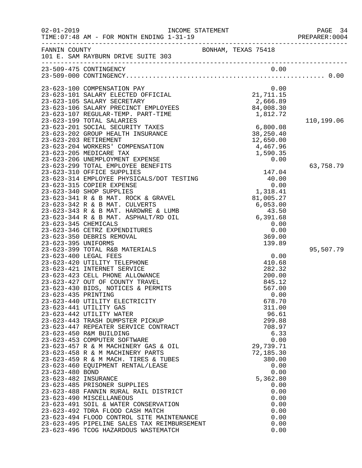| $02 - 01 - 2019$     | INCOME STATEMENT<br>TIME: 07:48 AM - FOR MONTH ENDING 1-31-19              |                       | PAGE 34<br>PREPARER: 0004 |
|----------------------|----------------------------------------------------------------------------|-----------------------|---------------------------|
| FANNIN COUNTY        | 101 E. SAM RAYBURN DRIVE SUITE 303                                         | BONHAM, TEXAS 75418   |                           |
|                      | 23-509-475 CONTINGENCY                                                     | 0.00                  |                           |
|                      |                                                                            |                       |                           |
|                      | 23-623-100 COMPENSATION PAY                                                | 0.00                  |                           |
|                      | 23-623-101 SALARY ELECTED OFFICIAL                                         | 21, 711.15            |                           |
|                      | 23-623-105 SALARY SECRETARY                                                | 2,666.89              |                           |
|                      | 23-623-106 SALARY PRECINCT EMPLOYEES<br>23-623-107 REGULAR-TEMP. PART-TIME | 84,008.30<br>1,812.72 |                           |
|                      | 23-623-199 TOTAL SALARIES                                                  |                       | 110,199.06                |
|                      | 23-623-201 SOCIAL SECURITY TAXES                                           | 6,800.08              |                           |
|                      | 23-623-202 GROUP HEALTH INSURANCE                                          | 38,250.40             |                           |
|                      | 23-623-203 RETIREMENT                                                      | 12,650.00             |                           |
|                      | 23-623-204 WORKERS' COMPENSATION                                           | 4,467.96              |                           |
|                      | 23-623-205 MEDICARE TAX                                                    | 1,590.35              |                           |
|                      | 23-623-206 UNEMPLOYMENT EXPENSE<br>23-623-299 TOTAL EMPLOYEE BENEFITS      | 0.00                  | 63,758.79                 |
|                      | 23-623-310 OFFICE SUPPLIES                                                 | 147.04                |                           |
|                      | 23-623-314 EMPLOYEE PHYSICALS/DOT TESTING                                  | 40.00                 |                           |
|                      | 23-623-315 COPIER EXPENSE                                                  | 0.00                  |                           |
|                      | 23-623-340 SHOP SUPPLIES                                                   | 1,318.41              |                           |
|                      | 23-623-341 R & B MAT. ROCK & GRAVEL                                        | 81,005.27             |                           |
|                      | 23-623-342 R & B MAT. CULVERTS<br>23-623-343 R & B MAT. HARDWRE & LUMB     | 6,053.00<br>43.50     |                           |
|                      | 23-623-344 R & B MAT. ASPHALT/RD OIL                                       | 6,391.68              |                           |
| 23-623-345 CHEMICALS |                                                                            | 0.00                  |                           |
|                      | 23-623-346 CETRZ EXPENDITURES                                              | 0.00                  |                           |
|                      | 23-623-350 DEBRIS REMOVAL                                                  | 369.00                |                           |
| 23-623-395 UNIFORMS  |                                                                            | 139.89                |                           |
|                      | 23-623-399 TOTAL R&B MATERIALS<br>23-623-400 LEGAL FEES                    | 0.00                  | 95,507.79                 |
|                      | 23-623-420 UTILITY TELEPHONE                                               | 410.68                |                           |
|                      | 23-623-421 INTERNET SERVICE                                                | 282.32                |                           |
|                      | 23-623-423 CELL PHONE ALLOWANCE                                            | 200.00                |                           |
|                      | 23-623-427 OUT OF COUNTY TRAVEL                                            | 845.12                |                           |
|                      | 23-623-430 BIDS, NOTICES & PERMITS                                         | 567.00                |                           |
| 23-623-435 PRINTING  | 23-623-440 UTILITY ELECTRICITY                                             | 0.00<br>678.70        |                           |
|                      | 23-623-441 UTILITY GAS                                                     | 311.00                |                           |
|                      | 23-623-442 UTILITY WATER                                                   | 96.61                 |                           |
|                      | 23-623-443 TRASH DUMPSTER PICKUP                                           | 299.88                |                           |
|                      | 23-623-447 REPEATER SERVICE CONTRACT                                       | 708.97                |                           |
|                      | 23-623-450 R&M BUILDING                                                    | 6.33                  |                           |
|                      | 23-623-453 COMPUTER SOFTWARE                                               | 0.00<br>29,739.71     |                           |
|                      | 23-623-457 R & M MACHINERY GAS & OIL<br>23-623-458 R & M MACHINERY PARTS   | 72,185.30             |                           |
|                      | 23-623-459 R & M MACH. TIRES & TUBES                                       | 380.00                |                           |
|                      | 23-623-460 EQUIPMENT RENTAL/LEASE                                          | 0.00                  |                           |
| 23-623-480 BOND      |                                                                            | 0.00                  |                           |
| 23-623-482 INSURANCE |                                                                            | 5,362.80              |                           |
|                      | 23-623-485 PRISONER SUPPLIES                                               | 0.00                  |                           |
|                      | 23-623-488 FANNIN RURAL RAIL DISTRICT<br>23-623-490 MISCELLANEOUS          | 0.00<br>0.00          |                           |
|                      | 23-623-491 SOIL & WATER CONSERVATION                                       | 0.00                  |                           |
|                      | 23-623-492 TDRA FLOOD CASH MATCH                                           | 0.00                  |                           |
|                      | 23-623-494 FLOOD CONTROL SITE MAINTENANCE                                  | 0.00                  |                           |
|                      | 23-623-495 PIPELINE SALES TAX REIMBURSEMENT                                | 0.00                  |                           |
|                      | 23-623-496 TCOG HAZARDOUS WASTEMATCH                                       | 0.00                  |                           |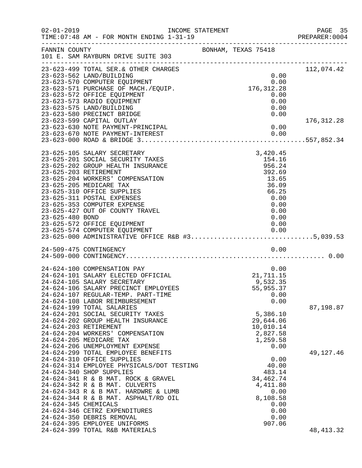| $02 - 01 - 2019$     | TIME: 07:48 AM - FOR MONTH ENDING 1-31-19                                        | INCOME STATEMENT           | PAGE 35<br>PREPARER:0004 |
|----------------------|----------------------------------------------------------------------------------|----------------------------|--------------------------|
| FANNIN COUNTY        | 101 E. SAM RAYBURN DRIVE SUITE 303                                               | BONHAM, TEXAS 75418        |                          |
|                      | 23-623-499 TOTAL SER. & OTHER CHARGES                                            |                            | 112,074.42               |
|                      | 23-623-562 LAND/BUILDING                                                         | 0.00                       |                          |
|                      | 23-623-570 COMPUTER EQUIPMENT                                                    | 0.00<br>0.00<br>176,312.28 |                          |
|                      | 23-623-571 PURCHASE OF MACH./EQUIP.                                              |                            |                          |
|                      | 23-623-572 OFFICE EQUIPMENT                                                      | 0.00                       |                          |
|                      | 23-623-573 RADIO EQUIPMENT                                                       | 0.00                       |                          |
|                      | 23-623-575 LAND/BUILDING<br>23-623-580 PRECINCT BRIDGE                           | 0.00<br>0.00               |                          |
|                      | 23-623-599 CAPITAL OUTLAY                                                        |                            | 176,312.28               |
|                      | 23-623-630 NOTE PAYMENT-PRINCIPAL                                                | 0.00                       |                          |
|                      | 23-623-670 NOTE PAYMENT-INTEREST                                                 | 0.00                       |                          |
|                      |                                                                                  |                            |                          |
|                      |                                                                                  |                            |                          |
|                      | 23-625-105 SALARY SECRETARY                                                      | 3,420.45                   |                          |
|                      | 23-625-201 SOCIAL SECURITY TAXES                                                 | 154.16                     |                          |
|                      | 23-625-202 GROUP HEALTH INSURANCE                                                | 956.24                     |                          |
|                      | 23-625-203 RETIREMENT                                                            | 392.69                     |                          |
|                      | 23-625-204 WORKERS' COMPENSATION                                                 | 13.65                      |                          |
|                      | 23-625-205 MEDICARE TAX                                                          | 36.09                      |                          |
|                      | 23-625-310 OFFICE SUPPLIES                                                       | 66.25                      |                          |
|                      | 23-625-311 POSTAL EXPENSES                                                       | 0.00                       |                          |
|                      | 23-625-353 COMPUTER EXPENSE                                                      | 0.00                       |                          |
| 23-625-480 BOND      | 23-625-427 OUT OF COUNTY TRAVEL                                                  | 0.00<br>0.00               |                          |
|                      | 23-625-572 OFFICE EQUIPMENT                                                      | 0.00                       |                          |
|                      |                                                                                  |                            |                          |
|                      | 23-625-574 COMPUTER EQUIPMENT<br>23-625-000 ADMINISTRATIVE OFFICE R&B #35,039.53 |                            |                          |
|                      |                                                                                  |                            |                          |
|                      | 24-509-475 CONTINGENCY                                                           | 0.00                       |                          |
|                      |                                                                                  |                            |                          |
|                      | 24-624-100 COMPENSATION PAY                                                      |                            |                          |
|                      | 24-624-101 SALARY ELECTED OFFICIAL                                               | $0.00$<br>21,711.15        |                          |
|                      | 24-624-105 SALARY SECRETARY                                                      | 9,532.35                   |                          |
|                      | 24-624-106 SALARY PRECINCT EMPLOYEES                                             | 55,955.37                  |                          |
|                      | 24-624-107 REGULAR-TEMP. PART-TIME                                               | 0.00                       |                          |
|                      | 24-624-108 LABOR REIMBURSEMENT                                                   | 0.00                       |                          |
|                      | 24-624-199 TOTAL SALARIES                                                        |                            | 87,198.87                |
|                      | 24-624-201 SOCIAL SECURITY TAXES                                                 | 5,386.10                   |                          |
|                      | 24-624-202 GROUP HEALTH INSURANCE                                                | 29,644.06                  |                          |
|                      | 24-624-203 RETIREMENT                                                            | 10,010.14                  |                          |
|                      | 24-624-204 WORKERS' COMPENSATION                                                 | 2,827.58                   |                          |
|                      | 24-624-205 MEDICARE TAX                                                          | 1,259.58<br>0.00           |                          |
|                      | 24-624-206 UNEMPLOYMENT EXPENSE<br>24-624-299 TOTAL EMPLOYEE BENEFITS            |                            | 49, 127. 46              |
|                      | 24-624-310 OFFICE SUPPLIES                                                       | 0.00                       |                          |
|                      | 24-624-314 EMPLOYEE PHYSICALS/DOT TESTING                                        | 40.00                      |                          |
|                      | 24-624-340 SHOP SUPPLIES                                                         | 483.14                     |                          |
|                      | 24-624-341 R & B MAT. ROCK & GRAVEL                                              | 34, 462. 74                |                          |
|                      | 24-624-342 R & B MAT. CULVERTS                                                   | 4,411.80                   |                          |
|                      | 24-624-343 R & B MAT. HARDWRE & LUMB                                             | 0.00                       |                          |
|                      | 24-624-344 R & B MAT. ASPHALT/RD OIL                                             | 8,108.58                   |                          |
| 24-624-345 CHEMICALS |                                                                                  | 0.00                       |                          |
|                      | 24-624-346 CETRZ EXPENDITURES                                                    | 0.00                       |                          |
|                      | 24-624-350 DEBRIS REMOVAL                                                        | 0.00                       |                          |
|                      | 24-624-395 EMPLOYEE UNIFORMS                                                     | 907.06                     |                          |
|                      | 24-624-399 TOTAL R&B MATERIALS                                                   |                            | 48, 413.32               |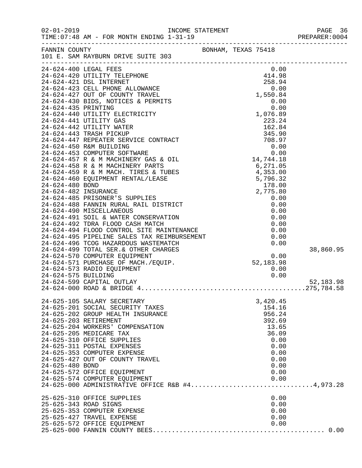| $02 - 01 - 2019$     | TIME: 07:48 AM - FOR MONTH ENDING 1-31-19                                                                                                                                   | INCOME STATEMENT                                                                                                                                                                                                                                                                               |                          |                | PAGE 36<br>PREPARER: 0004 |
|----------------------|-----------------------------------------------------------------------------------------------------------------------------------------------------------------------------|------------------------------------------------------------------------------------------------------------------------------------------------------------------------------------------------------------------------------------------------------------------------------------------------|--------------------------|----------------|---------------------------|
|                      | FANNIN COUNTY<br>101 E. SAM RAYBURN DRIVE SUITE 303                                                                                                                         | BONHAM, TEXAS 75418                                                                                                                                                                                                                                                                            |                          |                |                           |
|                      | 24-624-400 LEGAL FEES                                                                                                                                                       |                                                                                                                                                                                                                                                                                                | $0.00$<br>414.98         |                |                           |
|                      | 24-624-420 UTILITY TELEPHONE                                                                                                                                                |                                                                                                                                                                                                                                                                                                |                          |                |                           |
|                      | 24-624-421 DSL INTERNET                                                                                                                                                     |                                                                                                                                                                                                                                                                                                |                          | 258.94         |                           |
|                      | $24-624-421$ DSL INTERNET<br>$24-624-423$ CELL PHONE ALLOWANCE                                                                                                              |                                                                                                                                                                                                                                                                                                |                          | 0.00           |                           |
|                      | 24-624-427 OUT OF COUNTY TRAVEL                                                                                                                                             |                                                                                                                                                                                                                                                                                                | $88.000$<br>0.00<br>0.00 | 1,550.84       |                           |
|                      | 24-624-430 BIDS, NOTICES & PERMITS                                                                                                                                          |                                                                                                                                                                                                                                                                                                |                          |                |                           |
| 24-624-435 PRINTING  |                                                                                                                                                                             |                                                                                                                                                                                                                                                                                                |                          |                |                           |
|                      | 24-624-440 UTILITY ELECTRICITY<br>24-624-441 UTILITY GAS                                                                                                                    |                                                                                                                                                                                                                                                                                                |                          |                |                           |
|                      | 24-624-442 UTILITY WATER                                                                                                                                                    | 0.00<br>0.00<br>0.00<br>0.00<br>223.24<br>162.84<br>162.84<br>345.90<br>345.90<br>708.97<br>0.00<br>0.00<br>0.00<br>0.00<br>2,775.80<br>RICT<br>0.00<br>2,775.80<br>2,775.80<br>0.00<br>0.00<br>2,775.80<br>0.00<br>0.00<br>0.00<br>0.00<br>0.00<br>0.00<br>0.00<br>0.00<br>0.00<br>0.00<br>0. |                          |                |                           |
|                      | 24-624-443 TRASH PICKUP                                                                                                                                                     |                                                                                                                                                                                                                                                                                                |                          |                |                           |
|                      | 24-624-447 REPEATER SERVICE CONTRACT                                                                                                                                        |                                                                                                                                                                                                                                                                                                |                          |                |                           |
|                      | 24-624-450 R&M BUILDING                                                                                                                                                     |                                                                                                                                                                                                                                                                                                |                          |                |                           |
|                      | 24-624-453 COMPUTER SOFTWARE                                                                                                                                                |                                                                                                                                                                                                                                                                                                |                          |                |                           |
|                      | 24-624-457 R & M MACHINERY GAS & OIL                                                                                                                                        |                                                                                                                                                                                                                                                                                                |                          |                |                           |
|                      | 24-624-458 R & M MACHINERY PARTS                                                                                                                                            |                                                                                                                                                                                                                                                                                                |                          |                |                           |
|                      | 24-624-459 R & M MACH. TIRES & TUBES                                                                                                                                        |                                                                                                                                                                                                                                                                                                |                          |                |                           |
|                      | 24-624-460 EQUIPMENT RENTAL/LEASE                                                                                                                                           |                                                                                                                                                                                                                                                                                                |                          |                |                           |
| 24-624-480 BOND      |                                                                                                                                                                             |                                                                                                                                                                                                                                                                                                |                          |                |                           |
| 24-624-482 INSURANCE |                                                                                                                                                                             |                                                                                                                                                                                                                                                                                                |                          |                |                           |
|                      | 24-624-485 PRISONER'S SUPPLIES                                                                                                                                              |                                                                                                                                                                                                                                                                                                |                          |                |                           |
|                      | 24-624-488 FANNIN RURAL RAIL DISTRICT<br>24-624-490 MISCELLANEOUS                                                                                                           |                                                                                                                                                                                                                                                                                                |                          |                |                           |
|                      | 24-624-491 SOIL & WATER CONSERVATION                                                                                                                                        |                                                                                                                                                                                                                                                                                                |                          |                |                           |
|                      | 24-624-492 TDRA FLOOD CASH MATCH                                                                                                                                            |                                                                                                                                                                                                                                                                                                |                          | 0.00           |                           |
|                      |                                                                                                                                                                             |                                                                                                                                                                                                                                                                                                |                          | 0.00           |                           |
|                      | 24-624-494 FLOOD CONTROL SITE MAINTENANCE<br>24-624-495 PIPELINE SALES TAX REIMBURSEMENT<br>24-624-496 TCOG HAZARDOUS WASTEMATCH                                            |                                                                                                                                                                                                                                                                                                |                          | 0.00           |                           |
|                      |                                                                                                                                                                             |                                                                                                                                                                                                                                                                                                |                          | 0.00           |                           |
|                      | 24-624-499 ICOG RAZARDOOD MINITER CHARGES<br>24-624-570 COMPUTER EQUIPMENT 0.00<br>24-624-571 PURCHASE OF MACH./EQUIP. 52,183.98<br>24-624-573 RADIO EQUIPMENT 0.00<br>0.00 |                                                                                                                                                                                                                                                                                                |                          |                | 38,860.95                 |
|                      |                                                                                                                                                                             |                                                                                                                                                                                                                                                                                                |                          |                |                           |
|                      |                                                                                                                                                                             |                                                                                                                                                                                                                                                                                                |                          |                |                           |
|                      |                                                                                                                                                                             |                                                                                                                                                                                                                                                                                                |                          |                |                           |
| 24-624-575 BUILDING  |                                                                                                                                                                             |                                                                                                                                                                                                                                                                                                |                          | 0.00           |                           |
|                      |                                                                                                                                                                             |                                                                                                                                                                                                                                                                                                |                          |                | 52,183.98                 |
|                      |                                                                                                                                                                             |                                                                                                                                                                                                                                                                                                |                          |                |                           |
|                      | 24-625-105 SALARY SECRETARY                                                                                                                                                 |                                                                                                                                                                                                                                                                                                |                          | 3,420.45       |                           |
|                      | 24-625-201 SOCIAL SECURITY TAXES                                                                                                                                            |                                                                                                                                                                                                                                                                                                |                          | 154.16         |                           |
|                      | 24-625-202 GROUP HEALTH INSURANCE                                                                                                                                           |                                                                                                                                                                                                                                                                                                |                          | 956.24         |                           |
|                      | 24-625-203 RETIREMENT                                                                                                                                                       |                                                                                                                                                                                                                                                                                                |                          | 392.69         |                           |
|                      | 24-625-204 WORKERS' COMPENSATION<br>24-625-205 MEDICARE TAX                                                                                                                 |                                                                                                                                                                                                                                                                                                |                          | 13.65<br>36.09 |                           |
|                      | 24-625-310 OFFICE SUPPLIES                                                                                                                                                  |                                                                                                                                                                                                                                                                                                |                          | 0.00           |                           |
|                      | 24-625-311 POSTAL EXPENSES                                                                                                                                                  |                                                                                                                                                                                                                                                                                                |                          | 0.00           |                           |
|                      | 24-625-353 COMPUTER EXPENSE                                                                                                                                                 |                                                                                                                                                                                                                                                                                                |                          | 0.00           |                           |
|                      | 24-625-427 OUT OF COUNTY TRAVEL                                                                                                                                             |                                                                                                                                                                                                                                                                                                |                          | 0.00           |                           |
| 24-625-480 BOND      |                                                                                                                                                                             |                                                                                                                                                                                                                                                                                                |                          | 0.00           |                           |
|                      | 24-625-572 OFFICE EQUIPMENT                                                                                                                                                 |                                                                                                                                                                                                                                                                                                |                          | 0.00           |                           |
|                      | 24-625-574 COMPUTER EQUIPMENT                                                                                                                                               |                                                                                                                                                                                                                                                                                                |                          | 0.00           |                           |
|                      | 24-625-000 ADMINISTRATIVE OFFICE R&B #44,973.28                                                                                                                             |                                                                                                                                                                                                                                                                                                |                          |                |                           |
|                      | 25-625-310 OFFICE SUPPLIES                                                                                                                                                  |                                                                                                                                                                                                                                                                                                |                          | 0.00           |                           |
|                      | 25-625-343 ROAD SIGNS                                                                                                                                                       |                                                                                                                                                                                                                                                                                                |                          | 0.00           |                           |
|                      | 25-625-353 COMPUTER EXPENSE                                                                                                                                                 |                                                                                                                                                                                                                                                                                                |                          | 0.00           |                           |
|                      | 25-625-427 TRAVEL EXPENSE                                                                                                                                                   |                                                                                                                                                                                                                                                                                                |                          | 0.00           |                           |
|                      | 25-625-572 OFFICE EQUIPMENT                                                                                                                                                 |                                                                                                                                                                                                                                                                                                |                          | 0.00           |                           |
|                      |                                                                                                                                                                             |                                                                                                                                                                                                                                                                                                |                          |                |                           |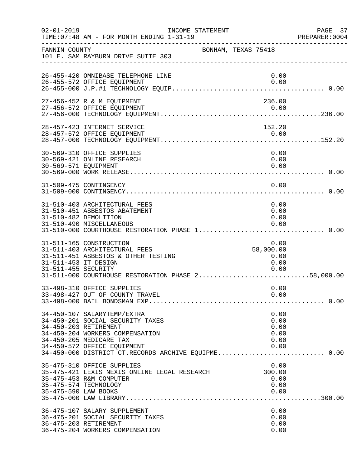| $02 - 01 - 2019$                            | TIME: 07:48 AM - FOR MONTH ENDING 1-31-19                                                                                                                                                                                                    | INCOME STATEMENT<br>_____________________________________ | PAGE 37<br>PREPARER:0004 |
|---------------------------------------------|----------------------------------------------------------------------------------------------------------------------------------------------------------------------------------------------------------------------------------------------|-----------------------------------------------------------|--------------------------|
| FANNIN COUNTY                               | 101 E. SAM RAYBURN DRIVE SUITE 303                                                                                                                                                                                                           | BONHAM, TEXAS 75418                                       |                          |
|                                             | 26-455-420 OMNIBASE TELEPHONE LINE<br>26-455-572 OFFICE EQUIPMENT                                                                                                                                                                            | 0.00<br>0.00                                              |                          |
|                                             | 27-456-452 R & M EQUIPMENT<br>27-456-572 OFFICE EQUIPMENT                                                                                                                                                                                    | 236.00<br>0.00                                            |                          |
|                                             | 28-457-423 INTERNET SERVICE<br>28-457-572 OFFICE EQUIPMENT                                                                                                                                                                                   | 152.20<br>0.00                                            |                          |
| 30-569-571 EQUIPMENT                        | 30-569-310 OFFICE SUPPLIES<br>30-569-421 ONLINE RESEARCH                                                                                                                                                                                     | 0.00<br>0.00<br>0.00                                      |                          |
|                                             | 31-509-475 CONTINGENCY                                                                                                                                                                                                                       | 0.00                                                      |                          |
|                                             | 31-510-403 ARCHITECTURAL FEES<br>31-510-451 ASBESTOS ABATEMENT<br>31-510-482 DEMOLITION<br>31-510-490 MISCELLANEOUS<br>31-510-000 COURTHOUSE RESTORATION PHASE 1 0.00                                                                        | 0.00<br>0.00<br>0.00<br>0.00                              |                          |
| 31-511-453 IT DESIGN<br>31-511-455 SECURITY | 31-511-165 CONSTRUCTION<br>31-511-403 ARCHITECTURAL FEES<br>31-511-451 ASBESTOS & OTHER TESTING                                                                                                                                              | 0.00<br>58,000.00<br>0.00<br>0.00<br>0.00                 |                          |
|                                             | 33-498-310 OFFICE SUPPLIES<br>33-498-427 OUT OF COUNTY TRAVEL                                                                                                                                                                                | 0.00<br>0.00                                              |                          |
|                                             | 34-450-107 SALARYTEMP/EXTRA<br>34-450-201 SOCIAL SECURITY TAXES<br>34-450-203 RETIREMENT<br>34-450-204 WORKERS COMPENSATION<br>34-450-205 MEDICARE TAX<br>34-450-572 OFFICE EQUIPMENT<br>34-450-000 DISTRICT CT.RECORDS ARCHIVE EQUIPME 0.00 | 0.00<br>0.00<br>0.00<br>0.00<br>0.00<br>0.00              |                          |
| 35-475-590 LAW BOOKS                        | 35-475-310 OFFICE SUPPLIES<br>35-475-421 LEXIS NEXIS ONLINE LEGAL RESEARCH<br>35-475-453 R&M COMPUTER<br>35-475-574 TECHNOLOGY                                                                                                               | 0.00<br>300.00<br>0.00<br>0.00<br>0.00                    |                          |
|                                             | 36-475-107 SALARY SUPPLEMENT<br>36-475-201 SOCIAL SECURITY TAXES<br>36-475-203 RETIREMENT<br>36-475-204 WORKERS COMPENSATION                                                                                                                 | 0.00<br>0.00<br>0.00<br>0.00                              |                          |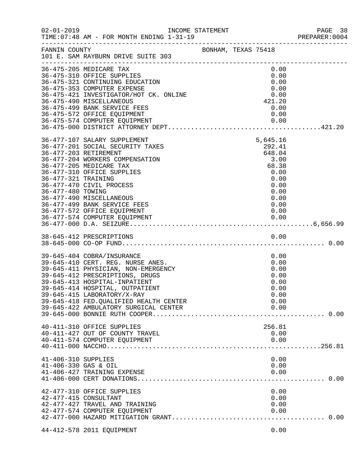| $02 - 01 - 2019$                            | INCOME STATEMENT<br>TIME: 07:48 AM - FOR MONTH ENDING 1-31-19                                                                                                                                                                                                                                                                   |                     |                                                                                                       | PAGE 38<br>PREPARER:0004 |
|---------------------------------------------|---------------------------------------------------------------------------------------------------------------------------------------------------------------------------------------------------------------------------------------------------------------------------------------------------------------------------------|---------------------|-------------------------------------------------------------------------------------------------------|--------------------------|
| FANNIN COUNTY                               | 101 E. SAM RAYBURN DRIVE SUITE 303                                                                                                                                                                                                                                                                                              | BONHAM, TEXAS 75418 |                                                                                                       |                          |
|                                             | 36-475-205 MEDICARE TAX<br>36-475-310 OFFICE SUPPLIES<br>36-475-321 CONTINUING EDUCATION<br>36-475-353 COMPUTER EXPENSE<br>36-475-421 INVESTIGATOR/HOT CK. ONLINE<br>36-475-490 MISCELLANEOUS<br>36-475-499 BANK SERVICE FEES<br>36-475-572 OFFICE EQUIPMENT                                                                    |                     | 0.00<br>0.00<br>0.00<br>0.00<br>0.00<br>421.20<br>0.00<br>0.00                                        |                          |
| 36-477-321 TRAINING<br>36-477-480 TOWING    | 36-477-107 SALARY SUPPLEMENT<br>36-477-201 SOCIAL SECURITY TAXES<br>36-477-203 RETIREMENT<br>36-477-204 WORKERS COMPENSATION<br>36-477-205 MEDICARE TAX<br>36-477-310 OFFICE SUPPLIES<br>36-477-470 CIVIL PROCESS<br>36-477-490 MISCELLANEOUS<br>36-477-499 BANK SERVICE FEES<br>36-477-572 OFFICE EQUIPMENT                    |                     | 5,645.16<br>292.41<br>648.04<br>3.00<br>68.38<br>0.00<br>0.00<br>0.00<br>0.00<br>0.00<br>0.00<br>0.00 |                          |
|                                             |                                                                                                                                                                                                                                                                                                                                 |                     |                                                                                                       |                          |
|                                             | 39-645-404 COBRA/INSURANCE<br>39-645-410 CERT. REG. NURSE ANES.<br>39-645-411 PHYSICIAN, NON-EMERGENCY<br>39-645-412 PRESCRIPTIONS, DRUGS<br>39-645-413 HOSPITAL-INPATIENT<br>39-645-414 HOSPITAL, OUTPATIENT<br>39-645-415 LABORATORY/X-RAY<br>39-645-418 FED.QUALIFIED HEALTH CENTER<br>39-645-422 AMBULATORY SURGICAL CENTER |                     | 0.00<br>0.00<br>0.00<br>0.00<br>0.00<br>0.00<br>0.00<br>0.00<br>0.00                                  |                          |
|                                             | 40-411-310 OFFICE SUPPLIES<br>40-411-427 OUT OF COUNTY TRAVEL<br>40-411-574 COMPUTER EQUIPMENT                                                                                                                                                                                                                                  |                     | 256.81<br>0.00<br>0.00                                                                                |                          |
| 41-406-310 SUPPLIES<br>41-406-330 GAS & OIL | 41-406-427 TRAINING EXPENSE                                                                                                                                                                                                                                                                                                     |                     | 0.00<br>0.00<br>0.00                                                                                  |                          |
|                                             | 42-477-310 OFFICE SUPPLIES<br>42-477-415 CONSULTANT<br>42-477-427 TRAVEL AND TRAINING<br>42-477-574 COMPUTER EQUIPMENT                                                                                                                                                                                                          |                     | 0.00<br>0.00<br>0.00<br>0.00                                                                          |                          |
|                                             | 44-412-578 2011 EQUIPMENT                                                                                                                                                                                                                                                                                                       |                     | 0.00                                                                                                  |                          |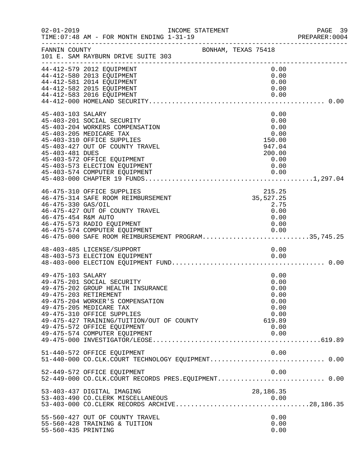| $02 - 01 - 2019$                          | INCOME STATEMENT<br>TIME: 07:48 AM - FOR MONTH ENDING 1-31-19                                                                                                                                                                                                                                      | . <u>.</u>                                                                     | PAGE 39<br>PREPARER:0004 |
|-------------------------------------------|----------------------------------------------------------------------------------------------------------------------------------------------------------------------------------------------------------------------------------------------------------------------------------------------------|--------------------------------------------------------------------------------|--------------------------|
| FANNIN COUNTY                             | 101 E. SAM RAYBURN DRIVE SUITE 303                                                                                                                                                                                                                                                                 | BONHAM, TEXAS 75418                                                            |                          |
|                                           | 44-412-579 2012 EQUIPMENT<br>44-412-580 2013 EQUIPMENT<br>44-412-581 2014 EQUIPMENT<br>44-412-582 2015 EQUIPMENT<br>44-412-583 2016 EQUIPMENT                                                                                                                                                      | 0.00<br>0.00<br>0.00<br>0.00<br>0.00                                           |                          |
|                                           |                                                                                                                                                                                                                                                                                                    |                                                                                |                          |
| 45-403-103 SALARY<br>45-403-481 DUES      | 45-403-201 SOCIAL SECURITY<br>45-403-204 WORKERS COMPENSATION<br>45-403-205 MEDICARE TAX<br>45-403-310 OFFICE SUPPLIES<br>45-403-427 OUT OF COUNTY TRAVEL<br>45-403-572 OFFICE EQUIPMENT<br>45-403-573 ELECTION EQUIPMENT                                                                          | 0.00<br>0.00<br>0.00<br>0.00<br>150.00<br>947.04<br>200.00<br>0.00<br>0.00     |                          |
| 46-475-330 GAS/OIL<br>46-475-454 R&M AUTO | 46-475-310 OFFICE SUPPLIES<br>46-475-314 SAFE ROOM REIMBURSEMENT<br>46-475-427 OUT OF COUNTY TRAVEL<br>46-475-573 RADIO EQUIPMENT                                                                                                                                                                  | 215.25<br>35,527.25<br>2.75<br>0.00<br>0.00<br>0.00                            |                          |
|                                           | 48-403-485 LICENSE/SUPPORT                                                                                                                                                                                                                                                                         | 0.00                                                                           |                          |
|                                           |                                                                                                                                                                                                                                                                                                    |                                                                                |                          |
| 49-475-103 SALARY                         | 49-475-201 SOCIAL SECURITY<br>49-475-202 GROUP HEALTH INSURANCE<br>49-475-203 RETIREMENT<br>49-475-204 WORKER'S COMPENSATION<br>49-475-205 MEDICARE TAX<br>49-475-310 OFFICE SUPPLIES<br>49-475-427 TRAINING/TUITION/OUT OF COUNTY<br>49-475-572 OFFICE EQUIPMENT<br>49-475-574 COMPUTER EQUIPMENT | 0.00<br>0.00<br>0.00<br>0.00<br>0.00<br>0.00<br>0.00<br>619.89<br>0.00<br>0.00 |                          |
|                                           | 51-440-572 OFFICE EQUIPMENT<br>51-440-000 CO.CLK.COURT TECHNOLOGY EQUIPMENT 0.00                                                                                                                                                                                                                   | 0.00                                                                           |                          |
|                                           | 52-449-572 OFFICE EQUIPMENT<br>52-449-000 CO.CLK.COURT RECORDS PRES.EQUIPMENT 0.00                                                                                                                                                                                                                 | 0.00                                                                           |                          |
|                                           | 53-403-437 DIGITAL IMAGING<br>53-403-490 CO. CLERK MISCELLANEOUS                                                                                                                                                                                                                                   | 28, 186. 35                                                                    |                          |
| 55-560-435 PRINTING                       | 55-560-427 OUT OF COUNTY TRAVEL<br>55-560-428 TRAINING & TUITION                                                                                                                                                                                                                                   | 0.00<br>0.00<br>0.00                                                           |                          |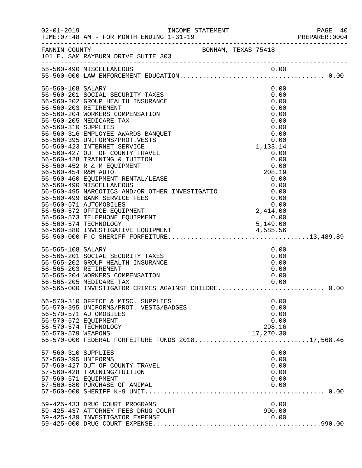|                                                                                          |                                                                                                                                                                                                                                                                                                                                                                                                                                                                                                                                                                                                                                                                                        |  |                                                                                                                                    | PREPARER: 0004 |
|------------------------------------------------------------------------------------------|----------------------------------------------------------------------------------------------------------------------------------------------------------------------------------------------------------------------------------------------------------------------------------------------------------------------------------------------------------------------------------------------------------------------------------------------------------------------------------------------------------------------------------------------------------------------------------------------------------------------------------------------------------------------------------------|--|------------------------------------------------------------------------------------------------------------------------------------|----------------|
|                                                                                          | FANNIN COUNTY<br>101 E. SAM RAYBURN DRIVE SUITE 303                                                                                                                                                                                                                                                                                                                                                                                                                                                                                                                                                                                                                                    |  |                                                                                                                                    |                |
|                                                                                          | 55-560-490 MISCELLANEOUS                                                                                                                                                                                                                                                                                                                                                                                                                                                                                                                                                                                                                                                               |  |                                                                                                                                    |                |
| 56-560-108 SALARY<br>56-560-310 SUPPLIES<br>56-560-454 R&M AUTO                          | 56-560-201 SOCIAL SECURITY TAXES<br>56-560-202 GROUP HEALTH INSURANCE<br>56-560-203 RETIREMENT<br>56-560-204 WORKERS COMPENSATION<br>56-560-205 MEDICARE TAX<br>56-560-316 EMPLOYEE AWARDS BANQUET<br>56-560-395 UNIFORMS/PROT.VESTS<br>56-560-423 INTERNET SERVICE<br>56-560-427 OUT OF COUNTY TRAVEL<br>56-560-428 TRAINING & TUITION<br>56-560-452 R & M EQUIPMENT<br>56-560-460 EQUIPMENT RENTAL/LEASE<br>56-560-490 MISCELLANEOUS<br>56-560-499 BANK SERVICE FEES<br>56-560-571 AUTOMOBILES<br>56-560-572 OFFICE EQUIPMENT<br>56-560-573 TELEPHONE EQUIPMENT<br>56-560-574 TECHNOLOGY<br>56-560-580 INVESTIGATIVE EQUIPMENT<br>56-560-580 INVESTIGATIVE EQUIPMENT<br>56-560-000 F |  | 0.00<br>0.00<br>0.00<br>0.00<br>0.00<br>0.00<br>0.00<br>0.00<br>0.00<br>1,133.14<br>0.00<br>0.00<br>0.00<br>208.19<br>0.00<br>0.00 |                |
| 56-565-108 SALARY                                                                        | 56-565-201 SOCIAL SECURITY TAXES<br>56-565-202 GROUP HEALIN INDUNING<br>56-565-203 RETIREMENT<br>56-565-204 WORKERS COMPENSATION<br>56-565-000 INVESTIGATOR CRIMES AGAINST CHILDRE 0.00<br>56-570-310 OFFICE & MISC. SUPPLIES<br>56-570-395 UNIFORMS/PROT. VESTS/BADGES<br>56-570-571 AUTOMOBILES                                                                                                                                                                                                                                                                                                                                                                                      |  | 0.00<br>0.00<br>0.00<br>0.00<br>0.00<br>0.00<br>0.00<br>0.00<br>0.00                                                               |                |
| 56-570-572 EQUIPMENT<br>56-570-579 WEAPONS<br>57-560-310 SUPPLIES<br>57-560-395 UNIFORMS | 56-570-574 TECHNOLOGY<br>56-570-000 FEDERAL FORFEITURE FUNDS 201817,568.46                                                                                                                                                                                                                                                                                                                                                                                                                                                                                                                                                                                                             |  | 0.00<br>298.16<br>17,270.30<br>0.00<br>0.00                                                                                        |                |
| 57-560-571 EQUIPMENT                                                                     | 57-560-427 OUT OF COUNTY TRAVEL<br>57-560-428 TRAINING/TUITION<br>57-560-580 PURCHASE OF ANIMAL<br>59-425-433 DRUG COURT PROGRAMS                                                                                                                                                                                                                                                                                                                                                                                                                                                                                                                                                      |  | 0.00<br>0.00<br>0.00<br>0.00<br>0.00                                                                                               |                |
|                                                                                          | 59-425-437 ATTORNEY FEES DRUG COURT<br>59-425-439 INVESTIGATOR EXPENSE                                                                                                                                                                                                                                                                                                                                                                                                                                                                                                                                                                                                                 |  | 990.00<br>0.00                                                                                                                     |                |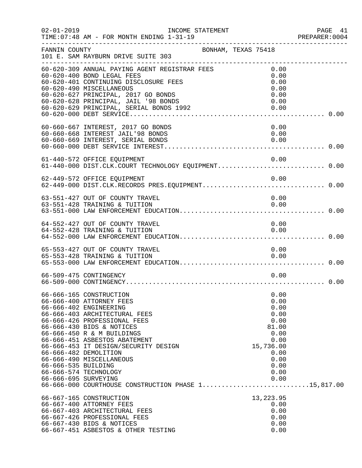| $02 - 01 - 2019$                            | INCOME STATEMENT<br>TIME: 07:48 AM - FOR MONTH ENDING 1-31-19                                                                                                                                                                                   |                                                           | PAGE 41<br>PREPARER:0004 |
|---------------------------------------------|-------------------------------------------------------------------------------------------------------------------------------------------------------------------------------------------------------------------------------------------------|-----------------------------------------------------------|--------------------------|
| FANNIN COUNTY                               | BONHAM, TEXAS 75418<br>101 E. SAM RAYBURN DRIVE SUITE 303<br>----------------------------------                                                                                                                                                 |                                                           |                          |
|                                             | 60-620-309 ANNUAL PAYING AGENT REGISTRAR FEES<br>60-620-400 BOND LEGAL FEES<br>60-620-401 CONTINUING DISCLOSURE FEES<br>60-620-490 MISCELLANEOUS                                                                                                | 0.00<br>0.00<br>0.00<br>0.00                              |                          |
|                                             | 60-620-627 PRINCIPAL, 2017 GO BONDS<br>60-620-628 PRINCIPAL, JAIL '98 BONDS<br>60–620–628 PRINCIPAL, JAIL '98 BONDS<br>60–620–629 PRINCIPAL, SERIAL BONDS 1992                                                                                  | 0.00<br>0.00<br>0.00                                      |                          |
|                                             | 60-660-667 INTEREST, 2017 GO BONDS<br>60-660-668 INTEREST JAIL'98 BONDS<br>60-660-669 INTEREST, SERIAL BONDS                                                                                                                                    | 0.00<br>0.00<br>0.00                                      |                          |
|                                             | 61-440-572 OFFICE EQUIPMENT                                                                                                                                                                                                                     | 0.00                                                      |                          |
|                                             | 62-449-572 OFFICE EQUIPMENT                                                                                                                                                                                                                     | 0.00                                                      |                          |
|                                             | 63-551-427 OUT OF COUNTY TRAVEL<br>63-551-428 TRAINING & TUITION                                                                                                                                                                                | 0.00<br>0.00                                              |                          |
|                                             | 64-552-427 OUT OF COUNTY TRAVEL<br>64-552-428 TRAINING & TUITION                                                                                                                                                                                | 0.00<br>0.00                                              |                          |
|                                             | 65-553-427 OUT OF COUNTY TRAVEL                                                                                                                                                                                                                 | 0.00                                                      |                          |
|                                             | 65-553-428 TRAINING & TUITION                                                                                                                                                                                                                   | 0.00                                                      |                          |
|                                             | 66-509-475 CONTINGENCY                                                                                                                                                                                                                          | 0.00                                                      |                          |
|                                             | 66-666-165 CONSTRUCTION<br>66-666-400 ATTORNEY FEES<br>66-666-402 ENGINEERING<br>66-666-403 ARCHITECTURAL FEES<br>66-666-426 PROFESSIONAL FEES<br>66-666-430 BIDS & NOTICES<br>66-666-450 R & M BUILDINGS                                       | 0.00<br>0.00<br>0.00<br>0.00<br>0.00<br>81.00<br>0.00     |                          |
| 66-666-535 BUILDING<br>66-666-695 SURVEYING | 66-666-451 ASBESTOS ABATEMENT<br>66-666-453 IT DESIGN/SECURITY DESIGN<br>66-666-482 DEMOLITION<br>66-666-490 MISCELLANEOUS<br>66-666-574 TECHNOLOGY                                                                                             | 0.00<br>15,736.00<br>0.00<br>0.00<br>0.00<br>0.00<br>0.00 |                          |
|                                             | 66-666-000 COURTHOUSE CONSTRUCTION PHASE 115,817.00<br>66-667-165 CONSTRUCTION<br>66-667-400 ATTORNEY FEES<br>66-667-403 ARCHITECTURAL FEES<br>66-667-426 PROFESSIONAL FEES<br>66-667-430 BIDS & NOTICES<br>66-667-451 ASBESTOS & OTHER TESTING | 13, 223.95<br>0.00<br>0.00<br>0.00<br>0.00<br>0.00        |                          |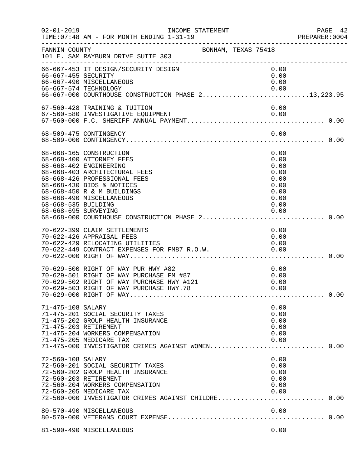| $02 - 01 - 2019$                            | INCOME STATEMENT<br>TIME: 07:48 AM - FOR MONTH ENDING 1-31-19<br>. _ _ _ _ _ _ _ _ _ _ _ _ _ _ _ _ _                                                                                                                                                                                     |                                                                              | PAGE 42<br>PREPARER: 0004<br>_________________________________ |
|---------------------------------------------|------------------------------------------------------------------------------------------------------------------------------------------------------------------------------------------------------------------------------------------------------------------------------------------|------------------------------------------------------------------------------|----------------------------------------------------------------|
| FANNIN COUNTY                               | BONHAM, TEXAS 75418<br>101 E. SAM RAYBURN DRIVE SUITE 303                                                                                                                                                                                                                                |                                                                              |                                                                |
| 66-667-455 SECURITY                         | 66-667-453 IT DESIGN/SECURITY DESIGN<br>66-667-490 MISCELLANEOUS<br>66-667-574 TECHNOLOGY<br>0.00 0.00<br>66-667-000 COURTHOUSE CONSTRUCTION PHASE 213,223.95                                                                                                                            | 0.00<br>0.00<br>0.00<br>0.00                                                 |                                                                |
|                                             | 67-560-428 TRAINING & TUITION<br>67-560-580 INVESTIGATIVE EQUIPMENT                                                                                                                                                                                                                      | 0.00                                                                         |                                                                |
|                                             | 68-509-475 CONTINGENCY                                                                                                                                                                                                                                                                   | 0.00                                                                         |                                                                |
| 68-668-535 BUILDING<br>68-668-695 SURVEYING | 68-668-165 CONSTRUCTION<br>68-668-400 ATTORNEY FEES<br>68-668-402 ENGINEERING<br>68-668-403 ARCHITECTURAL FEES<br>68-668-426 PROFESSIONAL FEES<br>68-668-430 BIDS & NOTICES<br>68-668-450 R & M BUILDINGS<br>68-668-490 MISCELLANEOUS<br>68-668-000 COURTHOUSE CONSTRUCTION PHASE 2 0.00 | 0.00<br>0.00<br>0.00<br>0.00<br>0.00<br>0.00<br>0.00<br>0.00<br>0.00<br>0.00 |                                                                |
|                                             | 70-622-399 CLAIM SETTLEMENTS<br>70-622-426 APPRAISAL FEES<br>70-622-429 RELOCATING UTILITIES                                                                                                                                                                                             | 0.00<br>0.00<br>0.00                                                         |                                                                |
|                                             | 70-629-500 RIGHT OF WAY PUR HWY #82<br>70-629-501 RIGHT OF WAY PURCHASE FM #87<br>70-629-502 RIGHT OF WAY PURCHASE HWY #121<br>70-629-503 RIGHT OF WAY PURCHASE HWY.78                                                                                                                   | 0.00<br>0.00<br>0.00<br>0.00                                                 |                                                                |
| 71-475-108 SALARY                           | 71-475-201 SOCIAL SECURITY TAXES<br>71-475-202 GROUP HEALTH INSURANCE<br>71-475-203 RETIREMENT<br>71-475-204 WORKERS COMPENSATION<br>71-475-205 MEDICARE TAX<br>71-475-000 INVESTIGATOR CRIMES AGAINST WOMEN 0.00                                                                        | 0.00<br>0.00<br>0.00<br>0.00<br>0.00<br>0.00                                 |                                                                |
| 72-560-108 SALARY                           | 72-560-201 SOCIAL SECURITY TAXES<br>72-560-202 GROUP HEALTH INSURANCE<br>72-560-203 RETIREMENT<br>72-560-204 WORKERS COMPENSATION<br>72-560-205 MEDICARE TAX<br>72-560-000 INVESTIGATOR CRIMES AGAINST CHILDRE 0.00                                                                      | 0.00<br>0.00<br>0.00<br>0.00<br>0.00<br>0.00                                 |                                                                |
|                                             | 80-570-490 MISCELLANEOUS                                                                                                                                                                                                                                                                 | 0.00                                                                         |                                                                |
|                                             | 81-590-490 MISCELLANEOUS                                                                                                                                                                                                                                                                 | 0.00                                                                         |                                                                |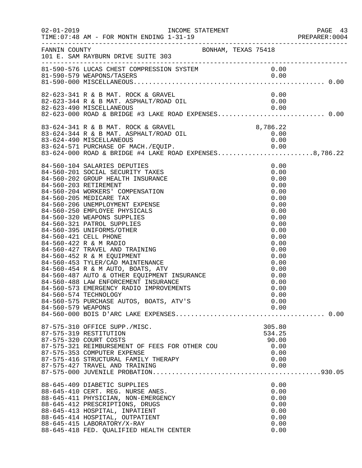| $02 - 01 - 2019$   | TIME: 07:48 AM - FOR MONTH ENDING 1-31-19                                                                                                                                                                                                                                                                                                                                                                                                                                                                                                                                                                                                                                                                                                                                                         |                                                                                                                                                                                      | ے - PAGE<br>PREPARER:0004<br>--------- |
|--------------------|---------------------------------------------------------------------------------------------------------------------------------------------------------------------------------------------------------------------------------------------------------------------------------------------------------------------------------------------------------------------------------------------------------------------------------------------------------------------------------------------------------------------------------------------------------------------------------------------------------------------------------------------------------------------------------------------------------------------------------------------------------------------------------------------------|--------------------------------------------------------------------------------------------------------------------------------------------------------------------------------------|----------------------------------------|
|                    | FANNIN COUNTY BONHAM, TEXAS 75418<br>101 E. SAM RAYBURN DRIVE SUITE 303                                                                                                                                                                                                                                                                                                                                                                                                                                                                                                                                                                                                                                                                                                                           |                                                                                                                                                                                      |                                        |
|                    | ----------------------------<br>81-590-576 LUCAS CHEST COMPRESSION SYSTEM                                                                                                                                                                                                                                                                                                                                                                                                                                                                                                                                                                                                                                                                                                                         | 0.00<br>0.00                                                                                                                                                                         |                                        |
|                    | 82-623-341 R & B MAT. ROCK & GRAVEL<br>$82-623-344$ R & B MAT. ASPHALT/ROAD OIL<br>82-623-490 MISCELLANEOUS 0.00<br>82-623-000 ROAD & BRIDGE #3 LAKE ROAD EXPENSES0.00                                                                                                                                                                                                                                                                                                                                                                                                                                                                                                                                                                                                                            | 0.00<br>0.00                                                                                                                                                                         |                                        |
|                    | 83-624-341 R & B MAT. ROCK & GRAVEL 8,786.22<br>83-624-344 R & B MAT. ASPHALT/ROAD OIL 0.00<br>83-624-490 MISCELLANEOUS                                                                                                                                                                                                                                                                                                                                                                                                                                                                                                                                                                                                                                                                           | 0.00                                                                                                                                                                                 |                                        |
| 84-560-579 WEAPONS | 84-560-104 SALARIES DEPUTIES<br>84-560-201 SOCIAL SECURITY TAXES<br>84-560-202 GROUP HEALTH INSURANCE<br>84-560-203 RETIREMENT<br>84-560-204 WORKERS' COMPENSATION<br>84-560-205 MEDICARE TAX<br>84-560-206 UNEMPLOYMENT EXPENSE<br>84-560-250 EMPLOYEE PHYSICALS<br>84-560-320 WEAPONS SUPPLIES<br>84-560-321 PATROL SUPPLIES<br>84-560-395 UNIFORMS/OTHER<br>84-560-421 CELL PHONE<br>84-560-422 R & M RADIO<br>84-560-427 TRAVEL AND TRAINING<br>84-560-452 R & M EQUIPMENT<br>84-560-453 TYLER/CAD MAINTENANCE<br>84-560-453 TYLER/CAD MAINTENANCE<br>84-560-454 R & M AUTO, BOATS, ATV<br>84-560-487 AUTO & OTHER EQUIPMENT INSURANCE<br>84-560-488 LAW ENFORCEMENT INSURANCE<br>84-560-573 EMERGENCY RADIO IMPROVEMENTS<br>84-560-574 TECHNOLOGY<br>84-560-575 PURCHASE AUTOS, BOATS, ATV'S | 0.00<br>0.00<br>0.00<br>0.00<br>0.00<br>0.00<br>0.00<br>0.00<br>0.00<br>0.00<br>0.00<br>0.00<br>0.00<br>0.00<br>0.00<br>0.00<br>0.00<br>0.00<br>0.00<br>0.00<br>0.00<br>0.00<br>0.00 |                                        |
|                    | 87-575-310 OFFICE SUPP./MISC.<br>87-575-319 RESTITUTION<br>87-575-320 COURT COSTS<br>87-575-321 REIMBURSEMENT OF FEES FOR OTHER COU<br>87-575-353 COMPUTER EXPENSE<br>87-575-416 STRUCTURAL FAMILY THERAPY<br>87-575-427 TRAVEL AND TRAINING                                                                                                                                                                                                                                                                                                                                                                                                                                                                                                                                                      | 305.80<br>534.25<br>90.00<br>0.00<br>0.00<br>0.00<br>0.00                                                                                                                            |                                        |
|                    | 88-645-409 DIABETIC SUPPLIES<br>88-645-410 CERT. REG. NURSE ANES.<br>88-645-411 PHYSICIAN, NON-EMERGENCY<br>88-645-412 PRESCRIPTIONS, DRUGS<br>88-645-413 HOSPITAL, INPATIENT<br>88-645-414 HOSPITAL, OUTPATIENT<br>88-645-415 LABORATORY/X-RAY<br>88-645-418 FED. QUALIFIED HEALTH CENTER                                                                                                                                                                                                                                                                                                                                                                                                                                                                                                        | 0.00<br>0.00<br>0.00<br>0.00<br>0.00<br>0.00<br>0.00<br>0.00                                                                                                                         |                                        |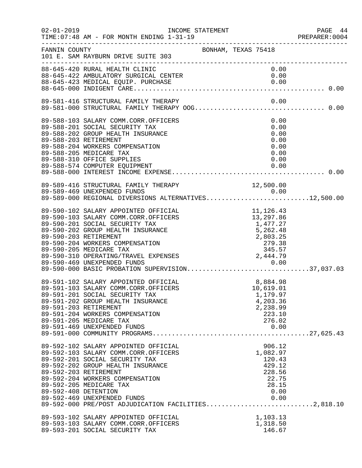| $02 - 01 - 2019$                              | INCOME STATEMENT<br>TIME: 07:48 AM - FOR MONTH ENDING 1-31-19                                                                                                                                                                                                                                                                          | PREPARER<br>----------------------------------                                                           | PAGE 44<br>PREPARER:0004 |
|-----------------------------------------------|----------------------------------------------------------------------------------------------------------------------------------------------------------------------------------------------------------------------------------------------------------------------------------------------------------------------------------------|----------------------------------------------------------------------------------------------------------|--------------------------|
| FANNIN COUNTY                                 | 101 E. SAM RAYBURN DRIVE SUITE 303                                                                                                                                                                                                                                                                                                     | BONHAM, TEXAS 75418                                                                                      |                          |
|                                               | 88-645-420 RURAL HEALTH CLINIC<br>88-645-422 AMBULATORY SURGICAL CENTER                                                                                                                                                                                                                                                                | 0.00<br>0.00                                                                                             |                          |
|                                               |                                                                                                                                                                                                                                                                                                                                        |                                                                                                          |                          |
|                                               | 89-588-103 SALARY COMM.CORR.OFFICERS<br>89-588-201 SOCIAL SECURITY TAX<br>89-588-202 GROUP HEALTH INSURANCE<br>89-588-203 RETIREMENT<br>89-588-204 WORKERS COMPENSATION<br>89-588-205 MEDICARE TAX<br>89-588-310 OFFICE SUPPLIES<br>89-588-574 COMPUTER EQUIPMENT                                                                      | 0.00<br>0.00<br>0.00<br>0.00<br>0.00<br>0.00<br>0.00<br>0.00                                             |                          |
|                                               | 89-589-416 STRUCTURAL FAMILY THERAPY<br>89-589-469 UNEXPENDED FUNDS<br>89-589-416 STRUCTURAL FAMILY THERAPY 12,500.00<br>89-589-469 UNEXPENDED FUNDS 0.00<br>89-589-000 REGIONAL DIVERSIONS ALTERNATIVES12,500.00                                                                                                                      |                                                                                                          |                          |
|                                               | 89-590-102 SALARY APPOINTED OFFICIAL<br>89-590-103 SALARY COMM.CORR.OFFICERS<br>89-590-201 SOCIAL SECURITY TAX<br>89-590-202 GROUP HEALTH INSURANCE<br>89-590-203 RETIREMENT<br>89-590-204 WORKERS COMPENSATION<br>89-590-205 MEDICARE TAX                                                                                             | 11,126.43<br>11,126.43<br>13,297.86<br>13,177.85<br>1,477.27<br>5,262.48<br>2,803.25<br>279.38<br>345.57 |                          |
| 89-591-203 RETIREMENT                         | 89-591-102 SALARY APPOINTED OFFICIAL<br>89-591-103 SALARY COMM.CORR.OFFICERS<br>89-591-201 SOCIAL SECURITY TAX<br>89-591-202 GROUP HEALTH INSURANCE<br>89-591-204 WORKERS COMPENSATION<br>89-591-205 MEDICARE TAX                                                                                                                      | 8,884.98<br>10,619.01<br>1,179.97<br>4,203.36<br>2,238.99<br>223.10<br>276.02                            |                          |
| 89-592-203 RETIREMENT<br>89-592-408 DETENTION | 89-592-102 SALARY APPOINTED OFFICIAL<br>89-592-103 SALARY COMM.CORR.OFFICERS<br>89-592-201 SOCIAL SECURITY TAX<br>89-592-202 GROUP HEALTH INSURANCE<br>89-592-204 WORKERS COMPENSATION<br>89-592-205 MEDICARE TAX<br>89-592-469 UNEXPENDED FUNDS<br>89-592-469 UNEXPENDED FUNDS<br>89-592-000 PRE/POST ADJUDICATION FACILITIES2,818.10 | 906.12<br>1,082.97<br>120.43<br>429.12<br>228.56<br>22.75<br>28.15<br>0.00<br>0.00                       |                          |
|                                               | 89-593-102 SALARY APPOINTED OFFICIAL<br>89-593-103 SALARY COMM.CORR.OFFICERS<br>89-593-201 SOCIAL SECURITY TAX                                                                                                                                                                                                                         | 1,103.13<br>1,318.50<br>146.67                                                                           |                          |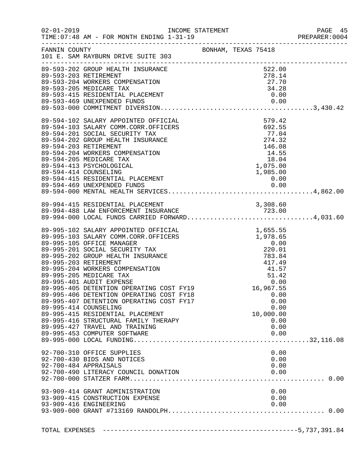|                |                                                                                                                                                                                                                                                                                                                                                                                                                                                                                                                                                                                                                               |                                                            |                                                                                             | PREPARER: 0004 |
|----------------|-------------------------------------------------------------------------------------------------------------------------------------------------------------------------------------------------------------------------------------------------------------------------------------------------------------------------------------------------------------------------------------------------------------------------------------------------------------------------------------------------------------------------------------------------------------------------------------------------------------------------------|------------------------------------------------------------|---------------------------------------------------------------------------------------------|----------------|
|                | FANNIN COUNTY<br>101 E. SAM RAYBURN DRIVE SUITE 303                                                                                                                                                                                                                                                                                                                                                                                                                                                                                                                                                                           |                                                            |                                                                                             |                |
|                | 89-593-202 GROUP HEALTH INSURANCE<br>89-593-203 RETIREMENT<br>89-593-204 WORKERS COMPENSATION<br>89-593-205 MEDICARE TAX                                                                                                                                                                                                                                                                                                                                                                                                                                                                                                      |                                                            | 522.00<br>278.14<br>27.70<br>34.28                                                          |                |
|                | 89–594–102 SALARY APPOINTED OFFICIAL<br>89–594–103 SALARY COMM.CORR.OFFICERS<br>89–594–201 SOCIAL SECURITY TAX<br>89–594–202 GROUP HEALTH INSURANCE<br>89–594–203 RETIREMENT INSURANCE<br>89–594–203 RETIREMENT INSURANCE<br>89–594–204 WO                                                                                                                                                                                                                                                                                                                                                                                    |                                                            |                                                                                             |                |
|                | 89-994-415 RESIDENTIAL PLACEMENT<br>89-994-488 LAW ENFORCEMENT INSURANCE 723.00<br>89-994-000 LOCAL FUNDS CARRIED FORWARD4,031.60                                                                                                                                                                                                                                                                                                                                                                                                                                                                                             |                                                            |                                                                                             |                |
|                | 89-995-102 SALARY APPOINTED OFFICIAL<br>89-995-103 SALARY COMM.CORR.OFFICERS<br>89-995-105 OFFICE MANAGER<br>89-995-201 SOCIAL SECURITY TAX<br>89-995-202 GROUP HEALTH INSURANCE<br>89-995-203 RETIREMENT<br>89-995-204 WORKERS COMPENSATION<br>89-995-205 MEDICARE TAX<br>89-995-401 AUDIT EXPENSE 0.00<br>89-995-405 DETENTION OPERATING COST FY19 16,967.55<br>89-995-406 DETENTION OPERATING COST FY18<br>89-995-407 DETENTION OPERATING COST FY17<br>89-995-414 COUNSELING<br>89-995-415 RESIDENTIAL PLACEMENT<br>89-995-416 STRUCTURAL FAMILY THERAPY<br>89-995-427 TRAVEL AND TRAINING<br>89-995-453 COMPUTER SOFTWARE | 1,655.55<br>1,978.65<br>0.00<br>220.01<br>783.84<br>417.49 | $417.49$<br>$41.57$<br>$51.42$<br>0.00<br>0.00<br>0.00<br>10,000.00<br>0.00<br>0.00<br>0.00 |                |
|                | 92-700-310 OFFICE SUPPLIES<br>92-700-430 BIDS AND NOTICES<br>92-700-484 APPRAISALS<br>92-700-490 LITERACY COUNCIL DONATION<br>93-909-414 GRANT ADMINISTRATION<br>93-909-415 CONSTRUCTION EXPENSE<br>93-909-416 ENGINEERING                                                                                                                                                                                                                                                                                                                                                                                                    |                                                            | 0.00<br>0.00<br>0.00<br>0.00<br>0.00<br>0.00<br>0.00                                        |                |
| TOTAL EXPENSES |                                                                                                                                                                                                                                                                                                                                                                                                                                                                                                                                                                                                                               |                                                            |                                                                                             |                |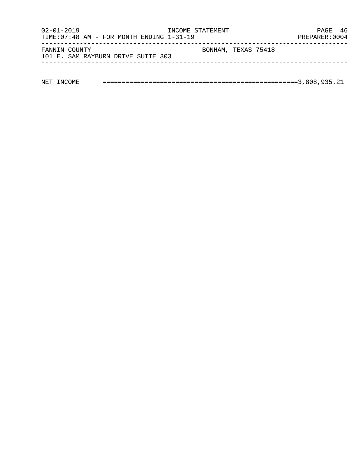| $02 - 01 - 2019$<br>TIME: $07:48$ AM - FOR MONTH ENDING $1-31-19$ | INCOME STATEMENT    | PAGE 46<br>PREPARER: 0004 |
|-------------------------------------------------------------------|---------------------|---------------------------|
| FANNIN COUNTY<br>101 E. SAM RAYBURN DRIVE SUITE 303               | BONHAM, TEXAS 75418 |                           |
|                                                                   |                     |                           |

| NET |  |  |  |  |  |  |  |
|-----|--|--|--|--|--|--|--|
|-----|--|--|--|--|--|--|--|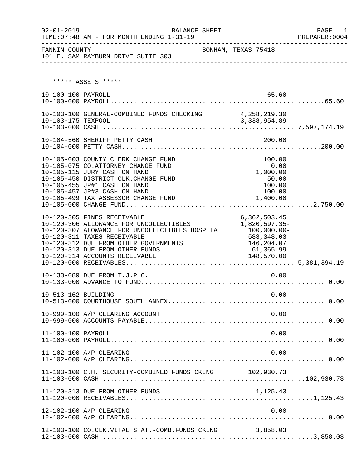| $02 - 01 - 2019$    | BALANCE SHEET<br>TIME: 07:48 AM - FOR MONTH ENDING 1-31-19                                                                                                                                                                                                            |                                                                                            | PAGE 1<br>PREPARER:0004 |
|---------------------|-----------------------------------------------------------------------------------------------------------------------------------------------------------------------------------------------------------------------------------------------------------------------|--------------------------------------------------------------------------------------------|-------------------------|
| FANNIN COUNTY       | 101 E. SAM RAYBURN DRIVE SUITE 303                                                                                                                                                                                                                                    | BONHAM, TEXAS 75418                                                                        |                         |
|                     | ***** ASSETS *****                                                                                                                                                                                                                                                    |                                                                                            |                         |
| 10-100-100 PAYROLL  |                                                                                                                                                                                                                                                                       | 65.60                                                                                      |                         |
|                     | 10-103-100 GENERAL-COMBINED FUNDS CHECKING 4, 258, 219.30                                                                                                                                                                                                             |                                                                                            |                         |
|                     | 10-104-560 SHERIFF PETTY CASH                                                                                                                                                                                                                                         | 200.00                                                                                     |                         |
|                     | 10-105-003 COUNTY CLERK CHANGE FUND<br>10-105-075 CO.ATTORNEY CHANGE FUND<br>10-105-115 JURY CASH ON HAND<br>10-105-450 DISTRICT CLK.CHANGE FUND<br>10-105-455 JP#1 CASH ON HAND<br>10-105-457 JP#3 CASH ON HAND<br>10-105-499 TAX ASSESSOR CHANGE FUND               | 100.00<br>0.00<br>1,000.00<br>50.00<br>100.00<br>100.00<br>1,400.00                        |                         |
|                     | 10-120-305 FINES RECEIVABLE<br>10-120-306 ALLOWANCE FOR UNCOLLECTIBLES<br>10-120-307 ALOWANCE FOR UNCOLLECTIBLES HOSPITA<br>10-120-311 TAXES RECEIVABLE<br>10-120-312 DUE FROM OTHER GOVERNMENTS<br>10-120-313 DUE FROM OTHER FUNDS<br>10-120-314 ACCOUNTS RECEIVABLE | 6, 362, 503.45<br>1,820,597.35-<br>$100,000.00-$<br>583, 348.03<br>146,204.07<br>61,365.99 |                         |
|                     | 10-133-089 DUE FROM T.J.P.C.                                                                                                                                                                                                                                          | 0.00                                                                                       |                         |
| 10-513-162 BUILDING |                                                                                                                                                                                                                                                                       | 0.00                                                                                       |                         |
|                     | 10-999-100 A/P CLEARING ACCOUNT                                                                                                                                                                                                                                       | 0.00                                                                                       |                         |
| 11-100-100 PAYROLL  |                                                                                                                                                                                                                                                                       | 0.00                                                                                       |                         |
|                     | 11-102-100 A/P CLEARING                                                                                                                                                                                                                                               | 0.00                                                                                       |                         |
|                     | 11-103-100 C.H. SECURITY-COMBINED FUNDS CKING 102,930.73                                                                                                                                                                                                              |                                                                                            |                         |
|                     | 11-120-313 DUE FROM OTHER FUNDS                                                                                                                                                                                                                                       | 1,125.43                                                                                   |                         |
|                     | 12-102-100 A/P CLEARING                                                                                                                                                                                                                                               | 0.00                                                                                       |                         |
|                     | 12-103-100 CO.CLK.VITAL STAT.-COMB.FUNDS CKING 3,858.03                                                                                                                                                                                                               |                                                                                            |                         |

12-103-000 CASH .......................................................3,858.03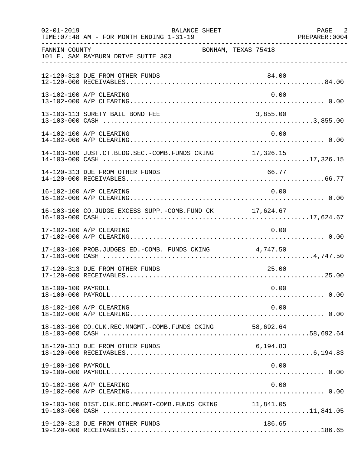| $02 - 01 - 2019$   | BALANCE SHEET<br>TIME: 07:48 AM - FOR MONTH ENDING 1-31-19 |                     | PAGE 2<br>PREPARER: 0004 |
|--------------------|------------------------------------------------------------|---------------------|--------------------------|
| FANNIN COUNTY      | 101 E. SAM RAYBURN DRIVE SUITE 303                         | BONHAM, TEXAS 75418 |                          |
|                    | 12-120-313 DUE FROM OTHER FUNDS                            | 84.00               |                          |
|                    | 13-102-100 A/P CLEARING                                    | 0.00                |                          |
|                    | 13-103-113 SURETY BAIL BOND FEE                            | 3,855.00            |                          |
|                    | 14-102-100 A/P CLEARING                                    | 0.00                |                          |
|                    | 14-103-100 JUST.CT.BLDG.SEC.-COMB.FUNDS CKING 17,326.15    |                     |                          |
|                    | 14-120-313 DUE FROM OTHER FUNDS                            | 66.77               |                          |
|                    | 16-102-100 A/P CLEARING                                    | 0.00                |                          |
|                    | 16-103-100 CO.JUDGE EXCESS SUPP.-COMB.FUND CK 17,624.67    |                     |                          |
|                    | 17-102-100 A/P CLEARING                                    | 0.00                |                          |
|                    | 17-103-100 PROB.JUDGES ED.-COMB. FUNDS CKING 4,747.50      |                     |                          |
|                    | 17-120-313 DUE FROM OTHER FUNDS                            | 25.00               |                          |
| 18-100-100 PAYROLL |                                                            | 0.00                |                          |
|                    | 18-102-100 A/P CLEARING                                    | 0.00                |                          |
|                    |                                                            |                     |                          |
|                    | 18-120-313 DUE FROM OTHER FUNDS                            | 6,194.83            |                          |
| 19-100-100 PAYROLL |                                                            | 0.00                |                          |
|                    | 19-102-100 A/P CLEARING                                    | 0.00                |                          |
|                    | 19-103-100 DIST.CLK.REC.MNGMT-COMB.FUNDS CKING 11,841.05   |                     |                          |
|                    | 19-120-313 DUE FROM OTHER FUNDS                            | 186.65              |                          |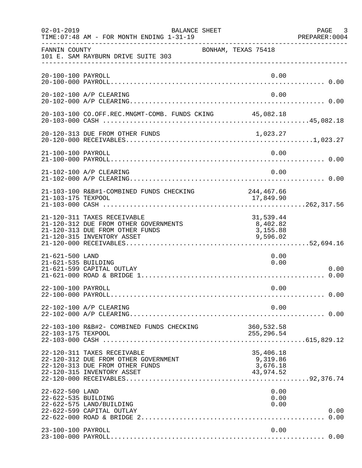| $02 - 01 - 2019$                       | BALANCE SHEET<br>TIME: 07:48 AM - FOR MONTH ENDING 1-31-19                                                                            |                                                | PAGE 3<br>PREPARER:0004 |
|----------------------------------------|---------------------------------------------------------------------------------------------------------------------------------------|------------------------------------------------|-------------------------|
| FANNIN COUNTY                          | BONHAM, TEXAS 75418<br>101 E. SAM RAYBURN DRIVE SUITE 303                                                                             |                                                |                         |
| 20-100-100 PAYROLL                     |                                                                                                                                       | 0.00                                           |                         |
|                                        | 20-102-100 A/P CLEARING                                                                                                               | 0.00                                           |                         |
|                                        | 20-103-100 CO.OFF.REC.MNGMT-COMB. FUNDS CKING 45,082.18                                                                               |                                                |                         |
|                                        |                                                                                                                                       |                                                |                         |
| 21-100-100 PAYROLL                     |                                                                                                                                       | 0.00                                           |                         |
|                                        | 21-102-100 A/P CLEARING                                                                                                               | 0.00                                           |                         |
| 21-103-175 TEXPOOL                     | 21-103-100 R&B#1-COMBINED FUNDS CHECKING                                                                                              | 244,467.66<br>17,849.90                        |                         |
|                                        | 21-120-311 TAXES RECEIVABLE<br>21-120-312 DUE FROM OTHER GOVERNMENTS<br>21-120-313 DUE FROM OTHER FUNDS<br>21-120-315 INVENTORY ASSET | 31,539.44<br>8,402.82<br>3,155.88<br>9,596.02  |                         |
| 21-621-500 LAND<br>21-621-535 BUILDING | 21-621-599 CAPITAL OUTLAY                                                                                                             | 0.00<br>0.00                                   | 0.00                    |
| 22-100-100 PAYROLL                     |                                                                                                                                       | 0.00                                           |                         |
|                                        | 22-102-100 A/P CLEARING                                                                                                               | 0.00                                           |                         |
| 22-103-175 TEXPOOL                     | 22-103-100 R&B#2- COMBINED FUNDS CHECKING                                                                                             | 360,532.58<br>255, 296.54                      |                         |
|                                        | 22-120-311 TAXES RECEIVABLE<br>22-120-312 DUE FROM OTHER GOVERNMENT<br>22-120-313 DUE FROM OTHER FUNDS<br>22-120-315 INVENTORY ASSET  | 35,406.18<br>9,319.86<br>3,676.18<br>43,974.52 |                         |
| 22-622-500 LAND<br>22-622-535 BUILDING | 22-622-575 LAND/BUILDING<br>22-622-599 CAPITAL OUTLAY                                                                                 | 0.00<br>0.00<br>0.00                           | 0.00                    |
| 23-100-100 PAYROLL                     |                                                                                                                                       | 0.00                                           |                         |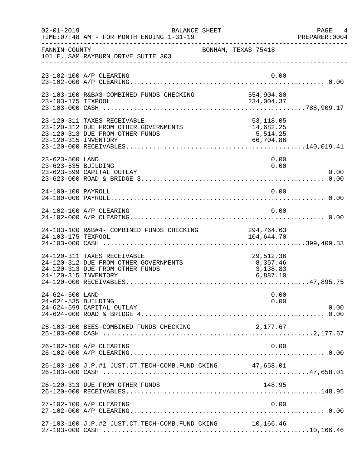| $02 - 01 - 2019$                       | BALANCE SHEET<br>TIME: 07:48 AM - FOR MONTH ENDING 1-31-19                                              |                                                  | PAGE 4<br>PREPARER: 0004 |
|----------------------------------------|---------------------------------------------------------------------------------------------------------|--------------------------------------------------|--------------------------|
| FANNIN COUNTY                          | 101 E. SAM RAYBURN DRIVE SUITE 303                                                                      | BONHAM, TEXAS 75418                              |                          |
|                                        | 23-102-100 A/P CLEARING                                                                                 | 0.00                                             |                          |
| 23-103-175 TEXPOOL                     | 23-103-100 R&B#3-COMBINED FUNDS CHECKING                                                                | 554,904.80<br>234,004.37                         |                          |
| 23-120-315 INVENTORY                   | 23-120-311 TAXES RECEIVABLE<br>23-120-312 DUE FROM OTHER GOVERNMENTS<br>23-120-313 DUE FROM OTHER FUNDS | 53,118.05<br>14,682.25<br>5, 514.25<br>66,704.86 |                          |
| 23-623-500 LAND<br>23-623-535 BUILDING | 23-623-599 CAPITAL OUTLAY                                                                               | 0.00<br>0.00                                     | 0.00                     |
| 24-100-100 PAYROLL                     |                                                                                                         | 0.00                                             |                          |
|                                        | 24-102-100 A/P CLEARING                                                                                 | 0.00                                             |                          |
| 24-103-175 TEXPOOL                     | 24-103-100 R&B#4- COMBINED FUNDS CHECKING                                                               | 294,764.63<br>104,644.70                         |                          |
| 24-120-315 INVENTORY                   | 24-120-311 TAXES RECEIVABLE<br>24-120-312 DUE FROM OTHER GOVERNMENTS<br>24-120-313 DUE FROM OTHER FUNDS | 29,512.36<br>8,357.46<br>3,138.83<br>6,887.10    |                          |
| 24-624-500 LAND<br>24-624-535 BUILDING | 24-624-599 CAPITAL OUTLAY                                                                               | 0.00<br>0.00                                     | 0.00                     |
|                                        | 25-103-100 BEES-COMBINED FUNDS CHECKING                                                                 | 2,177.67                                         |                          |
|                                        | 26-102-100 A/P CLEARING                                                                                 | 0.00                                             |                          |
|                                        | 26-103-100 J.P.#1 JUST.CT.TECH-COMB.FUND CKING 47,658.01                                                |                                                  |                          |
|                                        | 26-120-313 DUE FROM OTHER FUNDS                                                                         | 148.95                                           |                          |
|                                        | 27-102-100 A/P CLEARING                                                                                 | 0.00                                             |                          |
|                                        | 27-103-100 J.P.#2 JUST.CT.TECH-COMB.FUND CKING 10,166.46                                                |                                                  |                          |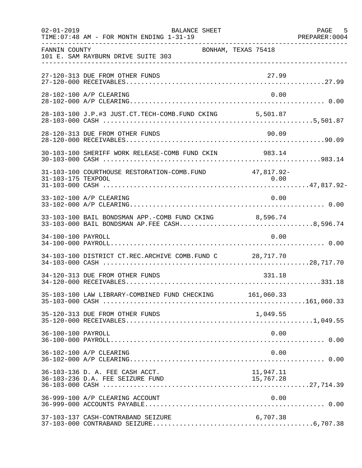| $02 - 01 - 2019$   | BALANCE SHEET<br>TIME: 07:48 AM - FOR MONTH ENDING 1-31-19                                             |                     | PAGE 5<br>PREPARER: 0004 |
|--------------------|--------------------------------------------------------------------------------------------------------|---------------------|--------------------------|
| FANNIN COUNTY      | 101 E. SAM RAYBURN DRIVE SUITE 303                                                                     | BONHAM, TEXAS 75418 |                          |
|                    | 27-120-313 DUE FROM OTHER FUNDS                                                                        | 27.99               |                          |
|                    | 28-102-100 A/P CLEARING                                                                                | 0.00                |                          |
|                    | 28-103-100 J.P.#3 JUST.CT.TECH-COMB.FUND CKING 5,501.87                                                |                     |                          |
|                    | 28-120-313 DUE FROM OTHER FUNDS                                                                        | 90.09               |                          |
|                    | 30-103-100 SHERIFF WORK RELEASE-COMB FUND CKIN 983.14                                                  |                     |                          |
|                    | 31-103-100 COURTHOUSE RESTORATION-COMB. FUND 47,817.92-                                                |                     |                          |
|                    | 33-102-100 A/P CLEARING                                                                                | 0.00                |                          |
|                    | 33-103-100 BAIL BONDSMAN APP.-COMB FUND CKING 8,596.74<br>33-103-000 BAIL BONDSMAN AP.FEE CASH8,596.74 |                     |                          |
| 34-100-100 PAYROLL |                                                                                                        | 0.00                |                          |
|                    | 34-103-100 DISTRICT CT.REC.ARCHIVE COMB.FUND C 28,717.70                                               |                     |                          |
|                    | 34-120-313 DUE FROM OTHER FUNDS                                                                        | 331.18              |                          |
|                    | 35-103-100 LAW LIBRARY-COMBINED FUND CHECKING 161,060.33                                               |                     |                          |
|                    | 35-120-313 DUE FROM OTHER FUNDS                                                                        | 1,049.55            |                          |
| 36-100-100 PAYROLL |                                                                                                        | 0.00                |                          |
|                    | 36-102-100 A/P CLEARING                                                                                | 0.00                |                          |
|                    | 36-103-136 D. A. FEE CASH ACCT.                                                                        | 11,947.11           |                          |
|                    | 36-999-100 A/P CLEARING ACCOUNT                                                                        | 0.00                |                          |
|                    | 37-103-137 CASH-CONTRABAND SEIZURE                                                                     | 6,707.38            |                          |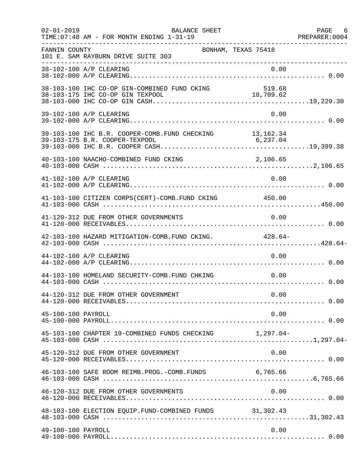| $02 - 01 - 2019$   | BALANCE SHEET<br>TIME: 07:48 AM - FOR MONTH ENDING 1-31-19 |                     | PAGE 6<br>PREPARER: 0004 |
|--------------------|------------------------------------------------------------|---------------------|--------------------------|
| FANNIN COUNTY      | 101 E. SAM RAYBURN DRIVE SUITE 303                         | BONHAM, TEXAS 75418 |                          |
|                    | 38-102-100 A/P CLEARING                                    | 0.00                |                          |
|                    | 38-103-100 IHC CO-OP GIN-COMBINED FUND CKING               | 519.68              |                          |
|                    | 39-102-100 A/P CLEARING                                    | 0.00                |                          |
|                    | 39-103-100 IHC B.R. COOPER-COMB. FUND CHECKING 13,162.34   |                     |                          |
|                    | 40-103-100 NAACHO-COMBINED FUND CKING                      | 2,106.65            |                          |
|                    | 41-102-100 A/P CLEARING                                    | 0.00                |                          |
|                    | 41-103-100 CITIZEN CORPS(CERT)-COMB. FUND CKING 450.00     |                     |                          |
|                    | 41-120-312 DUE FROM OTHER GOVERNMENTS                      | 0.00                |                          |
|                    | 42-103-100 HAZARD MITIGATION-COMB.FUND CKING. 428.64-      |                     |                          |
|                    | 44-102-100 A/P CLEARING                                    | 0.00                |                          |
|                    | 44-103-100 HOMELAND SECURITY-COMB.FUND CHKING              | 0.00                |                          |
|                    | 44-120-312 DUE FROM OTHER GOVERNMENT                       | 0.00                |                          |
| 45-100-100 PAYROLL |                                                            | 0.00                |                          |
|                    | 45-103-100 CHAPTER 19-COMBINED FUNDS CHECKING 1,297.04-    |                     |                          |
|                    | 45-120-312 DUE FROM OTHER GOVERNMENT                       | 0.00                |                          |
|                    | 46-103-100 SAFE ROOM REIMB.PROG.-COMB.FUNDS 6,765.66       |                     |                          |
|                    | 46-120-312 DUE FROM OTHER GOVERNMENTS                      | 0.00                |                          |
|                    | 48-103-100 ELECTION EQUIP. FUND-COMBINED FUNDS 31,302.43   |                     |                          |
| 49-100-100 PAYROLL |                                                            | 0.00                |                          |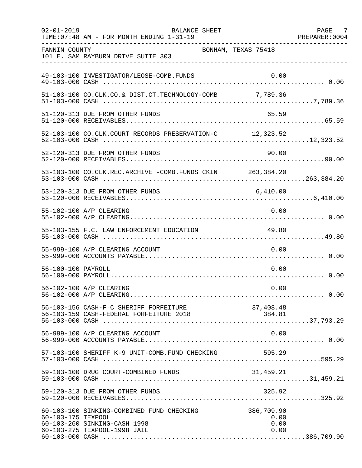| $02 - 01 - 2019$   | <b>BALANCE SHEET</b><br>TIME: 07:48 AM - FOR MONTH ENDING 1-31-19                                         |                                    | PAGE 7<br>PREPARER: 0004 |
|--------------------|-----------------------------------------------------------------------------------------------------------|------------------------------------|--------------------------|
| FANNIN COUNTY      | 101 E. SAM RAYBURN DRIVE SUITE 303                                                                        | BONHAM, TEXAS 75418                |                          |
|                    | 49-103-100 INVESTIGATOR/LEOSE-COMB.FUNDS                                                                  | 0.00                               |                          |
|                    | 51-103-100 CO.CLK.CO.& DIST.CT.TECHNOLOGY-COMB 7,789.36                                                   |                                    |                          |
|                    | 51-120-313 DUE FROM OTHER FUNDS                                                                           | 65.59                              |                          |
|                    | 52-103-100 CO.CLK.COURT RECORDS PRESERVATION-C 12,323.52                                                  |                                    |                          |
|                    | 52-120-313 DUE FROM OTHER FUNDS                                                                           | 90.00                              |                          |
|                    | 53-103-100 CO.CLK.REC.ARCHIVE -COMB.FUNDS CKIN 263,384.20                                                 |                                    |                          |
|                    | 53-120-313 DUE FROM OTHER FUNDS                                                                           | 6,410.00                           |                          |
|                    | 55-102-100 A/P CLEARING                                                                                   | 0.00                               |                          |
|                    | 55-103-155 F.C. LAW ENFORCEMENT EDUCATION                                                                 | 49.80                              |                          |
|                    | 55-999-100 A/P CLEARING ACCOUNT                                                                           | 0.00                               |                          |
| 56-100-100 PAYROLL |                                                                                                           | 0.00                               |                          |
|                    | 56-102-100 A/P CLEARING                                                                                   | 0.00                               |                          |
|                    | 56-103-156 CASH-F C SHERIFF FORFEITURE                                                                    | 37,408.48                          |                          |
|                    | 56-999-100 A/P CLEARING ACCOUNT                                                                           | 0.00                               |                          |
|                    | 57-103-100 SHERIFF K-9 UNIT-COMB.FUND CHECKING                                                            | 595.29                             |                          |
|                    | 59-103-100 DRUG COURT-COMBINED FUNDS                                                                      | 31,459.21                          |                          |
|                    | 59-120-313 DUE FROM OTHER FUNDS                                                                           | 325.92                             |                          |
| 60-103-175 TEXPOOL | 60-103-100 SINKING-COMBINED FUND CHECKING<br>60-103-260 SINKING-CASH 1998<br>60-103-275 TEXPOOL-1998 JAIL | 386,709.90<br>0.00<br>0.00<br>0.00 |                          |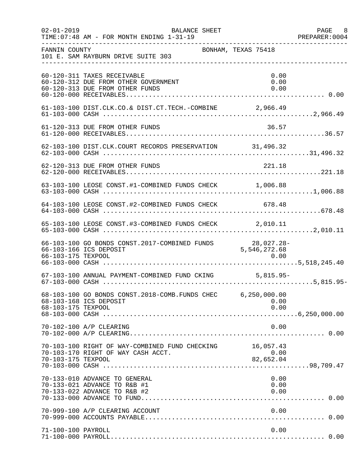| $02 - 01 - 2019$   | BALANCE SHEET<br>TIME: 07:48 AM - FOR MONTH ENDING 1-31-19                                             |                                                     | PAGE 8<br>PREPARER: 0004 |
|--------------------|--------------------------------------------------------------------------------------------------------|-----------------------------------------------------|--------------------------|
| FANNIN COUNTY      | 101 E. SAM RAYBURN DRIVE SUITE 303                                                                     | BONHAM, TEXAS 75418                                 |                          |
|                    | 60-120-311 TAXES RECEIVABLE<br>60-120-312 DUE FROM OTHER GOVERNMENT<br>60-120-313 DUE FROM OTHER FUNDS | 0.00<br>0.00<br>0.00                                |                          |
|                    | 61-103-100 DIST.CLK.CO.& DIST.CT.TECH.-COMBINE 2,966.49                                                |                                                     |                          |
|                    | 61-120-313 DUE FROM OTHER FUNDS                                                                        | 36.57                                               |                          |
|                    | 62-103-100 DIST.CLK.COURT RECORDS PRESERVATION 31,496.32                                               |                                                     |                          |
|                    | 62-120-313 DUE FROM OTHER FUNDS                                                                        | 221.18                                              |                          |
|                    | 63-103-100 LEOSE CONST.#1-COMBINED FUNDS CHECK 1,006.88                                                |                                                     |                          |
|                    | 64-103-100 LEOSE CONST.#2-COMBINED FUNDS CHECK 678.48                                                  |                                                     |                          |
|                    | 65-103-100 LEOSE CONST.#3-COMBINED FUNDS CHECK 2,010.11                                                |                                                     |                          |
| 66-103-175 TEXPOOL | 66-103-100 GO BONDS CONST.2017-COMBINED FUNDS<br>66-103-166 ICS DEPOSIT                                | $28,027.28-$<br>5,546,272.68                        |                          |
|                    | 67-103-100 ANNUAL PAYMENT-COMBINED FUND CKING 5,815.95-                                                |                                                     |                          |
| 68-103-175 TEXPOOL | 68-103-100 GO BONDS CONST. 2018-COMB. FUNDS CHEC 6, 250, 000.00<br>68-103-168 ICS DEPOSIT              | 0.00<br>0.00                                        |                          |
|                    | 70-102-100 A/P CLEARING                                                                                | 0.00                                                |                          |
| 70-103-175 TEXPOOL | 70-103-100 RIGHT OF WAY-COMBINED FUND CHECKING<br>70-103-170 RIGHT OF WAY CASH ACCT.                   | 16,057.43<br>0.00<br>$\frac{1}{2}$ , 0<br>82,652.04 |                          |
|                    | 70-133-010 ADVANCE TO GENERAL<br>70-133-021 ADVANCE TO R&B #1<br>70-133-022 ADVANCE TO R&B #2          | 0.00<br>0.00<br>0.00                                |                          |
|                    | 70-999-100 A/P CLEARING ACCOUNT                                                                        | 0.00                                                |                          |
| 71-100-100 PAYROLL |                                                                                                        | 0.00                                                |                          |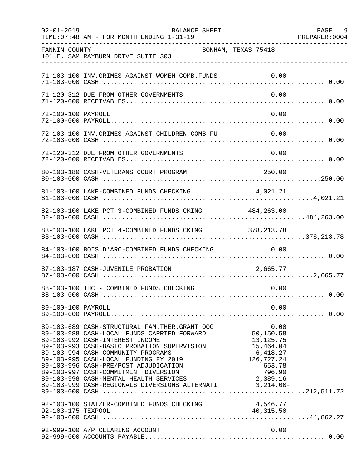| $02 - 01 - 2019$   | <b>BALANCE SHEET</b><br>TIME: 07:48 AM - FOR MONTH ENDING 1-31-19                                                                                                                                                                                                                                                                                                                                                                                    |                                                                                                       | PAGE 9<br>PREPARER: 0004 |
|--------------------|------------------------------------------------------------------------------------------------------------------------------------------------------------------------------------------------------------------------------------------------------------------------------------------------------------------------------------------------------------------------------------------------------------------------------------------------------|-------------------------------------------------------------------------------------------------------|--------------------------|
| FANNIN COUNTY      | BONHAM, TEXAS 75418<br>101 E. SAM RAYBURN DRIVE SUITE 303                                                                                                                                                                                                                                                                                                                                                                                            |                                                                                                       |                          |
|                    | 71-103-100 INV. CRIMES AGAINST WOMEN-COMB. FUNDS                                                                                                                                                                                                                                                                                                                                                                                                     | 0.00                                                                                                  |                          |
|                    | 71-120-312 DUE FROM OTHER GOVERNMENTS                                                                                                                                                                                                                                                                                                                                                                                                                | 0.00                                                                                                  |                          |
| 72-100-100 PAYROLL |                                                                                                                                                                                                                                                                                                                                                                                                                                                      | 0.00                                                                                                  |                          |
|                    | 72-103-100 INV.CRIMES AGAINST CHILDREN-COMB.FU                                                                                                                                                                                                                                                                                                                                                                                                       | 0.00                                                                                                  |                          |
|                    | 72-120-312 DUE FROM OTHER GOVERNMENTS                                                                                                                                                                                                                                                                                                                                                                                                                | 0.00                                                                                                  |                          |
|                    | 80-103-180 CASH-VETERANS COURT PROGRAM                                                                                                                                                                                                                                                                                                                                                                                                               | 250.00                                                                                                |                          |
|                    | 81-103-100 LAKE-COMBINED FUNDS CHECKING 4,021.21                                                                                                                                                                                                                                                                                                                                                                                                     |                                                                                                       |                          |
|                    | 82-103-100 LAKE PCT 3-COMBINED FUNDS CKING 484,263.00                                                                                                                                                                                                                                                                                                                                                                                                |                                                                                                       |                          |
|                    | 83-103-100 LAKE PCT 4-COMBINED FUNDS CKING 378, 213.78                                                                                                                                                                                                                                                                                                                                                                                               |                                                                                                       |                          |
|                    | 84-103-100 BOIS D'ARC-COMBINED FUNDS CHECKING                                                                                                                                                                                                                                                                                                                                                                                                        | 0.00                                                                                                  |                          |
|                    | 87-103-187 CASH-JUVENILE PROBATION                                                                                                                                                                                                                                                                                                                                                                                                                   | 2,665.77                                                                                              |                          |
|                    | 88-103-100 IHC - COMBINED FUNDS CHECKING                                                                                                                                                                                                                                                                                                                                                                                                             | 0.00                                                                                                  |                          |
| 89-100-100 PAYROLL |                                                                                                                                                                                                                                                                                                                                                                                                                                                      | 0.00                                                                                                  |                          |
|                    | 89-103-689 CASH-STRUCTURAL FAM.THER.GRANT OOG<br>89-103-988 CASH-LOCAL FUNDS CARRIED FORWARD<br>89-103-992 CASH-INTEREST INCOME<br>89-103-993 CASH-BASIC PROBATION SUPERVISION<br>89-103-994 CASH-COMMUNITY PROGRAMS<br>89-103-995 CASH-LOCAL FUNDING FY 2019<br>89-103-996 CASH-PRE/POST ADJUDICATION<br>89-103-997 CASH-COMMITMENT DIVERSION<br>89-103-998 CASH-MENTAL HEALTH SERVICES<br>89-103-999 CASH-REGIONALS DIVERSIONS ALTERNATI 3,214.00- | 0.00<br>50,150.58<br>13,125.75<br>15,464.04<br>6,418.27<br>126,727.24<br>653.78<br>796.90<br>2,389.16 |                          |
| 92-103-175 TEXPOOL | 92-103-100 STATZER-COMBINED FUNDS CHECKING                                                                                                                                                                                                                                                                                                                                                                                                           | 4,546.77<br>40,315.50                                                                                 |                          |
|                    | 92-999-100 A/P CLEARING ACCOUNT                                                                                                                                                                                                                                                                                                                                                                                                                      | 0.00                                                                                                  |                          |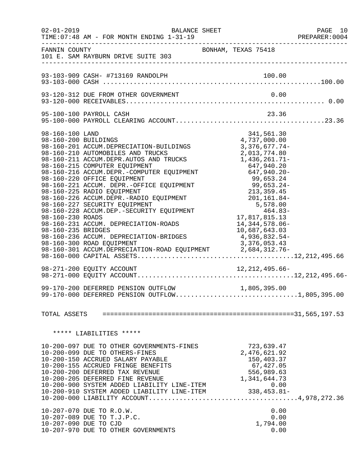|                                                                                   | $02 - 01 - 2019$<br><b>BALANCE SHEET</b><br>TIME: 07:48 AM - FOR MONTH ENDING 1-31-19                                                                                                                                                                                                                                                                                                                                                                                                                                                               |                                                                                                                                                                                                                                                                             |                                                             | PAGE 10<br>PREPARER:0004 |
|-----------------------------------------------------------------------------------|-----------------------------------------------------------------------------------------------------------------------------------------------------------------------------------------------------------------------------------------------------------------------------------------------------------------------------------------------------------------------------------------------------------------------------------------------------------------------------------------------------------------------------------------------------|-----------------------------------------------------------------------------------------------------------------------------------------------------------------------------------------------------------------------------------------------------------------------------|-------------------------------------------------------------|--------------------------|
| FANNIN COUNTY                                                                     | 101 E. SAM RAYBURN DRIVE SUITE 303                                                                                                                                                                                                                                                                                                                                                                                                                                                                                                                  | BONHAM, TEXAS 75418                                                                                                                                                                                                                                                         |                                                             |                          |
|                                                                                   |                                                                                                                                                                                                                                                                                                                                                                                                                                                                                                                                                     |                                                                                                                                                                                                                                                                             | 100.00                                                      |                          |
|                                                                                   | 93-120-312 DUE FROM OTHER GOVERNMENT                                                                                                                                                                                                                                                                                                                                                                                                                                                                                                                |                                                                                                                                                                                                                                                                             | 0.00                                                        |                          |
|                                                                                   | 95-100-100 PAYROLL CASH                                                                                                                                                                                                                                                                                                                                                                                                                                                                                                                             |                                                                                                                                                                                                                                                                             | 23.36                                                       |                          |
| 98-160-100 LAND<br>98-160-200 BUILDINGS<br>98-160-230 ROADS<br>98-160-235 BRIDGES | 98-160-201 ACCUM.DEPRECIATION-BUILDINGS<br>98-160-210 AUTOMOBILES AND TRUCKS<br>98-160-211 ACCUM.DEPR.AUTOS AND TRUCKS<br>98-160-215 COMPUTER EQUIPMENT<br>98-160-216 ACCUM.DEPR.-COMPUTER EQUIPMENT<br>98-160-220 OFFICE EQUIPMENT<br>98-160-221 ACCUM. DEPR.-OFFICE EQUIPMENT<br>98-160-225 RADIO EQUIPMENT<br>98-160-226 ACCUM.DEPR.-RADIO EQUIPMENT<br>98-160-227 SECURITY EQUIPMENT<br>98-160-228 ACCUM.DEP.-SECURITY EQUIPMENT<br>98-160-231 ACCUM. DEPRECIATION-ROADS<br>98-160-236 ACCUM. DEPRECIATION-BRIDGES<br>98-160-300 ROAD EQUIPMENT | 4,737,000.00<br>$3,376,677.74-$<br>2,013,774.80<br>1,436,261.71-<br>647,940.20<br>647,940.20-<br>$99,653.24$<br>$99,653.24-$<br>$213,359.45$<br>$201,161.84-$<br>5,578.00<br>-464.83<br>17,817,815.13<br>14, 344, 578.06-<br>10,687,643.03<br>4,936,832.54-<br>3,376,053.43 | 341,561.30<br>99,653.24<br>99,653.24-                       |                          |
|                                                                                   |                                                                                                                                                                                                                                                                                                                                                                                                                                                                                                                                                     |                                                                                                                                                                                                                                                                             |                                                             |                          |
|                                                                                   | 99-170-200 DEFERRED PENSION OUTFLOW<br>99-170-000 DEFERRED PENSION OUTFLOW1,805,395.00                                                                                                                                                                                                                                                                                                                                                                                                                                                              | 1,805,395.00                                                                                                                                                                                                                                                                |                                                             |                          |
|                                                                                   |                                                                                                                                                                                                                                                                                                                                                                                                                                                                                                                                                     |                                                                                                                                                                                                                                                                             |                                                             |                          |
|                                                                                   | ***** LIABILITIES *****                                                                                                                                                                                                                                                                                                                                                                                                                                                                                                                             |                                                                                                                                                                                                                                                                             |                                                             |                          |
|                                                                                   | 10-200-097 DUE TO OTHER GOVERNMENTS-FINES<br>10-200-099 DUE TO OTHERS-FINES<br>10-200-150 ACCRUED SALARY PAYABLE<br>10-200-155 ACCRUED FRINGE BENEFITS<br>10-200-200 DEFERRED TAX REVENUE<br>10-200-205 DEFERRED FINE REVENUE<br>10-200-900 SYSTEM ADDED LIABILITY LINE-ITEM<br>10-200-910 SYSTEM ADDED LIABILITY LINE-ITEM                                                                                                                                                                                                                         | 2,476,621.92<br>1,341,644.73<br>0.00<br>-338,453.81                                                                                                                                                                                                                         | 723,639.47<br>150,403.37<br>67,427.05<br>556,989.63<br>0.00 |                          |
|                                                                                   | 10-207-070 DUE TO R.O.W.<br>10-207-089 DUE TO T.J.P.C.<br>10-207-090 DUE TO CJD<br>10-207-970 DUE TO OTHER GOVERNMENTS                                                                                                                                                                                                                                                                                                                                                                                                                              |                                                                                                                                                                                                                                                                             | 0.00<br>0.00<br>1,794.00<br>0.00                            |                          |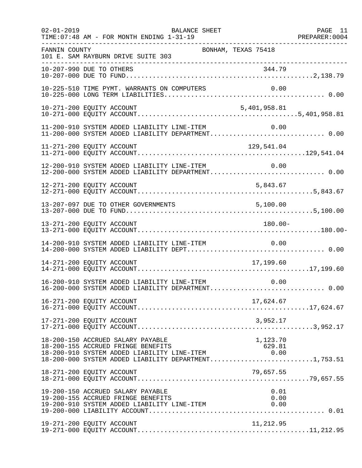| $02 - 01 - 2019$ | TIME: 07:48 AM - FOR MONTH ENDING 1-31-19                                                                                                                                           | BALANCE SHEET       |                      | PAGE 11 |
|------------------|-------------------------------------------------------------------------------------------------------------------------------------------------------------------------------------|---------------------|----------------------|---------|
| FANNIN COUNTY    | 101 E. SAM RAYBURN DRIVE SUITE 303                                                                                                                                                  | BONHAM, TEXAS 75418 |                      |         |
|                  |                                                                                                                                                                                     |                     |                      |         |
|                  | 10-225-510 TIME PYMT. WARRANTS ON COMPUTERS                                                                                                                                         |                     |                      |         |
|                  | 10-271-200 EQUITY ACCOUNT                                                                                                                                                           |                     | 5,401,958.81         |         |
|                  | 11-200-910 SYSTEM ADDED LIABILITY LINE-ITEM<br>11-200-000 SYSTEM ADDED LIABILITY DEPARTMENT 0.00                                                                                    |                     | 0.00                 |         |
|                  | 11-271-200 EQUITY ACCOUNT                                                                                                                                                           |                     | 129,541.04           |         |
|                  | 12-200-910 SYSTEM ADDED LIABILITY LINE-ITEM                                                                                                                                         |                     | 0.00                 |         |
|                  | 12-271-200 EQUITY ACCOUNT                                                                                                                                                           |                     | 5,843.67             |         |
|                  | 13-207-097 DUE TO OTHER GOVERNMENTS                                                                                                                                                 | 5,100.00            |                      |         |
|                  | 13-271-200 EQUITY ACCOUNT                                                                                                                                                           |                     | $180.00 -$           |         |
|                  |                                                                                                                                                                                     |                     |                      |         |
|                  | 14-271-200 EQUITY ACCOUNT                                                                                                                                                           |                     | 17,199.60            |         |
|                  | 16-200-910 SYSTEM ADDED LIABILITY LINE-ITEM<br>16-200-000 SYSTEM ADDED LIABILITY DEPARTMENT 0.00                                                                                    |                     | 0.00                 |         |
|                  | 16-271-200 EQUITY ACCOUNT                                                                                                                                                           |                     | 17,624.67            |         |
|                  | 17-271-200 EQUITY ACCOUNT                                                                                                                                                           |                     | 3,952.17             |         |
|                  | 18-200-150 ACCRUED SALARY PAYABLE<br>18-200-155 ACCRUED FRINGE BENEFITS<br>18-200-910 SYSTEM ADDED LIABILITY LINE-ITEM 0.00<br>18-200-000 SYSTEM ADDED LIABILITY DEPARTMENT1,753.51 |                     | 1,123.70<br>629.81   |         |
|                  | 18-271-200 EQUITY ACCOUNT                                                                                                                                                           |                     | 79,657.55            |         |
|                  | 19-200-150 ACCRUED SALARY PAYABLE<br>19-200-155 ACCRUED FRINGE BENEFITS<br>19-200-910 SYSTEM ADDED LIABILITY LINE-ITEM                                                              |                     | 0.01<br>0.00<br>0.00 |         |
|                  | 19-271-200 EQUITY ACCOUNT                                                                                                                                                           |                     | 11,212.95            |         |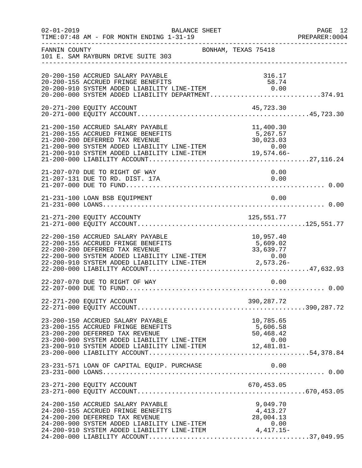| $02 - 01 - 2019$ | BALANCE SHEET<br>TIME: 07:48 AM - FOR MONTH ENDING 1-31-19                                                                                                                                                                                                   |                                            | PAGE 12<br>PREPARER: 0004 |
|------------------|--------------------------------------------------------------------------------------------------------------------------------------------------------------------------------------------------------------------------------------------------------------|--------------------------------------------|---------------------------|
| FANNIN COUNTY    | BONHAM, TEXAS 75418<br>101 E. SAM RAYBURN DRIVE SUITE 303                                                                                                                                                                                                    |                                            |                           |
|                  | 20-200-150 ACCRUED SALARY PAYABLE<br>20-200-155 ACCRUED FRINGE BENEFITS<br>20-200-155 ACCRUED FRINGE BENEFITS 58.74<br>20-200-910 SYSTEM ADDED LIABILITY LINE-ITEM 6.00<br>20-200-000 SYSTEM ADDED LIABILITY DEPARTMENT374.91                                | 316.17<br>58.74                            |                           |
|                  | 20-271-200 EQUITY ACCOUNT                                                                                                                                                                                                                                    | 45,723.30                                  |                           |
|                  | 21-200-150 ACCRUED SALARY PAYABLE<br>21-200-155 ACCRUED FRINGE BENEFITS<br>21-200-200 DEFERRED TAX REVENUE<br>21-200-900 SYSTEM ADDED LIABILITY LINE-ITEM<br>21-200-910 SYSTEM ADDED LIABILITY LINE-ITEM 19,574.66-                                          | 11,400.30<br>5,267.57<br>30,023.03<br>0.00 |                           |
|                  | 21-207-070 DUE TO RIGHT OF WAY<br>21-207-131 DUE TO RD. DIST. 17A                                                                                                                                                                                            | 0.00<br>0.00                               |                           |
|                  | 21-231-100 LOAN BSB EQUIPMENT                                                                                                                                                                                                                                | 0.00                                       |                           |
|                  |                                                                                                                                                                                                                                                              |                                            |                           |
|                  | 22-200-150 ACCRUED SALARY PAYABLE<br>22-200-155 ACCRUED FRINGE BENEFITS<br>22-200-200 DEFERRED TAX REVENUE<br>22-200-900 SYSTEM ADDED LIABILITY LINE-ITEM $22-200-910$ SYSTEM ADDED LIABILITY LINE-ITEM $2,573.26-$                                          | 10,957.40<br>5,609.02<br>33,639.77         |                           |
|                  | 22-207-070 DUE TO RIGHT OF WAY                                                                                                                                                                                                                               | 0.00                                       |                           |
|                  | 22-271-200 EQUITY ACCOUNT                                                                                                                                                                                                                                    | 390,287.72                                 |                           |
|                  | 23-200-150 ACCRUED SALARY PAYABLE<br>23-200-155 ACCRUED FRINGE BENEFITS<br>23-200-200 DEFERRED TAX REVENUE<br>23-200-900 SYSTEM ADDED LIABILITY LINE-ITEM 0.00<br>23-200-910 SYSTEM ADDED LIABILITY LINE-ITEM 12,481.81-                                     | 10,785.65<br>5,606.58<br>50,468.42         |                           |
|                  | 23-231-571 LOAN OF CAPITAL EQUIP. PURCHASE                                                                                                                                                                                                                   | 0.00                                       |                           |
|                  | 23-271-200 EQUITY ACCOUNT                                                                                                                                                                                                                                    |                                            |                           |
|                  | 24-200-150 ACCRUED SALARY PAYABLE<br>24-200-155 ACCRUED FRINGE BENEFITS<br>24-200-200 DEFERRED TAX REVENUE<br>$24-200-200$ DEFERRED TAX REVENUE<br>24-200-900 SYSTEM ADDED LIABILITY LINE-ITEM 0.00<br>24-200-910 SYSTEM ADDED LIABILITY LINE-ITEM 4,417.15- | 9,049.70<br>4,413.27<br>28,004.13          |                           |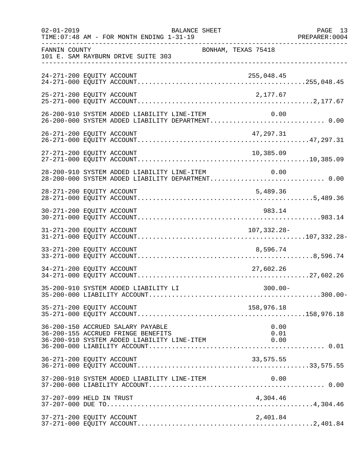| $02 - 01 - 2019$ | <b>BALANCE SHEET</b><br>TIME: 07:48 AM - FOR MONTH ENDING 1-31-19                                                      |                      | PAGE 13 |
|------------------|------------------------------------------------------------------------------------------------------------------------|----------------------|---------|
| FANNIN COUNTY    | 101 E. SAM RAYBURN DRIVE SUITE 303                                                                                     | BONHAM, TEXAS 75418  |         |
|                  | 24-271-200 EQUITY ACCOUNT                                                                                              | 255,048.45           |         |
|                  | 25-271-200 EQUITY ACCOUNT                                                                                              | 2,177.67             |         |
|                  | 26-200-910 SYSTEM ADDED LIABILITY LINE-ITEM<br>26-200-000 SYSTEM ADDED LIABILITY DEPARTMENT 0.00                       | 0.00                 |         |
|                  | 26-271-200 EQUITY ACCOUNT                                                                                              | 47,297.31            |         |
|                  | 27-271-200 EQUITY ACCOUNT                                                                                              | 10,385.09            |         |
|                  | 28-200-910 SYSTEM ADDED LIABILITY LINE-ITEM<br>28-200-000 SYSTEM ADDED LIABILITY DEPARTMENT 0.00                       | 0.00                 |         |
|                  | 28-271-200 EQUITY ACCOUNT                                                                                              | 5,489.36             |         |
|                  | 30-271-200 EQUITY ACCOUNT                                                                                              | 983.14               |         |
|                  | 31-271-200 EQUITY ACCOUNT                                                                                              | 107,332.28-          |         |
|                  | 33-271-200 EQUITY ACCOUNT                                                                                              | 8,596.74             |         |
|                  | 34-271-200 EQUITY ACCOUNT                                                                                              | 27,602.26            |         |
|                  | 35-200-910 SYSTEM ADDED LIABILITY LI                                                                                   | $300.00 -$           |         |
|                  | 35-271-200 EQUITY ACCOUNT                                                                                              | 158,976.18           |         |
|                  | 36-200-150 ACCRUED SALARY PAYABLE<br>36-200-155 ACCRUED FRINGE BENEFITS<br>36-200-910 SYSTEM ADDED LIABILITY LINE-ITEM | 0.00<br>0.01<br>0.00 |         |
|                  | 36-271-200 EQUITY ACCOUNT                                                                                              | 33,575.55            |         |
|                  | 37-200-910 SYSTEM ADDED LIABILITY LINE-ITEM                                                                            | 0.00                 |         |
|                  | 37-207-099 HELD IN TRUST                                                                                               | 4,304.46             |         |
|                  | 37-271-200 EQUITY ACCOUNT                                                                                              | 2,401.84             |         |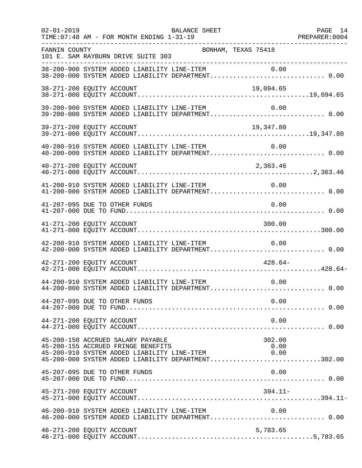| $02 - 01 - 2019$              | TIME: 07:48 AM - FOR MONTH ENDING 1-31-19                                                                              | BALANCE SHEET                               |                                                                                                                 | PAGE 14 |
|-------------------------------|------------------------------------------------------------------------------------------------------------------------|---------------------------------------------|-----------------------------------------------------------------------------------------------------------------|---------|
| FANNIN COUNTY                 | 101 E. SAM RAYBURN DRIVE SUITE 303                                                                                     | BONHAM, TEXAS 75418                         |                                                                                                                 |         |
|                               |                                                                                                                        |                                             | 38-200-900 SYSTEM ADDED LIABILITY LINE-ITEM 0.00<br>38-200-000 SYSTEM ADDED LIABILITY DEPARTMENT 0.00           |         |
| 38-271-200 EQUITY ACCOUNT     |                                                                                                                        |                                             | 19,094.65<br>19,094.65 1994.05 1994.05 1994.05 1994.05 1994.00 EQUITY ACCOUNT.                                  |         |
|                               | 39-200-900 SYSTEM ADDED LIABILITY LINE-ITEM                                                                            |                                             | 0.00                                                                                                            |         |
| 39-271-200 EQUITY ACCOUNT     |                                                                                                                        |                                             | 19,347.80                                                                                                       |         |
|                               |                                                                                                                        |                                             | 40-200-910 SYSTEM ADDED LIABILITY LINE-ITEM 0.00<br>40-200-000 SYSTEM ADDED LIABILITY DEPARTMENT 0.00           |         |
|                               |                                                                                                                        |                                             |                                                                                                                 |         |
|                               |                                                                                                                        |                                             |                                                                                                                 |         |
| 41-207-095 DUE TO OTHER FUNDS |                                                                                                                        |                                             | 0.00                                                                                                            |         |
| 41-271-200 EQUITY ACCOUNT     |                                                                                                                        |                                             | 300.00                                                                                                          |         |
|                               | 42-200-910 SYSTEM ADDED LIABILITY LINE-ITEM                                                                            |                                             | 0.00                                                                                                            |         |
| 42-271-200 EQUITY ACCOUNT     |                                                                                                                        |                                             | $428.64-$                                                                                                       |         |
|                               | 44-200-910 SYSTEM ADDED LIABILITY LINE-ITEM                                                                            |                                             | 0.00<br>44-200-000 SYSTEM ADDED LIABILITY DEPARTMENT 0.00                                                       |         |
| 44-207-095 DUE TO OTHER FUNDS |                                                                                                                        |                                             | 0.00                                                                                                            |         |
| 44-271-200 EQUITY ACCOUNT     |                                                                                                                        |                                             | 0.00                                                                                                            |         |
|                               | 45-200-150 ACCRUED SALARY PAYABLE<br>45-200-155 ACCRUED FRINGE BENEFITS<br>45-200-910 SYSTEM ADDED LIABILITY LINE-ITEM |                                             | 302.00<br>0.00<br>$\begin{array}{ccc} & 0.00 \end{array}$<br>45-200-000 SYSTEM ADDED LIABILITY DEPARTMENT302.00 |         |
| 45-207-095 DUE TO OTHER FUNDS |                                                                                                                        |                                             | 0.00                                                                                                            |         |
| 45-271-200 EQUITY ACCOUNT     |                                                                                                                        |                                             | $394.11-$                                                                                                       |         |
|                               |                                                                                                                        | 46-200-910 SYSTEM ADDED LIABILITY LINE-ITEM | 0.00                                                                                                            |         |
| 46-271-200 EQUITY ACCOUNT     |                                                                                                                        |                                             | 5,783.65                                                                                                        |         |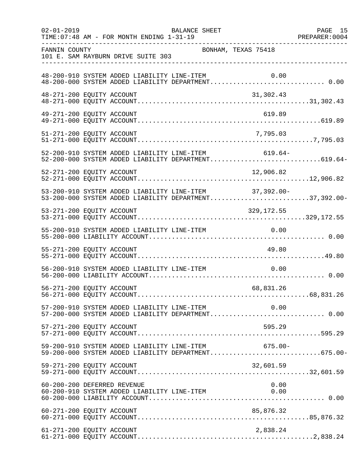| $02 - 01 - 2019$ | BALANCE SHEET<br>TIME: 07:48 AM - FOR MONTH ENDING 1-31-19                                                       | PAGE 15 |
|------------------|------------------------------------------------------------------------------------------------------------------|---------|
| FANNIN COUNTY    | BONHAM, TEXAS 75418<br>101 E. SAM RAYBURN DRIVE SUITE 303                                                        |         |
|                  | 48-200-910 SYSTEM ADDED LIABILITY LINE-ITEM<br>0.00                                                              |         |
|                  | 48-271-200 EQUITY ACCOUNT<br>31,302.43                                                                           |         |
|                  | 619.89<br>49-271-200 EQUITY ACCOUNT                                                                              |         |
|                  | 7,795.03<br>51-271-200 EQUITY ACCOUNT                                                                            |         |
|                  | 52-200-910 SYSTEM ADDED LIABILITY LINE-ITEM 619.64-<br>52-200-000 SYSTEM ADDED LIABILITY DEPARTMENT619.64-       |         |
|                  |                                                                                                                  |         |
|                  | 53-200-910 SYSTEM ADDED LIABILITY LINE-ITEM 37,392.00-<br>53-200-000 SYSTEM ADDED LIABILITY DEPARTMENT37,392.00- |         |
|                  | 53-271-200 EQUITY ACCOUNT<br>329,172.55                                                                          |         |
|                  | 55-200-910 SYSTEM ADDED LIABILITY LINE-ITEM<br>$\overline{0.00}$                                                 |         |
|                  | 55-271-200 EQUITY ACCOUNT<br>49.80                                                                               |         |
|                  | 56-200-910 SYSTEM ADDED LIABILITY LINE-ITEM<br>0.00                                                              |         |
|                  | 56-271-200 EQUITY ACCOUNT<br>68,831.26                                                                           |         |
|                  | 57-200-910 SYSTEM ADDED LIABILITY LINE-ITEM 0.00<br>57-200-000 SYSTEM ADDED LIABILITY DEPARTMENT 0.00            |         |
|                  | 57-271-200 EQUITY ACCOUNT<br>595.29                                                                              |         |
|                  | 59-200-910 SYSTEM ADDED LIABILITY LINE-ITEM<br>$675.00 -$<br>59-200-000 SYSTEM ADDED LIABILITY DEPARTMENT675.00- |         |
|                  | 32,601.59<br>59-271-200 EQUITY ACCOUNT                                                                           |         |
|                  | 60-200-200 DEFERRED REVENUE<br>0.00<br>60-200-910 SYSTEM ADDED LIABILITY LINE-ITEM<br>0.00                       |         |
|                  |                                                                                                                  |         |
|                  | 61-271-200 EQUITY ACCOUNT<br>2,838.24                                                                            |         |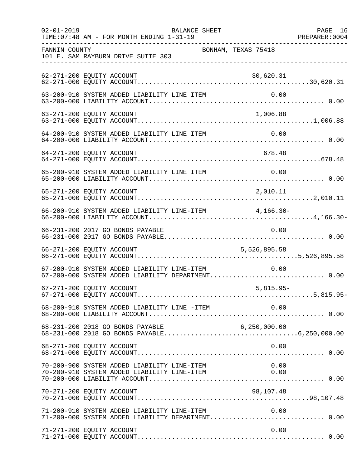| $02 - 01 - 2019$ | BALANCE SHEET                                                                                    |                     | PAGE 16 |
|------------------|--------------------------------------------------------------------------------------------------|---------------------|---------|
| FANNIN COUNTY    | 101 E. SAM RAYBURN DRIVE SUITE 303                                                               | BONHAM, TEXAS 75418 |         |
|                  | 62-271-200 EQUITY ACCOUNT                                                                        | 30,620.31           |         |
|                  | 63-200-910 SYSTEM ADDED LIABILITY LINE ITEM                                                      | 0.00                |         |
|                  | 63-271-200 EQUITY ACCOUNT                                                                        | 1,006.88            |         |
|                  | 64-200-910 SYSTEM ADDED LIABILITY LINE ITEM                                                      | 0.00                |         |
|                  | 64-271-200 EQUITY ACCOUNT                                                                        | 678.48              |         |
|                  | 65-200-910 SYSTEM ADDED LIABILITY LINE ITEM                                                      | 0.00                |         |
|                  | 65-271-200 EQUITY ACCOUNT                                                                        | 2,010.11            |         |
|                  | 66-200-910 SYSTEM ADDED LIABILITY LINE-ITEM 4,166.30-                                            |                     |         |
|                  | 66-231-200 2017 GO BONDS PAYABLE                                                                 | 0.00                |         |
|                  | 66-271-200 EQUITY ACCOUNT                                                                        | 5,526,895.58        |         |
|                  | 67-200-910 SYSTEM ADDED LIABILITY LINE-ITEM<br>67-200-000 SYSTEM ADDED LIABILITY DEPARTMENT 0.00 | 0.00                |         |
|                  | 67-271-200 EQUITY ACCOUNT                                                                        | $5,815.95-$         |         |
|                  | 68-200-910 SYSTEM ADDED LIABILITY LINE -ITEM                                                     | 0.00                |         |
|                  |                                                                                                  |                     |         |
|                  | 68-271-200 EQUITY ACCOUNT                                                                        | 0.00                |         |
|                  | 70-200-900 SYSTEM ADDED LIABILITY LINE-ITEM<br>70-200-910 SYSTEM ADDED LIABILITY LINE-ITEM       | 0.00<br>0.00        |         |
|                  | 70-271-200 EQUITY ACCOUNT                                                                        | 98,107.48           |         |
|                  | 71-200-910 SYSTEM ADDED LIABILITY LINE-ITEM                                                      | 0.00                |         |
|                  | 71-271-200 EQUITY ACCOUNT                                                                        | 0.00                |         |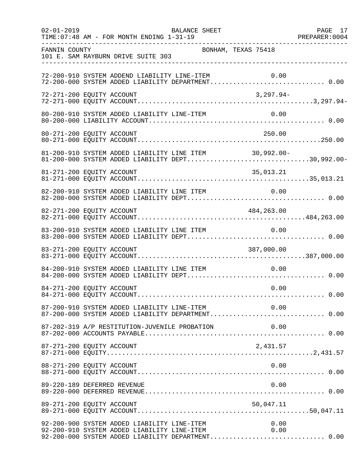| $02 - 01 - 2019$ | PAGE 17<br>PREPARER:0004<br>BALANCE SHEET<br>TIME: 07:48 AM - FOR MONTH ENDING 1-31-19                                                                          |  |
|------------------|-----------------------------------------------------------------------------------------------------------------------------------------------------------------|--|
| FANNIN COUNTY    | BONHAM, TEXAS 75418<br>101 E. SAM RAYBURN DRIVE SUITE 303                                                                                                       |  |
|                  | 72-200-910 SYSTEM ADDEND LIABILITY LINE-ITEM<br>0.00<br>72-200-000 SYSTEM ADDED LIABILITY DEPARTMENT 0.00                                                       |  |
|                  | 72-271-200 EQUITY ACCOUNT<br>3,297.94-                                                                                                                          |  |
|                  | 80-200-910 SYSTEM ADDED LIABILITY LINE-ITEM<br>0.00                                                                                                             |  |
|                  | 250.00<br>80-271-200 EQUITY ACCOUNT                                                                                                                             |  |
|                  | 81-200-910 SYSTEM ADDED LIABILITY LINE ITEM<br>$30,992.00 -$<br>81-200-000 SYSTEM ADDED LIABILITY DEPT30,992.00-                                                |  |
|                  | 81-271-200 EQUITY ACCOUNT<br>35,013.21                                                                                                                          |  |
|                  | 82-200-910 SYSTEM ADDED LIABILITY LINE ITEM 0.00                                                                                                                |  |
|                  |                                                                                                                                                                 |  |
|                  | 83-200-910 SYSTEM ADDED LIABILITY LINE ITEM<br>0.00                                                                                                             |  |
|                  | 83-271-200 EQUITY ACCOUNT<br>387,000.00                                                                                                                         |  |
|                  | 84-200-910 SYSTEM ADDED LIABILITY LINE ITEM 0.00                                                                                                                |  |
|                  | 84-271-200 EQUITY ACCOUNT<br>0.00                                                                                                                               |  |
|                  | 87-200-910 SYSTEM ADDED LIABILITY LINE-ITEM 0.00<br>87-200-000 SYSTEM ADDED LIABILITY DEPARTMENT 0.00                                                           |  |
|                  |                                                                                                                                                                 |  |
|                  | 87-271-200 EQUITY ACCOUNT<br>2,431.57                                                                                                                           |  |
|                  | 0.00<br>88-271-200 EQUITY ACCOUNT                                                                                                                               |  |
|                  | 89-220-189 DEFERRED REVENUE<br>0.00                                                                                                                             |  |
|                  | 89-271-200 EQUITY ACCOUNT<br>50,047.11                                                                                                                          |  |
|                  | 92-200-900 SYSTEM ADDED LIABILITY LINE-ITEM<br>92-200-910 SYSTEM ADDED LIABILITY LINE-ITEM<br>0.00<br>0.00<br>92-200-000 SYSTEM ADDED LIABILITY DEPARTMENT 0.00 |  |